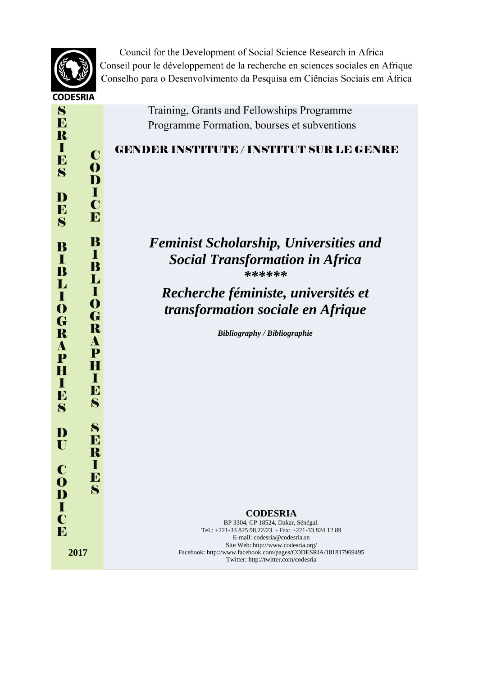

 $\mathbf C$ 

 $\mathbf 0$ 

D п

 $\mathbf C$ 

E

 $\bf{B}$ 

п

B

L

 $\blacksquare$ 

O

G

R

A

 $\mathbf{P}$ 

H

T

D

 $\mathbf{S}$ 

 $S$ 

 $\bf{B}$ 

R п

 $\overline{\mathbf{E}}$ 

 $\mathbf{S}$ 

 $\mathbf{S}$ 

E

R  $\mathbf I$ 

E

 $\mathbf{S}$ 

D

IP

 $\mathbf{S}$ 

B

 $\mathbf I$ 

B

L

 $\mathbf I$ 

 $\mathbf 0$ 

G

R

 $\boldsymbol{A}$ 

 $\mathbf{p}$ 

H

 $\mathbf I$ 

E

 $\mathbf{S}$ 

D

 $\blacksquare$ 

 $\mathbf C$ 

 $\mathbf \Omega$ 

D T  $\mathbf C$ E

**2017**

Council for the Development of Social Science Research in Africa Conseil pour le développement de la recherche en sciences sociales en Afrique Conselho para o Desenvolvimento da Pesquisa em Ciências Sociais em África

> Training, Grants and Fellowships Programme Programme Formation, bourses et subventions

## **GENDER INSTITUTE / INSTITUT SUR LE GENRE**

## *Feminist Scholarship, Universities and Social Transformation in Africa*

*\*\*\*\*\*\**

## *Recherche féministe, universités et transformation sociale en Afrique*

*Bibliography / Bibliographie*

**CODESRIA**

BP 3304, CP 18524, Dakar, Sénégal. Tel.: +221-33 825 98.22/23 - Fax: +221-33 824 12.89 E-mail: codesria@codesria.sn Site Web: http://www.codesria.org/ Facebook[: http://www.facebook.com/pages/CODESRIA/181817969495](http://www.facebook.com/pages/CODESRIA/181817969495) Twitter: http://twitter.com/codesria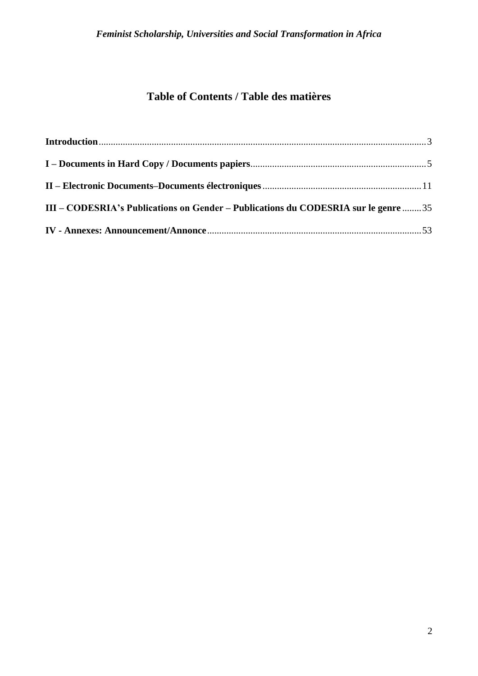## **Table of Contents / Table des matières**

| III – CODESRIA's Publications on Gender – Publications du CODESRIA sur le genre 35 |  |
|------------------------------------------------------------------------------------|--|
|                                                                                    |  |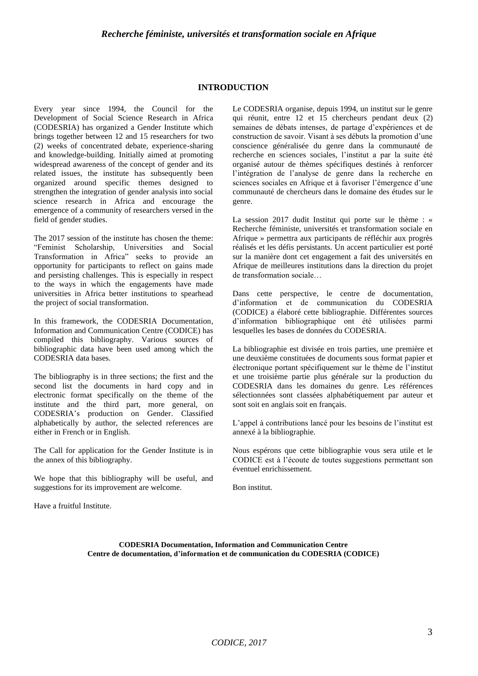#### **INTRODUCTION**

<span id="page-2-0"></span>Every year since 1994, the Council for the Development of Social Science Research in Africa (CODESRIA) has organized a Gender Institute which brings together between 12 and 15 researchers for two (2) weeks of concentrated debate, experience-sharing and knowledge-building. Initially aimed at promoting widespread awareness of the concept of gender and its related issues, the institute has subsequently been organized around specific themes designed to strengthen the integration of gender analysis into social science research in Africa and encourage the emergence of a community of researchers versed in the field of gender studies.

The 2017 session of the institute has chosen the theme: "Feminist Scholarship, Universities and Social Transformation in Africa" seeks to provide an opportunity for participants to reflect on gains made and persisting challenges. This is especially in respect to the ways in which the engagements have made universities in Africa better institutions to spearhead the project of social transformation.

In this framework, the CODESRIA Documentation, Information and Communication Centre (CODICE) has compiled this bibliography. Various sources of bibliographic data have been used among which the CODESRIA data bases.

The bibliography is in three sections; the first and the second list the documents in hard copy and in electronic format specifically on the theme of the institute and the third part, more general, on CODESRIA's production on Gender. Classified alphabetically by author, the selected references are either in French or in English.

The Call for application for the Gender Institute is in the annex of this bibliography.

We hope that this bibliography will be useful, and suggestions for its improvement are welcome.

Have a fruitful Institute.

Le CODESRIA organise, depuis 1994, un institut sur le genre qui réunit, entre 12 et 15 chercheurs pendant deux (2) semaines de débats intenses, de partage d'expériences et de construction de savoir. Visant à ses débuts la promotion d'une conscience généralisée du genre dans la communauté de recherche en sciences sociales, l'institut a par la suite été organisé autour de thèmes spécifiques destinés à renforcer l'intégration de l'analyse de genre dans la recherche en sciences sociales en Afrique et à favoriser l'émergence d'une communauté de chercheurs dans le domaine des études sur le genre.

La session 2017 dudit Institut qui porte sur le thème : « Recherche féministe, universités et transformation sociale en Afrique » permettra aux participants de réfléchir aux progrès réalisés et les défis persistants. Un accent particulier est porté sur la manière dont cet engagement a fait des universités en Afrique de meilleures institutions dans la direction du projet de transformation sociale…

Dans cette perspective, le centre de documentation, d'information et de communication du CODESRIA (CODICE) a élaboré cette bibliographie. Différentes sources d'information bibliographique ont été utilisées parmi lesquelles les bases de données du CODESRIA.

La bibliographie est divisée en trois parties, une première et une deuxième constituées de documents sous format papier et électronique portant spécifiquement sur le thème de l'institut et une troisième partie plus générale sur la production du CODESRIA dans les domaines du genre. Les références sélectionnées sont classées alphabétiquement par auteur et sont soit en anglais soit en français.

L'appel à contributions lancé pour les besoins de l'institut est annexé à la bibliographie.

Nous espérons que cette bibliographie vous sera utile et le CODICE est à l'écoute de toutes suggestions permettant son éventuel enrichissement.

Bon institut.

**CODESRIA Documentation, Information and Communication Centre Centre de documentation, d'information et de communication du CODESRIA (CODICE)**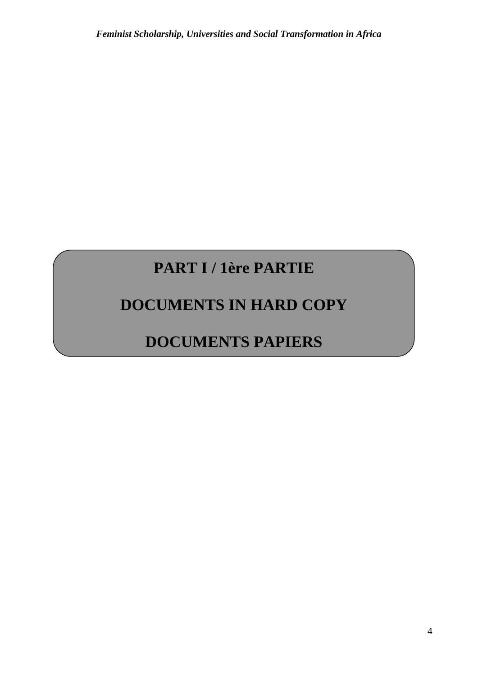# **PART I / 1ère PARTIE**

## **DOCUMENTS IN HARD COPY**

## **DOCUMENTS PAPIERS**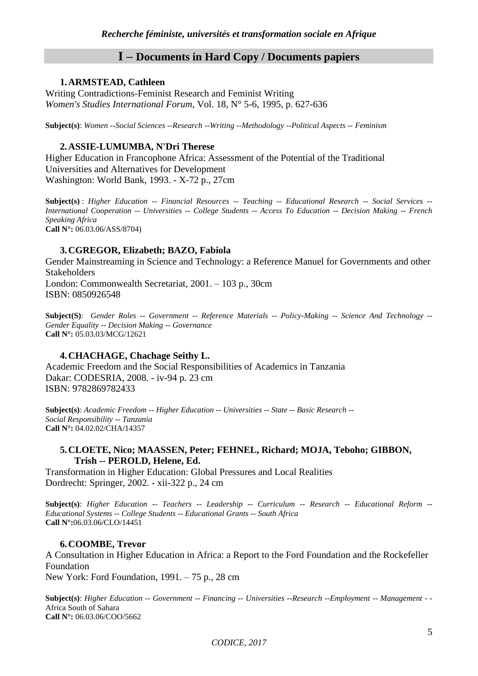## **I – Documents in Hard Copy / Documents papiers**

#### <span id="page-4-0"></span>**1.ARMSTEAD, Cathleen**

Writing Contradictions-Feminist Research and Feminist Writing *Women's Studies International Forum*, Vol. 18, N° 5-6, 1995, p. 627-636

**Subject(s)**: *Women --Social Sciences --Research --Writing --Methodology --Political Aspects -- Feminism*

#### **2.ASSIE-LUMUMBA, N'Dri Therese**

Higher Education in Francophone Africa: Assessment of the Potential of the Traditional Universities and Alternatives for Development Washington: World Bank, 1993. - X-72 p., 27cm

**Subject(s)** : *Higher Education -- Financial Resources -- Teaching -- Educational Research -- Social Services -- International Cooperation -- Universities -- College Students -- Access To Education -- Decision Making -- French Speaking Africa* **Call N°:** 06.03.06/ASS/8704)

#### **3.CGREGOR, Elizabeth; BAZO, Fabiola**

Gender Mainstreaming in Science and Technology: a Reference Manuel for Governments and other **Stakeholders** London: Commonwealth Secretariat, 2001. – 103 p., 30cm ISBN: 0850926548

**Subject(S)**: *Gender Roles -- Government -- Reference Materials -- Policy-Making -- Science And Technology -- Gender Equality -- Decision Making -- Governance* **Call N°:** 05.03.03/MCG/12621

#### **4.CHACHAGE, Chachage Seithy L.**

Academic Freedom and the Social Responsibilities of Academics in Tanzania Dakar: CODESRIA, 2008. - iv-94 p. 23 cm ISBN: 9782869782433

**Subject(s)**: *Academic Freedom -- Higher Education -- Universities -- State -- Basic Research -- Social Responsibility -- Tanzania* **Call N°:** 04.02.02/CHA/14357

#### **5.CLOETE, Nico; MAASSEN, Peter; FEHNEL, Richard; MOJA, Teboho; GIBBON, Trish -- PEROLD, Helene, Ed.**

Transformation in Higher Education: Global Pressures and Local Realities Dordrecht: Springer, 2002. - xii-322 p., 24 cm

**Subject(s)**: *Higher Education -- Teachers -- Leadership -- Curriculum -- Research -- Educational Reform -- Educational Systems -- College Students -- Educational Grants -- South Africa* **Call N°:**06.03.06/CLO/14451

#### **6.COOMBE, Trevor**

A Consultation in Higher Education in Africa: a Report to the Ford Foundation and the Rockefeller Foundation New York: Ford Foundation, 1991. – 75 p., 28 cm

**Subject(s)**: *Higher Education -- Government -- Financing -- Universities --Research --Employment -- Management - -* Africa South of Sahara **Call N°:** 06.03.06/COO/5662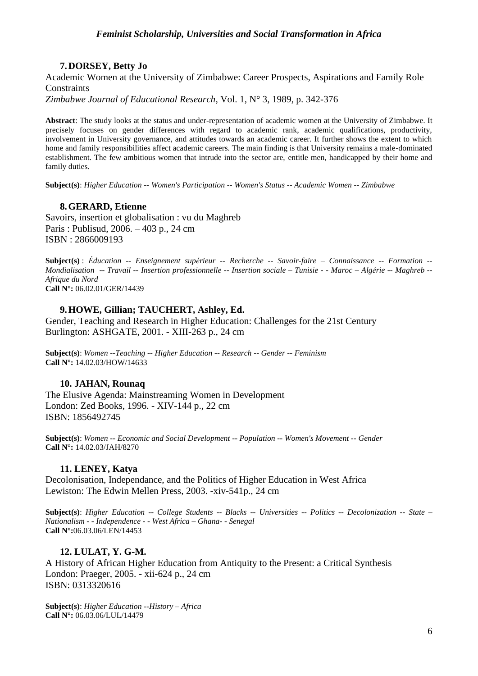#### **7.DORSEY, Betty Jo**

Academic Women at the University of Zimbabwe: Career Prospects, Aspirations and Family Role **Constraints** *Zimbabwe Journal of Educational Research*, Vol. 1, N° 3, 1989, p. 342-376

**Abstract**: The study looks at the status and under-representation of academic women at the University of Zimbabwe. It precisely focuses on gender differences with regard to academic rank, academic qualifications, productivity, involvement in University governance, and attitudes towards an academic career. It further shows the extent to which home and family responsibilities affect academic careers. The main finding is that University remains a male-dominated establishment. The few ambitious women that intrude into the sector are, entitle men, handicapped by their home and family duties.

**Subject(s)**: *Higher Education -- Women's Participation -- Women's Status -- Academic Women -- Zimbabwe*

#### **8.GERARD, Etienne**

Savoirs, insertion et globalisation : vu du Maghreb Paris : Publisud, 2006. – 403 p., 24 cm ISBN : 2866009193

**Subject(s)** : *Éducation -- Enseignement supérieur -- Recherche -- Savoir-faire – Connaissance -- Formation -- Mondialisation -- Travail -- Insertion professionnelle -- Insertion sociale – Tunisie - - Maroc – Algérie -- Maghreb -- Afrique du Nord* **Call N°:** 06.02.01/GER/14439

#### **9.HOWE, Gillian; TAUCHERT, Ashley, Ed.**

Gender, Teaching and Research in Higher Education: Challenges for the 21st Century Burlington: ASHGATE, 2001. - XIII-263 p., 24 cm

**Subject(s)**: *Women --Teaching -- Higher Education -- Research -- Gender -- Feminism* **Call N°:** 14.02.03/HOW/14633

#### **10. JAHAN, Rounaq**

The Elusive Agenda: Mainstreaming Women in Development London: Zed Books, 1996. - XIV-144 p., 22 cm ISBN: 1856492745

**Subject(s)**: *Women -- Economic and Social Development -- Population -- Women's Movement -- Gender* **Call N°:** 14.02.03/JAH/8270

#### **11. LENEY, Katya**

Decolonisation, Independance, and the Politics of Higher Education in West Africa Lewiston: The Edwin Mellen Press, 2003. -xiv-541p., 24 cm

**Subject(s)**: *Higher Education -- College Students -- Blacks -- Universities -- Politics -- Decolonization -- State – Nationalism - - Independence - - West Africa – Ghana- - Senegal* **Call N°:**06.03.06/LEN/14453

#### **12. LULAT, Y. G-M.**

A History of African Higher Education from Antiquity to the Present: a Critical Synthesis London: Praeger, 2005. - xii-624 p., 24 cm ISBN: 0313320616

**Subject(s)**: *Higher Education --History – Africa* **Call N°:** 06.03.06/LUL/14479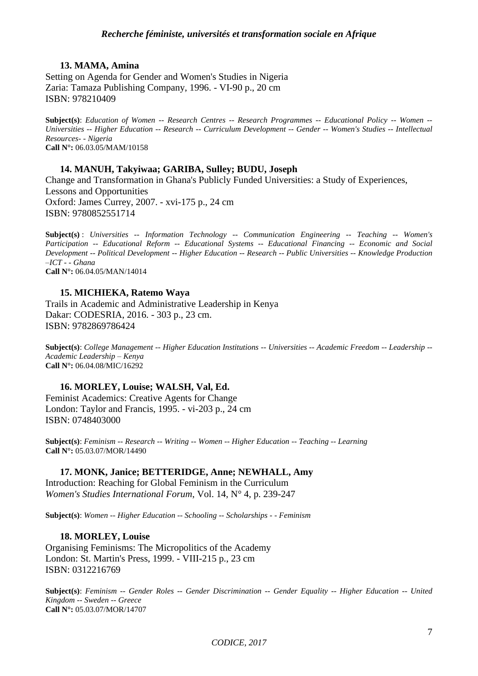#### **13. MAMA, Amina**

Setting on Agenda for Gender and Women's Studies in Nigeria Zaria: Tamaza Publishing Company, 1996. - VI-90 p., 20 cm ISBN: 978210409

**Subject(s)**: *Education of Women -- Research Centres -- Research Programmes -- Educational Policy -- Women -- Universities -- Higher Education -- Research -- Curriculum Development -- Gender -- Women's Studies -- Intellectual Resources- - Nigeria* **Call N°:** 06.03.05/MAM/10158

#### **14. MANUH, Takyiwaa; GARIBA, Sulley; BUDU, Joseph**

Change and Transformation in Ghana's Publicly Funded Universities: a Study of Experiences, Lessons and Opportunities Oxford: James Currey, 2007. - xvi-175 p., 24 cm ISBN: 9780852551714

**Subject(s)** : *Universities -- Information Technology -- Communication Engineering -- Teaching -- Women's Participation -- Educational Reform -- Educational Systems -- Educational Financing -- Economic and Social Development -- Political Development -- Higher Education -- Research -- Public Universities -- Knowledge Production –ICT - - Ghana* **Call N°:** 06.04.05/MAN/14014

**15. MICHIEKA, Ratemo Waya**

Trails in Academic and Administrative Leadership in Kenya Dakar: CODESRIA, 2016. - 303 p., 23 cm. ISBN: 9782869786424

**Subject(s)**: *College Management -- Higher Education Institutions -- Universities -- Academic Freedom -- Leadership -- Academic Leadership – Kenya* **Call N°:** 06.04.08/MIC/16292

#### **16. MORLEY, Louise; WALSH, Val, Ed.**

Feminist Academics: Creative Agents for Change London: Taylor and Francis, 1995. - vi-203 p., 24 cm ISBN: 0748403000

**Subject(s)**: *Feminism -- Research -- Writing -- Women -- Higher Education -- Teaching -- Learning* **Call N°:** 05.03.07/MOR/14490

#### **17. MONK, Janice; BETTERIDGE, Anne; NEWHALL, Amy**

Introduction: Reaching for Global Feminism in the Curriculum *Women's Studies International Forum*, Vol. 14, N° 4, p. 239-247

**Subject(s)**: *Women -- Higher Education -- Schooling -- Scholarships - - Feminism*

**18. MORLEY, Louise** Organising Feminisms: The Micropolitics of the Academy London: St. Martin's Press, 1999. - VIII-215 p., 23 cm ISBN: 0312216769

**Subject(s)**: *Feminism -- Gender Roles -- Gender Discrimination -- Gender Equality -- Higher Education -- United Kingdom -- Sweden -- Greece* **Call N°:** 05.03.07/MOR/14707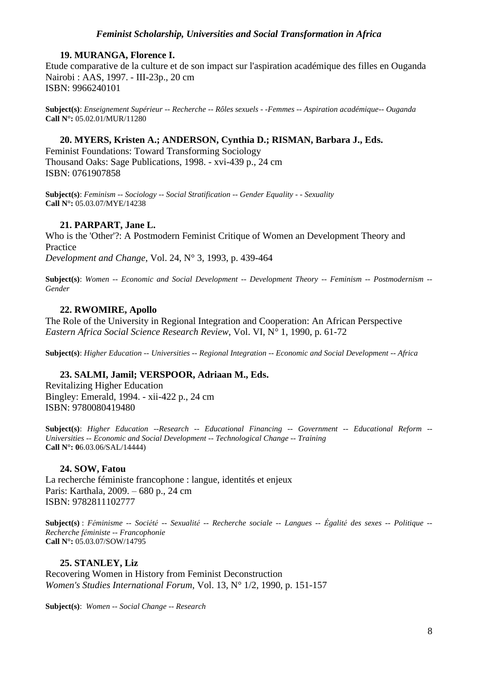#### **19. MURANGA, Florence I.**

Etude comparative de la culture et de son impact sur l'aspiration académique des filles en Ouganda Nairobi : AAS, 1997. - III-23p., 20 cm ISBN: 9966240101

**Subject(s)**: *Enseignement Supérieur -- Recherche -- Rôles sexuels - -Femmes -- Aspiration académique-- Ouganda* **Call N°:** 05.02.01/MUR/11280

#### **20. MYERS, Kristen A.; ANDERSON, Cynthia D.; RISMAN, Barbara J., Eds.**

Feminist Foundations: Toward Transforming Sociology Thousand Oaks: Sage Publications, 1998. - xvi-439 p., 24 cm ISBN: 0761907858

**Subject(s)**: *Feminism -- Sociology -- Social Stratification -- Gender Equality - - Sexuality* **Call N°:** 05.03.07/MYE/14238

#### **21. PARPART, Jane L.**

Who is the 'Other'?: A Postmodern Feminist Critique of Women an Development Theory and Practice *Development and Change*, Vol. 24, N° 3, 1993, p. 439-464

**Subject(s)**: *Women -- Economic and Social Development -- Development Theory -- Feminism -- Postmodernism -- Gender*

#### **22. RWOMIRE, Apollo**

The Role of the University in Regional Integration and Cooperation: An African Perspective *Eastern Africa Social Science Research Review*, Vol. VI, N° 1, 1990, p. 61-72

**Subject(s)**: *Higher Education -- Universities -- Regional Integration -- Economic and Social Development -- Africa*

#### **23. SALMI, Jamil; VERSPOOR, Adriaan M., Eds.**

Revitalizing Higher Education Bingley: Emerald, 1994. - xii-422 p., 24 cm ISBN: 9780080419480

**Subject(s)**: *Higher Education --Research -- Educational Financing -- Government -- Educational Reform -- Universities -- Economic and Social Development -- Technological Change -- Training* **Call N°: 0**6.03.06/SAL/14444)

#### **24. SOW, Fatou**

La recherche féministe francophone : langue, identités et enjeux Paris: Karthala, 2009. – 680 p., 24 cm ISBN: 9782811102777

**Subject(s)** : *Féminisme -- Société -- Sexualité -- Recherche sociale -- Langues -- Égalité des sexes -- Politique -- Recherche féministe -- Francophonie* **Call N°:** 05.03.07/SOW/14795

#### **25. STANLEY, Liz**

Recovering Women in History from Feminist Deconstruction *Women's Studies International Forum*, Vol. 13, N° 1/2, 1990, p. 151-157

**Subject(s)**: *Women -- Social Change -- Research*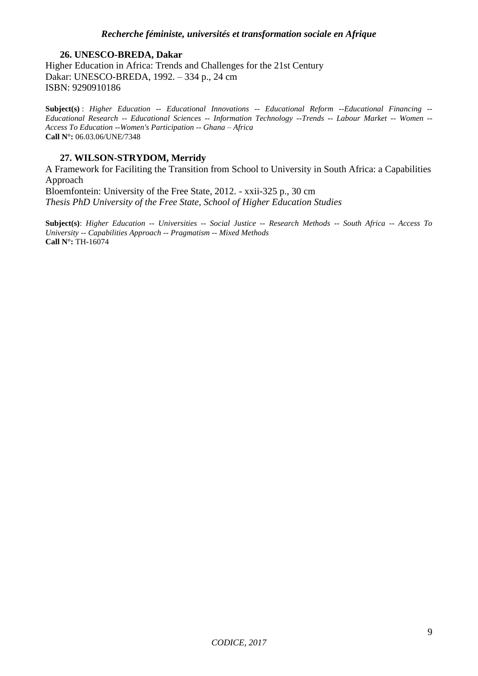**26. UNESCO-BREDA, Dakar** Higher Education in Africa: Trends and Challenges for the 21st Century Dakar: UNESCO-BREDA, 1992. – 334 p., 24 cm ISBN: 9290910186

**Subject(s)** : *Higher Education -- Educational Innovations -- Educational Reform --Educational Financing -- Educational Research -- Educational Sciences -- Information Technology --Trends -- Labour Market -- Women -- Access To Education --Women's Participation -- Ghana – Africa* **Call N°:** 06.03.06/UNE/7348

#### **27. WILSON-STRYDOM, Merridy**

A Framework for Faciliting the Transition from School to University in South Africa: a Capabilities Approach Bloemfontein: University of the Free State, 2012. - xxii-325 p., 30 cm *Thesis PhD University of the Free State, School of Higher Education Studies*

**Subject(s)**: *Higher Education -- Universities -- Social Justice -- Research Methods -- South Africa -- Access To University -- Capabilities Approach -- Pragmatism -- Mixed Methods* **Call N°:** TH**-**16074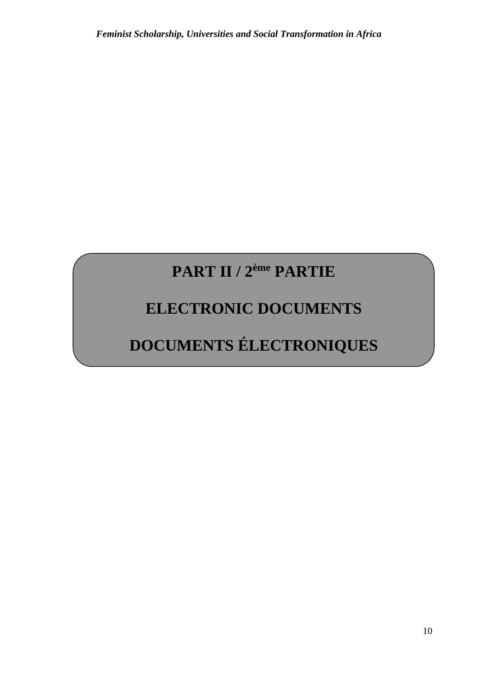# **PART II / 2ème PARTIE**

## **ELECTRONIC DOCUMENTS**

# **DOCUMENTS ÉLECTRONIQUES**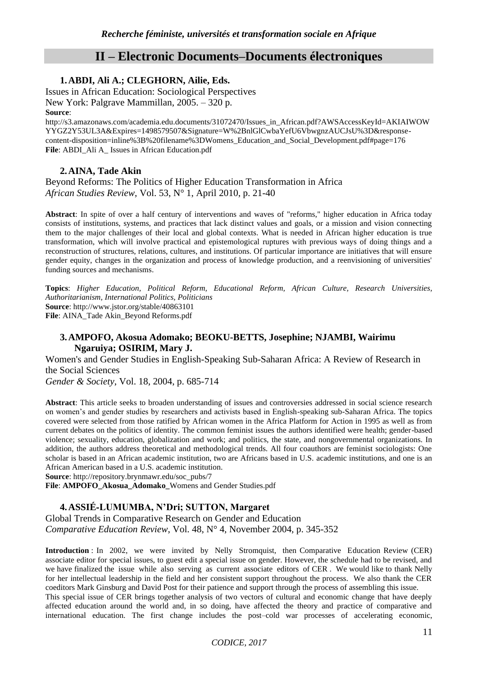## **II – Electronic Documents–Documents électroniques**

### <span id="page-10-0"></span>**1.ABDI, Ali A.; CLEGHORN, Ailie, Eds.**

Issues in African Education: Sociological Perspectives New York: Palgrave Mammillan, 2005. – 320 p. **Source**:

http://s3.amazonaws.com/academia.edu.documents/31072470/Issues\_in\_African.pdf?AWSAccessKeyId=AKIAIWOW YYGZ2Y53UL3A&Expires=1498579507&Signature=W%2BnlGlCwbaYefU6VbwgnzAUCJsU%3D&responsecontent-disposition=inline%3B%20filename%3DWomens\_Education\_and\_Social\_Development.pdf#page=176 **File**: ABDI\_Ali A\_ Issues in African Education.pdf

#### **2.AINA, Tade Akin**

Beyond Reforms: The Politics of Higher Education Transformation in Africa *African Studies Review*, Vol. 53, N° 1, April 2010, p. 21-40

**Abstract**: In spite of over a half century of interventions and waves of "reforms," higher education in Africa today consists of institutions, systems, and practices that lack distinct values and goals, or a mission and vision connecting them to the major challenges of their local and global contexts. What is needed in African higher education is true transformation, which will involve practical and epistemological ruptures with previous ways of doing things and a reconstruction of structures, relations, cultures, and institutions. Of particular importance are initiatives that will ensure gender equity, changes in the organization and process of knowledge production, and a reenvisioning of universities' funding sources and mechanisms.

**Topics**: *Higher Education, Political Reform, Educational Reform, African Culture, Research Universities, Authoritarianism, International Politics, Politicians* **Source**: http://www.jstor.org/stable/40863101 **File**: AINA\_Tade Akin\_Beyond Reforms.pdf

#### **3.AMPOFO, Akosua Adomako; BEOKU-BETTS, Josephine; NJAMBI, Wairimu Ngaruiya; OSIRIM, Mary J.**

Women's and Gender Studies in English-Speaking Sub-Saharan Africa: A Review of Research in the Social Sciences

*Gender & Society*, Vol. 18, 2004, p. 685-714

**Abstract**: This article seeks to broaden understanding of issues and controversies addressed in social science research on women's and gender studies by researchers and activists based in English-speaking sub-Saharan Africa. The topics covered were selected from those ratified by African women in the Africa Platform for Action in 1995 as well as from current debates on the politics of identity. The common feminist issues the authors identified were health; gender-based violence; sexuality, education, globalization and work; and politics, the state, and nongovernmental organizations. In addition, the authors address theoretical and methodological trends. All four coauthors are feminist sociologists: One scholar is based in an African academic institution, two are Africans based in U.S. academic institutions, and one is an African American based in a U.S. academic institution.

**Source**: http://repository.brynmawr.edu/soc\_pubs/7

**File**: **AMPOFO\_Akosua\_Adomako\_**Womens and Gender Studies.pdf

### **4.ASSIÉ**‐**LUMUMBA, N'Dri; SUTTON, Margaret**

Global Trends in Comparative Research on Gender and Education *Comparative Education Review*, Vol. 48, N° 4, November 2004, p. 345-352

**Introduction** : In 2002, we were invited by Nelly Stromquist, then Comparative Education Review (CER) associate editor for special issues, to guest edit a special issue on gender. However, the schedule had to be revised, and we have finalized the issue while also serving as current associate editors of CER . We would like to thank Nelly for her intellectual leadership in the field and her consistent support throughout the process. We also thank the CER coeditors Mark Ginsburg and David Post for their patience and support through the process of assembling this issue.

This special issue of CER brings together analysis of two vectors of cultural and economic change that have deeply affected education around the world and, in so doing, have affected the theory and practice of comparative and international education. The first change includes the post–cold war processes of accelerating economic,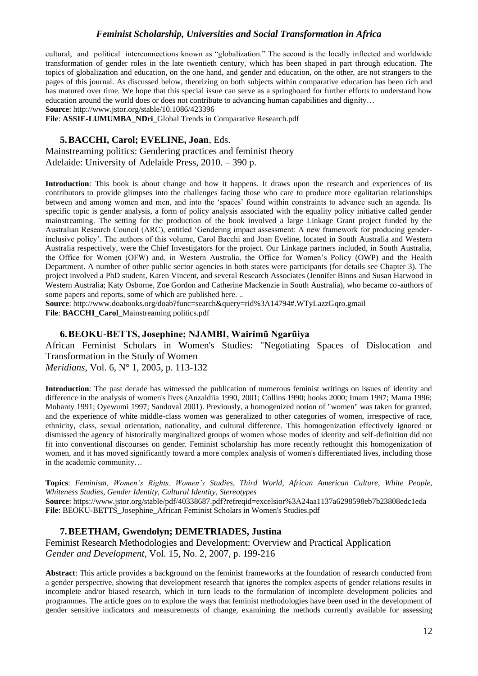cultural, and political interconnections known as "globalization." The second is the locally inflected and worldwide transformation of gender roles in the late twentieth century, which has been shaped in part through education. The topics of globalization and education, on the one hand, and gender and education, on the other, are not strangers to the pages of this journal. As discussed below, theorizing on both subjects within comparative education has been rich and has matured over time. We hope that this special issue can serve as a springboard for further efforts to understand how education around the world does or does not contribute to advancing human capabilities and dignity…

**Source**: http://www.jstor.org/stable/10.1086/423396

**File**: **ASSIE**‐**LUMUMBA\_NDri\_**Global Trends in Comparative Research.pdf

#### **5.BACCHI, Carol; EVELINE, Joan**, Eds.

Mainstreaming politics: Gendering practices and feminist theory Adelaide: University of Adelaide Press, 2010. – 390 p.

**Introduction**: This book is about change and how it happens. It draws upon the research and experiences of its contributors to provide glimpses into the challenges facing those who care to produce more egalitarian relationships between and among women and men, and into the 'spaces' found within constraints to advance such an agenda. Its specific topic is gender analysis, a form of policy analysis associated with the equality policy initiative called gender mainstreaming. The setting for the production of the book involved a large Linkage Grant project funded by the Australian Research Council (ARC), entitled 'Gendering impact assessment: A new framework for producing genderinclusive policy'. The authors of this volume, Carol Bacchi and Joan Eveline, located in South Australia and Western Australia respectively, were the Chief Investigators for the project. Our Linkage partners included, in South Australia, the Office for Women (OFW) and, in Western Australia, the Office for Women's Policy (OWP) and the Health Department. A number of other public sector agencies in both states were participants (for details see Chapter 3). The project involved a PhD student, Karen Vincent, and several Research Associates (Jennifer Binns and Susan Harwood in Western Australia; Katy Osborne, Zoe Gordon and Catherine Mackenzie in South Australia), who became co-authors of some papers and reports, some of which are published here. ..

**Source**: http://www.doabooks.org/doab?func=search&query=rid%3A14794#.WTyLazzGqro.gmail **File**: **BACCHI\_Carol\_**Mainstreaming politics.pdf

#### **6.BEOKU-BETTS, Josephine; NJAMBI, Wairimũ Ngarũiya**

African Feminist Scholars in Women's Studies: "Negotiating Spaces of Dislocation and Transformation in the Study of Women

*Meridians*, Vol. 6, N° 1, 2005, p. 113-132

**Introduction**: The past decade has witnessed the publication of numerous feminist writings on issues of identity and difference in the analysis of women's lives (Anzaldiia 1990, 2001; Collins 1990; hooks 2000; Imam 1997; Mama 1996; Mohanty 1991; Oyewumi 1997; Sandoval 2001). Previously, a homogenized notion of "women" was taken for granted, and the experience of white middle-class women was generalized to other categories of women, irrespective of race, ethnicity, class, sexual orientation, nationality, and cultural difference. This homogenization effectively ignored or dismissed the agency of historically marginalized groups of women whose modes of identity and self-definition did not fit into conventional discourses on gender. Feminist scholarship has more recently rethought this homogenization of women, and it has moved significantly toward a more complex analysis of women's differentiated lives, including those in the academic community…

**Topics**: *Feminism, Women's Rights, Women's Studies, Third World, African American Culture, White People, Whiteness Studies, Gender Identity, Cultural Identity, Stereotypes*

**Source**: https://www.jstor.org/stable/pdf/40338687.pdf?refreqid=excelsior%3A24aa1137a6298598eb7b23808edc1eda File: BEOKU-BETTS\_Josephine\_African Feminist Scholars in Women's Studies.pdf

#### **7.BEETHAM, Gwendolyn; DEMETRIADES, Justina**

Feminist Research Methodologies and Development: Overview and Practical Application *Gender and Development*, Vol. 15, No. 2, 2007, p. 199-216

**Abstract**: This article provides a background on the feminist frameworks at the foundation of research conducted from a gender perspective, showing that development research that ignores the complex aspects of gender relations results in incomplete and/or biased research, which in turn leads to the formulation of incomplete development policies and programmes. The article goes on to explore the ways that feminist methodologies have been used in the development of gender sensitive indicators and measurements of change, examining the methods currently available for assessing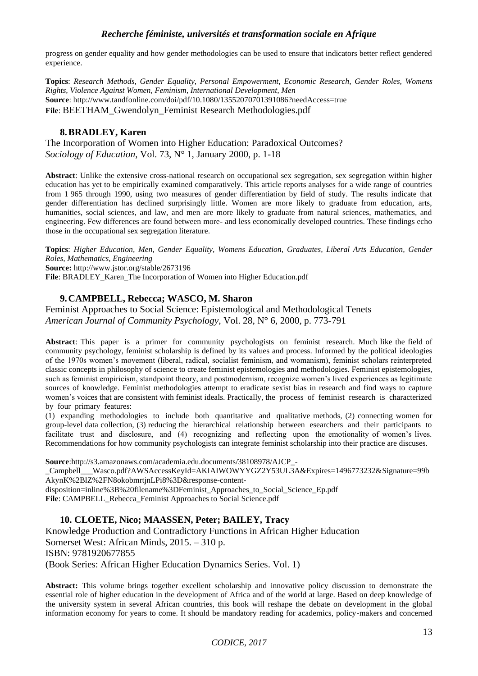progress on gender equality and how gender methodologies can be used to ensure that indicators better reflect gendered experience.

**Topics**: *Research Methods, Gender Equality, Personal Empowerment, Economic Research, Gender Roles, Womens Rights, Violence Against Women, Feminism, International Development, Men* **Source**: http://www.tandfonline.com/doi/pdf/10.1080/13552070701391086?needAccess=true **File**: BEETHAM\_Gwendolyn\_Feminist Research Methodologies.pdf

#### **8.BRADLEY, Karen**

The Incorporation of Women into Higher Education: Paradoxical Outcomes? *Sociology of Education*, Vol. 73, N° 1, January 2000, p. 1-18

**Abstract**: Unlike the extensive cross-national research on occupational sex segregation, sex segregation within higher education has yet to be empirically examined comparatively. This article reports analyses for a wide range of countries from 1 965 through 1990, using two measures of gender differentiation by field of study. The results indicate that gender differentiation has declined surprisingly little. Women are more likely to graduate from education, arts, humanities, social sciences, and law, and men are more likely to graduate from natural sciences, mathematics, and engineering. Few differences are found between more- and less economically developed countries. These findings echo those in the occupational sex segregation literature.

**Topics**: *Higher Education, Men, Gender Equality, Womens Education, Graduates, Liberal Arts Education, Gender Roles, Mathematics, Engineering* **Source:** http://www.jstor.org/stable/2673196

File: BRADLEY\_Karen\_The Incorporation of Women into Higher Education.pdf

#### **9.CAMPBELL, Rebecca; WASCO, M. Sharon**

Feminist Approaches to Social Science: Epistemological and Methodological Tenets *American Journal of Community Psychology*, Vol. 28, N° 6, 2000, p. 773-791

**Abstract**: This paper is a primer for community psychologists on feminist research. Much like the field of community psychology, feminist scholarship is defined by its values and process. Informed by the political ideologies of the 1970s women's movement (liberal, radical, socialist feminism, and womanism), feminist scholars reinterpreted classic concepts in philosophy of science to create feminist epistemologies and methodologies. Feminist epistemologies, such as feminist empiricism, standpoint theory, and postmodernism, recognize women's lived experiences as legitimate sources of knowledge. Feminist methodologies attempt to eradicate sexist bias in research and find ways to capture women's voices that are consistent with feminist ideals. Practically, the process of feminist research is characterized by four primary features:

(1) expanding methodologies to include both quantitative and qualitative methods, (2) connecting women for group-level data collection, (3) reducing the hierarchical relationship between esearchers and their participants to facilitate trust and disclosure, and (4) recognizing and reflecting upon the emotionality of women's lives. Recommendations for how community psychologists can integrate feminist scholarship into their practice are discuses.

**Source**:http://s3.amazonaws.com/academia.edu.documents/38108978/AJCP\_-

\_Campbell\_\_\_Wasco.pdf?AWSAccessKeyId=AKIAIWOWYYGZ2Y53UL3A&Expires=1496773232&Signature=99b AkynK%2BlZ%2FN8okobmrtjnLPi8%3D&response-content-

disposition=inline%3B%20filename%3DFeminist\_Approaches\_to\_Social\_Science\_Ep.pdf

**File**: CAMPBELL\_Rebecca\_Feminist Approaches to Social Science.pdf

#### **10. CLOETE, Nico; MAASSEN, Peter; BAILEY, Tracy**

Knowledge Production and Contradictory Functions in African Higher Education Somerset West: African Minds, 2015. – 310 p. ISBN: 9781920677855 (Book Series: African Higher Education Dynamics Series. Vol. 1)

**Abstract:** This volume brings together excellent scholarship and innovative policy discussion to demonstrate the essential role of higher education in the development of Africa and of the world at large. Based on deep knowledge of the university system in several African countries, this book will reshape the debate on development in the global information economy for years to come. It should be mandatory reading for academics, policy-makers and concerned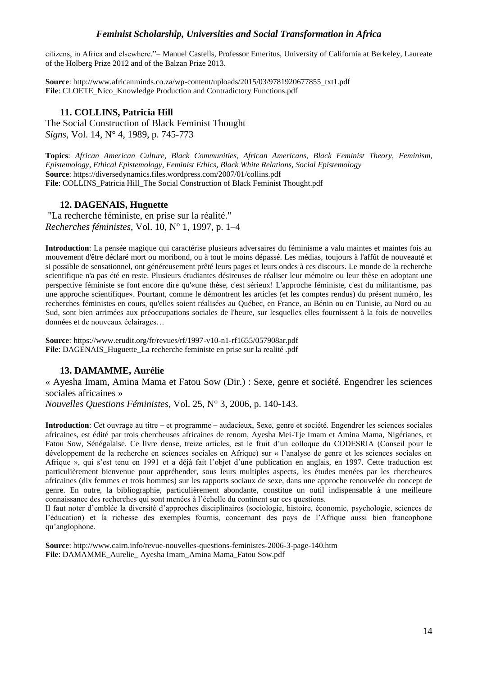citizens, in Africa and elsewhere."– Manuel Castells, Professor Emeritus, University of California at Berkeley, Laureate of the Holberg Prize 2012 and of the Balzan Prize 2013.

**Source**: http://www.africanminds.co.za/wp-content/uploads/2015/03/9781920677855\_txt1.pdf **File**: CLOETE\_Nico\_Knowledge Production and Contradictory Functions.pdf

#### **11. COLLINS, Patricia Hill**

The Social Construction of Black Feminist Thought *Signs*, Vol. 14, N° 4, 1989, p. 745-773

**Topics**: *African American Culture, Black Communities, African Americans, Black Feminist Theory, Feminism, Epistemology, Ethical Epistemology, Feminist Ethics, Black White Relations, Social Epistemology* **Source**: https://diversedynamics.files.wordpress.com/2007/01/collins.pdf **File**: COLLINS\_Patricia Hill\_The Social Construction of Black Feminist Thought.pdf

#### **12. DAGENAIS, Huguette**

"La recherche féministe, en prise sur la réalité." *Recherches féministes*, Vol. 10, N° 1, 1997, p. 1–4

**Introduction**: La pensée magique qui caractérise plusieurs adversaires du féminisme a valu maintes et maintes fois au mouvement d'être déclaré mort ou moribond, ou à tout le moins dépassé. Les médias, toujours à l'affût de nouveauté et si possible de sensationnel, ont généreusement prêté leurs pages et leurs ondes à ces discours. Le monde de la recherche scientifique n'a pas été en reste. Plusieurs étudiantes désireuses de réaliser leur mémoire ou leur thèse en adoptant une perspective féministe se font encore dire qu'«une thèse, c'est sérieux! L'approche féministe, c'est du militantisme, pas une approche scientifique». Pourtant, comme le démontrent les articles (et les comptes rendus) du présent numéro, les recherches féministes en cours, qu'elles soient réalisées au Québec, en France, au Bénin ou en Tunisie, au Nord ou au Sud, sont bien arrimées aux préoccupations sociales de l'heure, sur lesquelles elles fournissent à la fois de nouvelles données et de nouveaux éclairages…

**Source**: https://www.erudit.org/fr/revues/rf/1997-v10-n1-rf1655/057908ar.pdf **File**: DAGENAIS\_Huguette\_La recherche feministe en prise sur la realité .pdf

### **13. DAMAMME, Aurélie**

« Ayesha Imam, Amina Mama et Fatou Sow (Dir.) : Sexe, genre et société. Engendrer les sciences sociales africaines »

*Nouvelles Questions Féministes*, Vol. 25, N° 3, 2006, p. 140-143.

**Introduction**: Cet ouvrage au titre – et programme – audacieux, Sexe, genre et société. Engendrer les sciences sociales africaines, est édité par trois chercheuses africaines de renom, Ayesha Mei-Tje Imam et Amina Mama, Nigérianes, et Fatou Sow, Sénégalaise. Ce livre dense, treize articles, est le fruit d'un colloque du CODESRIA (Conseil pour le développement de la recherche en sciences sociales en Afrique) sur « l'analyse de genre et les sciences sociales en Afrique », qui s'est tenu en 1991 et a déjà fait l'objet d'une publication en anglais, en 1997. Cette traduction est particulièrement bienvenue pour appréhender, sous leurs multiples aspects, les études menées par les chercheures africaines (dix femmes et trois hommes) sur les rapports sociaux de sexe, dans une approche renouvelée du concept de genre. En outre, la bibliographie, particulièrement abondante, constitue un outil indispensable à une meilleure connaissance des recherches qui sont menées à l'échelle du continent sur ces questions.

Il faut noter d'emblée la diversité d'approches disciplinaires (sociologie, histoire, économie, psychologie, sciences de l'éducation) et la richesse des exemples fournis, concernant des pays de l'Afrique aussi bien francophone qu'anglophone.

**Source**: http://www.cairn.info/revue-nouvelles-questions-feministes-2006-3-page-140.htm **File**: DAMAMME\_Aurelie\_ Ayesha Imam\_Amina Mama\_Fatou Sow.pdf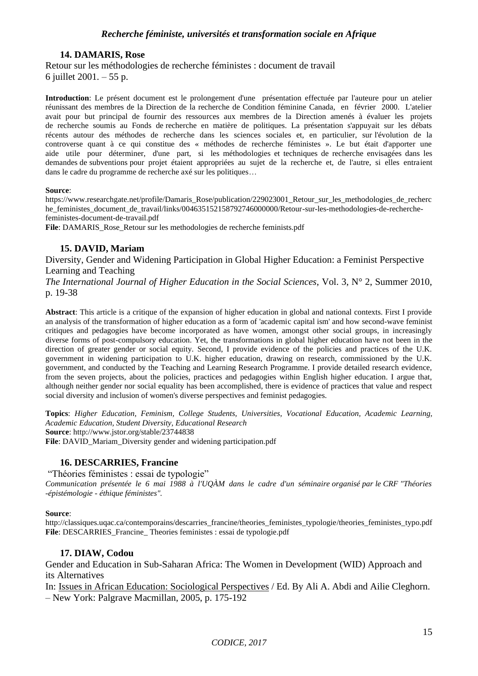#### **14. DAMARIS, Rose**

Retour sur les méthodologies de recherche féministes : document de travail 6 juillet 2001. – 55 p.

**Introduction**: Le présent document est le prolongement d'une présentation effectuée par l'auteure pour un atelier réunissant des membres de la Direction de la recherche de Condition féminine Canada, en février 2000. L'atelier avait pour but principal de fournir des ressources aux membres de la Direction amenés à évaluer les projets de recherche soumis au Fonds de recherche en matière de politiques. La présentation s'appuyait sur les débats récents autour des méthodes de recherche dans les sciences sociales et, en particulier, sur l'évolution de la controverse quant à ce qui constitue des « méthodes de recherche féministes ». Le but était d'apporter une aide utile pour déterminer, d'une part, si les méthodologies et techniques de recherche envisagées dans les demandes de subventions pour projet étaient appropriées au sujet de la recherche et, de l'autre, si elles entraient dans le cadre du programme de recherche axé sur les politiques…

#### **Source**:

https://www.researchgate.net/profile/Damaris\_Rose/publication/229023001\_Retour\_sur\_les\_methodologies\_de\_recherc he\_feministes\_document\_de\_travail/links/004635152158792746000000/Retour-sur-les-methodologies-de-recherchefeministes-document-de-travail.pdf

File: DAMARIS Rose Retour sur les methodologies de recherche feminists.pdf

#### **15. DAVID, Mariam**

Diversity, Gender and Widening Participation in Global Higher Education: a Feminist Perspective Learning and Teaching

*The International Journal of Higher Education in the Social Sciences*, Vol. 3, N° 2, Summer 2010, p. 19-38

**Abstract**: This article is a critique of the expansion of higher education in global and national contexts. First I provide an analysis of the transformation of higher education as a form of 'academic capital ism' and how second-wave feminist critiques and pedagogies have become incorporated as have women, amongst other social groups, in increasingly diverse forms of post-compulsory education. Yet, the transformations in global higher education have not been in the direction of greater gender or social equity. Second, I provide evidence of the policies and practices of the U.K. government in widening participation to U.K. higher education, drawing on research, commissioned by the U.K. government, and conducted by the Teaching and Learning Research Programme. I provide detailed research evidence, from the seven projects, about the policies, practices and pedagogies within English higher education. I argue that, although neither gender nor social equality has been accomplished, there is evidence of practices that value and respect social diversity and inclusion of women's diverse perspectives and feminist pedagogies.

**Topics**: *Higher Education, Feminism, College Students, Universities, Vocational Education, Academic Learning, Academic Education, Student Diversity, Educational Research*

**Source**: http://www.jstor.org/stable/23744838

File: DAVID\_Mariam\_Diversity gender and widening participation.pdf

#### **16. DESCARRIES, Francine**

"Théories féministes : essai de typologie"

*Communication présentée le 6 mai 1988 à l'UQÀM dans le cadre d'un séminaire organisé par le CRF "Théories -épistémologie - éthique féministes".*

#### **Source**:

http://classiques.uqac.ca/contemporains/descarries\_francine/theories\_feministes\_typologie/theories\_feministes\_typo.pdf File: DESCARRIES Francine Theories feministes : essai de typologie.pdf

#### **17. DIAW, Codou**

Gender and Education in Sub-Saharan Africa: The Women in Development (WID) Approach and its Alternatives

In: Issues in African Education: Sociological Perspectives / Ed. By Ali A. Abdi and Ailie Cleghorn. – New York: Palgrave Macmillan, 2005, p. 175-192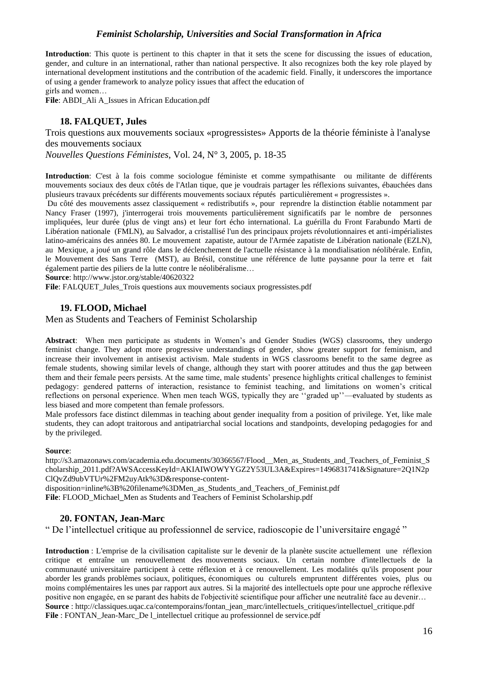**Introduction**: This quote is pertinent to this chapter in that it sets the scene for discussing the issues of education, gender, and culture in an international, rather than national perspective. It also recognizes both the key role played by international development institutions and the contribution of the academic field. Finally, it underscores the importance of using a gender framework to analyze policy issues that affect the education of

girls and women…

**File**: ABDI\_Ali A\_Issues in African Education.pdf

#### **18. FALQUET, Jules**

Trois questions aux mouvements sociaux «progressistes» Apports de la théorie féministe à l'analyse des mouvements sociaux

*Nouvelles Questions Féministes*, Vol. 24, N° 3, 2005, p. 18-35

**Introduction**: C'est à la fois comme sociologue féministe et comme sympathisante ou militante de différents mouvements sociaux des deux côtés de l'Atlan tique, que je voudrais partager les réflexions suivantes, ébauchées dans plusieurs travaux précédents sur différents mouvements sociaux réputés particulièrement « progressistes ».

Du côté des mouvements assez classiquement « redistributifs », pour reprendre la distinction établie notamment par Nancy Fraser (1997), j'interrogerai trois mouvements particulièrement significatifs par le nombre de personnes impliquées, leur durée (plus de vingt ans) et leur fort écho international. La guérilla du Front Farabundo Marti de Libération nationale (FMLN), au Salvador, a cristallisé l'un des principaux projets révolutionnaires et anti-impérialistes latino-américains des années 80. Le mouvement zapatiste, autour de l'Armée zapatiste de Libération nationale (EZLN), au Mexique, a joué un grand rôle dans le déclenchement de l'actuelle résistance à la mondialisation néolibérale. Enfin, le Mouvement des Sans Terre (MST), au Brésil, constitue une référence de lutte paysanne pour la terre et fait également partie des piliers de la lutte contre le néolibéralisme…

**Source**: http://www.jstor.org/stable/40620322

File: FALQUET Jules Trois questions aux mouvements sociaux progressistes.pdf

#### **19. FLOOD, Michael**

Men as Students and Teachers of Feminist Scholarship

**Abstract**: When men participate as students in Women's and Gender Studies (WGS) classrooms, they undergo feminist change. They adopt more progressive understandings of gender, show greater support for feminism, and increase their involvement in antisexist activism. Male students in WGS classrooms benefit to the same degree as female students, showing similar levels of change, although they start with poorer attitudes and thus the gap between them and their female peers persists. At the same time, male students' presence highlights critical challenges to feminist pedagogy: gendered patterns of interaction, resistance to feminist teaching, and limitations on women's critical reflections on personal experience. When men teach WGS, typically they are ''graded up''—evaluated by students as less biased and more competent than female professors.

Male professors face distinct dilemmas in teaching about gender inequality from a position of privilege. Yet, like male students, they can adopt traitorous and antipatriarchal social locations and standpoints, developing pedagogies for and by the privileged.

#### **Source**:

http://s3.amazonaws.com/academia.edu.documents/30366567/Flood\_\_Men\_as\_Students\_and\_Teachers\_of\_Feminist\_S cholarship\_2011.pdf?AWSAccessKeyId=AKIAIWOWYYGZ2Y53UL3A&Expires=1496831741&Signature=2Q1N2p ClQvZd9ubVTUr%2FM2uyAtk%3D&response-content-

disposition=inline%3B%20filename%3DMen\_as\_Students\_and\_Teachers\_of\_Feminist.pdf **File**: FLOOD\_Michael**\_**Men as Students and Teachers of Feminist Scholarship.pdf

#### **20. FONTAN, Jean-Marc**

" De l'intellectuel critique au professionnel de service, radioscopie de l'universitaire engagé "

**Introduction** : L'emprise de la civilisation capitaliste sur le devenir de la planète suscite actuellement une réflexion critique et entraîne un renouvellement des mouvements sociaux. Un certain nombre d'intellectuels de la communauté universitaire participent à cette réflexion et à ce renouvellement. Les modalités qu'ils proposent pour aborder les grands problèmes sociaux, politiques, économiques ou culturels empruntent différentes voies, plus ou moins complémentaires les unes par rapport aux autres. Si la majorité des intellectuels opte pour une approche réflexive positive non engagée, en se parant des habits de l'objectivité scientifique pour afficher une neutralité face au devenir… **Source**: http://classiques.uqac.ca/contemporains/fontan\_jean\_marc/intellectuels\_critiques/intellectuel\_critique.pdf **File** : FONTAN\_Jean-Marc\_De l\_intellectuel critique au professionnel de service.pdf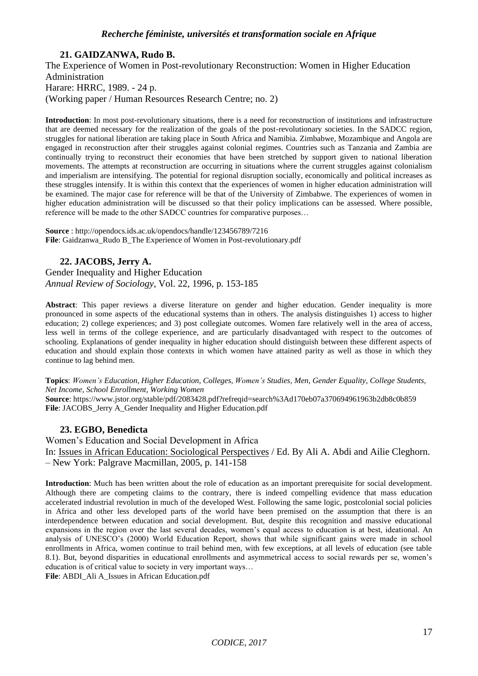#### **21. GAIDZANWA, Rudo B.**

The Experience of Women in Post-revolutionary Reconstruction: Women in Higher Education Administration Harare: HRRC, 1989. - 24 p. (Working paper / Human Resources Research Centre; no. 2)

**Introduction**: In most post-revolutionary situations, there is a need for reconstruction of institutions and infrastructure that are deemed necessary for the realization of the goals of the post-revolutionary societies. In the SADCC region, struggles for national liberation are taking place in South Africa and Namibia. Zimbabwe, Mozambique and Angola are engaged in reconstruction after their struggles against colonial regimes. Countries such as Tanzania and Zambia are continually trying to reconstruct their economies that have been stretched by support given to national liberation movements. The attempts at reconstruction are occurring in situations where the current struggles against colonialism and imperialism are intensifying. The potential for regional disruption socially, economically and political increases as these struggles intensify. It is within this context that the experiences of women in higher education administration will be examined. The major case for reference will be that of the University of Zimbabwe. The experiences of women in higher education administration will be discussed so that their policy implications can be assessed. Where possible, reference will be made to the other SADCC countries for comparative purposes…

**Source** : http://opendocs.ids.ac.uk/opendocs/handle/123456789/7216 File: Gaidzanwa\_Rudo B\_The Experience of Women in Post-revolutionary.pdf

#### **22. JACOBS, Jerry A.** Gender Inequality and Higher Education *Annual Review of Sociology*, Vol. 22, 1996, p. 153-185

**Abstract**: This paper reviews a diverse literature on gender and higher education. Gender inequality is more pronounced in some aspects of the educational systems than in others. The analysis distinguishes 1) access to higher education; 2) college experiences; and 3) post collegiate outcomes. Women fare relatively well in the area of access, less well in terms of the college experience, and are particularly disadvantaged with respect to the outcomes of schooling. Explanations of gender inequality in higher education should distinguish between these different aspects of education and should explain those contexts in which women have attained parity as well as those in which they continue to lag behind men.

**Topics**: *Women's Education, Higher Education, Colleges, Women's Studies, Men, Gender Equality, College Students, Net Income, School Enrollment, Working Women*

**Source**: https://www.jstor.org/stable/pdf/2083428.pdf?refreqid=search%3Ad170eb07a370694961963b2db8c0b859 **File**: JACOBS\_Jerry A\_Gender Inequality and Higher Education.pdf

### **23. EGBO, Benedicta**

Women's Education and Social Development in Africa In: Issues in African Education: Sociological Perspectives / Ed. By Ali A. Abdi and Ailie Cleghorn. – New York: Palgrave Macmillan, 2005, p. 141-158

**Introduction**: Much has been written about the role of education as an important prerequisite for social development. Although there are competing claims to the contrary, there is indeed compelling evidence that mass education accelerated industrial revolution in much of the developed West. Following the same logic, postcolonial social policies in Africa and other less developed parts of the world have been premised on the assumption that there is an interdependence between education and social development. But, despite this recognition and massive educational expansions in the region over the last several decades, women's equal access to education is at best, ideational. An analysis of UNESCO's (2000) World Education Report, shows that while significant gains were made in school enrollments in Africa, women continue to trail behind men, with few exceptions, at all levels of education (see table 8.1). But, beyond disparities in educational enrollments and asymmetrical access to social rewards per se, women's education is of critical value to society in very important ways…

File: ABDI\_Ali A\_Issues in African Education.pdf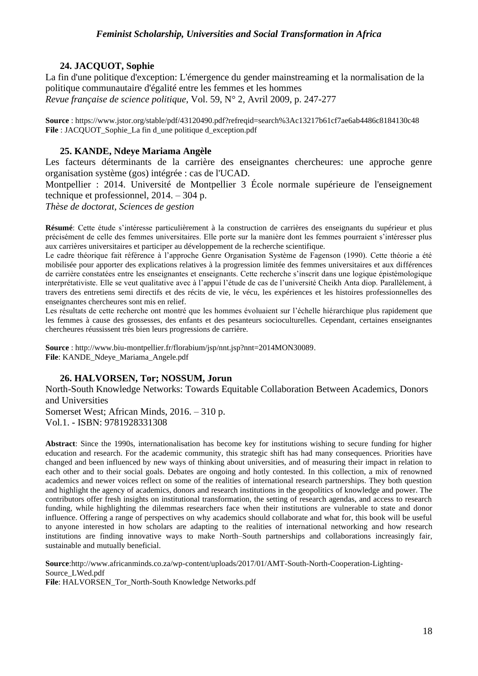## **24. JACQUOT, Sophie**

La fin d'une politique d'exception: L'émergence du gender mainstreaming et la normalisation de la politique communautaire d'égalité entre les femmes et les hommes *Revue française de science politique*, Vol. 59, N° 2, Avril 2009, p. 247-277

**Source** : https://www.jstor.org/stable/pdf/43120490.pdf?refreqid=search%3Ac13217b61cf7ae6ab4486c8184130c48 **File** : JACQUOT\_Sophie\_La fin d\_une politique d\_exception.pdf

#### **25. KANDE, Ndeye Mariama Angèle**

Les facteurs déterminants de la carrière des enseignantes chercheures: une approche genre organisation système (gos) intégrée : cas de l'UCAD.

Montpellier : 2014. Université de Montpellier 3 École normale supérieure de l'enseignement technique et professionnel, 2014. – 304 p.

*Thèse de doctorat, Sciences de gestion*

**Résumé**: Cette étude s'intéresse particulièrement à la construction de carrières des enseignants du supérieur et plus précisément de celle des femmes universitaires. Elle porte sur la manière dont les femmes pourraient s'intéresser plus aux carrières universitaires et participer au développement de la recherche scientifique.

Le cadre théorique fait référence à l'approche Genre Organisation Système de Fagenson (1990). Cette théorie a été mobilisée pour apporter des explications relatives à la progression limitée des femmes universitaires et aux différences de carrière constatées entre les enseignantes et enseignants. Cette recherche s'inscrit dans une logique épistémologique interprétativiste. Elle se veut qualitative avec à l'appui l'étude de cas de l'université Cheikh Anta diop. Parallèlement, à travers des entretiens semi directifs et des récits de vie, le vécu, les expériences et les histoires professionnelles des enseignantes chercheures sont mis en relief.

Les résultats de cette recherche ont montré que les hommes évoluaient sur l'échelle hiérarchique plus rapidement que les femmes à cause des grossesses, des enfants et des pesanteurs socioculturelles. Cependant, certaines enseignantes chercheures réussissent très bien leurs progressions de carrière.

**Source** : [http://www.biu-montpellier.fr/florabium/jsp/nnt.jsp?nnt=2014MON30089.](http://www.biu-montpellier.fr/florabium/jsp/nnt.jsp?nnt=2014MON30089) **File**: KANDE\_Ndeye\_Mariama\_Angele.pdf

### **26. HALVORSEN, Tor; NOSSUM, Jorun**

North-South Knowledge Networks: Towards Equitable Collaboration Between Academics, Donors and Universities

Somerset West; African Minds, 2016. – 310 p. Vol.1. - ISBN: 9781928331308

**Abstract**: Since the 1990s, internationalisation has become key for institutions wishing to secure funding for higher education and research. For the academic community, this strategic shift has had many consequences. Priorities have changed and been influenced by new ways of thinking about universities, and of measuring their impact in relation to each other and to their social goals. Debates are ongoing and hotly contested. In this collection, a mix of renowned academics and newer voices reflect on some of the realities of international research partnerships. They both question and highlight the agency of academics, donors and research institutions in the geopolitics of knowledge and power. The contributors offer fresh insights on institutional transformation, the setting of research agendas, and access to research funding, while highlighting the dilemmas researchers face when their institutions are vulnerable to state and donor influence. Offering a range of perspectives on why academics should collaborate and what for, this book will be useful to anyone interested in how scholars are adapting to the realities of international networking and how research institutions are finding innovative ways to make North–South partnerships and collaborations increasingly fair, sustainable and mutually beneficial.

**Source**:http://www.africanminds.co.za/wp-content/uploads/2017/01/AMT-South-North-Cooperation-Lighting-Source\_LWed.pdf

**File**: HALVORSEN\_Tor\_North-South Knowledge Networks.pdf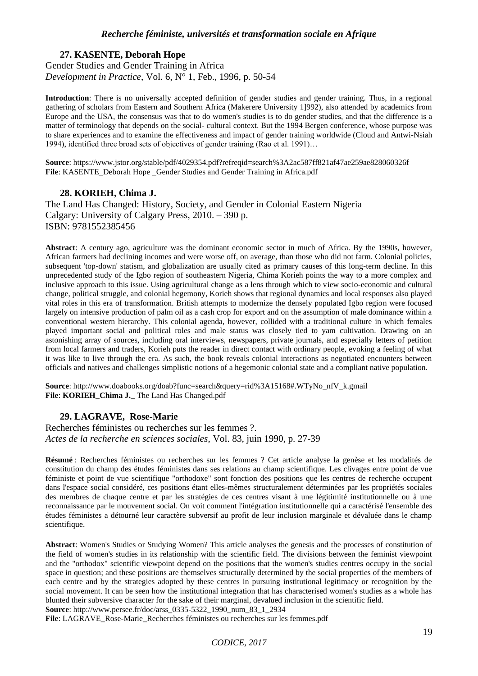#### **27. KASENTE, Deborah Hope**  Gender Studies and Gender Training in Africa *Development in Practice*, Vol. 6, N° 1, Feb., 1996, p. 50-54

**Introduction**: There is no universally accepted definition of gender studies and gender training. Thus, in a regional gathering of scholars from Eastern and Southern Africa (Makerere University 1]992), also attended by academics from Europe and the USA, the consensus was that to do women's studies is to do gender studies, and that the difference is a matter of terminology that depends on the social- cultural context. But the 1994 Bergen conference, whose purpose was to share experiences and to examine the effectiveness and impact of gender training worldwide (Cloud and Antwi-Nsiah 1994), identified three broad sets of objectives of gender training (Rao et al. 1991)…

**Source**: https://www.jstor.org/stable/pdf/4029354.pdf?refreqid=search%3A2ac587ff821af47ae259ae828060326f **File**: KASENTE\_Deborah Hope \_Gender Studies and Gender Training in Africa.pdf

#### **28. KORIEH, Chima J.**

The Land Has Changed: History, Society, and Gender in Colonial Eastern Nigeria Calgary: University of Calgary Press, 2010. – 390 p. ISBN: 9781552385456

**Abstract**: A century ago, agriculture was the dominant economic sector in much of Africa. By the 1990s, however, African farmers had declining incomes and were worse off, on average, than those who did not farm. Colonial policies, subsequent 'top-down' statism, and globalization are usually cited as primary causes of this long-term decline. In this unprecedented study of the Igbo region of southeastern Nigeria, Chima Korieh points the way to a more complex and inclusive approach to this issue. Using agricultural change as a lens through which to view socio-economic and cultural change, political struggle, and colonial hegemony, Korieh shows that regional dynamics and local responses also played vital roles in this era of transformation. British attempts to modernize the densely populated Igbo region were focused largely on intensive production of palm oil as a cash crop for export and on the assumption of male dominance within a conventional western hierarchy. This colonial agenda, however, collided with a traditional culture in which females played important social and political roles and male status was closely tied to yam cultivation. Drawing on an astonishing array of sources, including oral interviews, newspapers, private journals, and especially letters of petition from local farmers and traders, Korieh puts the reader in direct contact with ordinary people, evoking a feeling of what it was like to live through the era. As such, the book reveals colonial interactions as negotiated encounters between officials and natives and challenges simplistic notions of a hegemonic colonial state and a compliant native population.

**Source**: http://www.doabooks.org/doab?func=search&query=rid%3A15168#.WTyNo\_nfV\_k.gmail **File**: **KORIEH\_Chima J.\_** The Land Has Changed.pdf

### **29. LAGRAVE, Rose-Marie**

Recherches féministes ou recherches sur les femmes ?. *Actes de la recherche en sciences sociales*, Vol. 83, juin 1990, p. 27-39

**Résumé** : Recherches féministes ou recherches sur les femmes ? Cet article analyse la genèse et les modalités de constitution du champ des études féministes dans ses relations au champ scientifique. Les clivages entre point de vue féministe et point de vue scientifique "orthodoxe" sont fonction des positions que les centres de recherche occupent dans l'espace social considéré, ces positions étant elles-mêmes structuralement déterminées par les propriétés sociales des membres de chaque centre et par les stratégies de ces centres visant à une légitimité institutionnelle ou à une reconnaissance par le mouvement social. On voit comment l'intégration institutionnelle qui a caractérisé l'ensemble des études féministes a détourné leur caractère subversif au profit de leur inclusion marginale et dévaluée dans le champ scientifique.

**Abstract**: Women's Studies or Studying Women? This article analyses the genesis and the processes of constitution of the field of women's studies in its relationship with the scientific field. The divisions between the feminist viewpoint and the "orthodox" scientific viewpoint depend on the positions that the women's studies centres occupy in the social space in question; and these positions are themselves structurally determined by the social properties of the members of each centre and by the strategies adopted by these centres in pursuing institutional legitimacy or recognition by the social movement. It can be seen how the institutional integration that has characterised women's studies as a whole has blunted their subversive character for the sake of their marginal, devalued inclusion in the scientific field.

**Source**: http://www.persee.fr/doc/arss\_0335-5322\_1990\_num\_83\_1\_2934

File: LAGRAVE\_Rose-Marie\_Recherches féministes ou recherches sur les femmes.pdf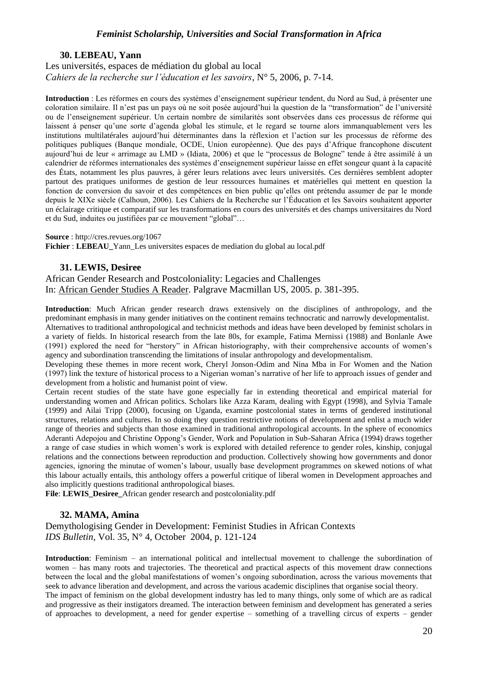#### **30. LEBEAU, Yann**

#### Les universités, espaces de médiation du global au local *Cahiers de la recherche sur l'éducation et les savoirs*, N° 5, 2006, p. 7-14.

**Introduction** : Les réformes en cours des systèmes d'enseignement supérieur tendent, du Nord au Sud, à présenter une coloration similaire. Il n'est pas un pays où ne soit posée aujourd'hui la question de la "transformation" de l'université ou de l'enseignement supérieur. Un certain nombre de similarités sont observées dans ces processus de réforme qui laissent à penser qu'une sorte d'agenda global les stimule, et le regard se tourne alors immanquablement vers les institutions multilatérales aujourd'hui déterminantes dans la réflexion et l'action sur les processus de réforme des politiques publiques (Banque mondiale, OCDE, Union européenne). Que des pays d'Afrique francophone discutent aujourd'hui de leur « arrimage au LMD » (Idiata, 2006) et que le "processus de Bologne" tende à être assimilé à un calendrier de réformes internationales des systèmes d'enseignement supérieur laisse en effet songeur quant à la capacité des États, notamment les plus pauvres, à gérer leurs relations avec leurs universités. Ces dernières semblent adopter partout des pratiques uniformes de gestion de leur ressources humaines et matérielles qui mettent en question la fonction de conversion du savoir et des compétences en bien public qu'elles ont prétendu assumer de par le monde depuis le XIXe siècle (Calhoun, 2006). Les Cahiers de la Recherche sur l'Éducation et les Savoirs souhaitent apporter un éclairage critique et comparatif sur les transformations en cours des universités et des champs universitaires du Nord et du Sud, induites ou justifiées par ce mouvement "global"…

#### **Source** : http://cres.revues.org/1067

**Fichier** : **LEBEAU\_**Yann\_Les universites espaces de mediation du global au local.pdf

#### **31. LEWIS, Desiree**

African Gender Research and Postcoloniality: Legacies and Challenges In: African Gender Studies A Reader. Palgrave Macmillan US, 2005. p. 381-395.

**Introduction**: Much African gender research draws extensively on the disciplines of anthropology, and the predominant emphasis in many gender initiatives on the continent remains technocratic and narrowly developmentalist. Alternatives to traditional anthropological and technicist methods and ideas have been developed by feminist scholars in a variety of fields. In historical research from the late 80s, for example, Fatima Mernissi (1988) and Bonlanle Awe (1991) explored the need for "herstory" in African historiography, with their comprehensive accounts of women's agency and subordination transcending the limitations of insular anthropology and developmentalism.

Developing these themes in more recent work, Cheryl Jonson-Odim and Nina Mba in For Women and the Nation (1997) link the texture of historical process to a Nigerian woman's narrative of her life to approach issues of gender and development from a holistic and humanist point of view.

Certain recent studies of the state have gone especially far in extending theoretical and empirical material for understanding women and African politics. Scholars like Azza Karam, dealing with Egypt (1998), and Sylvia Tamale (1999) and Ailai Tripp (2000), focusing on Uganda, examine postcolonial states in terms of gendered institutional structures, relations and cultures. In so doing they question restrictive notions of development and enlist a much wider range of theories and subjects than those examined in traditional anthropological accounts. In the sphere of economics Aderanti Adepojou and Christine Oppong's Gender, Work and Population in Sub-Saharan Africa (1994) draws together a range of case studies in which women's work is explored with detailed reference to gender roles, kinship, conjugal relations and the connections between reproduction and production. Collectively showing how governments and donor agencies, ignoring the minutae of women's labour, usually base development programmes on skewed notions of what this labour actually entails, this anthology offers a powerful critique of liberal women in Development approaches and also implicitly questions traditional anthropological biases.

**File**: **LEWIS\_Desiree\_**African gender research and postcoloniality.pdf

#### **32. MAMA, Amina**

Demythologising Gender in Development: Feminist Studies in African Contexts *IDS Bulletin,* Vol. 35, N° 4, October 2004, p. 121-124

**Introduction**: Feminism – an international political and intellectual movement to challenge the subordination of women – has many roots and trajectories. The theoretical and practical aspects of this movement draw connections between the local and the global manifestations of women's ongoing subordination, across the various movements that seek to advance liberation and development, and across the various academic disciplines that organise social theory.

The impact of feminism on the global development industry has led to many things, only some of which are as radical and progressive as their instigators dreamed. The interaction between feminism and development has generated a series of approaches to development, a need for gender expertise – something of a travelling circus of experts – gender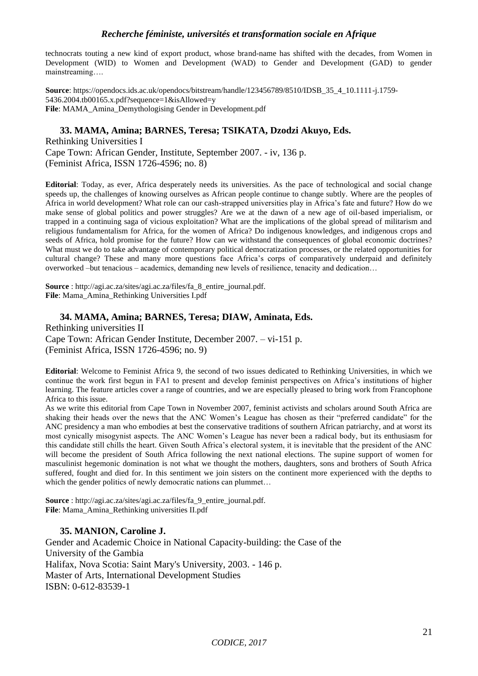technocrats touting a new kind of export product, whose brand-name has shifted with the decades, from Women in Development (WID) to Women and Development (WAD) to Gender and Development (GAD) to gender mainstreaming….

**Source**: https://opendocs.ids.ac.uk/opendocs/bitstream/handle/123456789/8510/IDSB\_35\_4\_10.1111-j.1759- 5436.2004.tb00165.x.pdf?sequence=1&isAllowed=y **File**: MAMA\_Amina\_Demythologising Gender in Development.pdf

#### **33. MAMA, Amina; BARNES, Teresa; TSIKATA, Dzodzi Akuyo, Eds.**

Rethinking Universities I Cape Town: African Gender, Institute, September 2007. - iv, 136 p. (Feminist Africa, ISSN 1726-4596; no. 8)

**Editorial**: Today, as ever, Africa desperately needs its universities. As the pace of technological and social change speeds up, the challenges of knowing ourselves as African people continue to change subtly. Where are the peoples of Africa in world development? What role can our cash-strapped universities play in Africa's fate and future? How do we make sense of global politics and power struggles? Are we at the dawn of a new age of oil-based imperialism, or trapped in a continuing saga of vicious exploitation? What are the implications of the global spread of militarism and religious fundamentalism for Africa, for the women of Africa? Do indigenous knowledges, and indigenous crops and seeds of Africa, hold promise for the future? How can we withstand the consequences of global economic doctrines? What must we do to take advantage of contemporary political democratization processes, or the related opportunities for cultural change? These and many more questions face Africa's corps of comparatively underpaid and definitely overworked –but tenacious – academics, demanding new levels of resilience, tenacity and dedication…

**Source**: http://agi.ac.za/sites/agi.ac.za/files/fa\_8\_entire\_journal.pdf. **File**: Mama\_Amina\_Rethinking Universities I.pdf

#### **34. MAMA, Amina; BARNES, Teresa; DIAW, Aminata, Eds.**

Rethinking universities II Cape Town: African Gender Institute, December 2007. – vi-151 p. (Feminist Africa, ISSN 1726-4596; no. 9)

**Editorial**: Welcome to Feminist Africa 9, the second of two issues dedicated to Rethinking Universities, in which we continue the work first begun in FA1 to present and develop feminist perspectives on Africa's institutions of higher learning. The feature articles cover a range of countries, and we are especially pleased to bring work from Francophone Africa to this issue.

As we write this editorial from Cape Town in November 2007, feminist activists and scholars around South Africa are shaking their heads over the news that the ANC Women's League has chosen as their "preferred candidate" for the ANC presidency a man who embodies at best the conservative traditions of southern African patriarchy, and at worst its most cynically misogynist aspects. The ANC Women's League has never been a radical body, but its enthusiasm for this candidate still chills the heart. Given South Africa's electoral system, it is inevitable that the president of the ANC will become the president of South Africa following the next national elections. The supine support of women for masculinist hegemonic domination is not what we thought the mothers, daughters, sons and brothers of South Africa suffered, fought and died for. In this sentiment we join sisters on the continent more experienced with the depths to which the gender politics of newly democratic nations can plummet...

**Source** : http://agi.ac.za/sites/agi.ac.za/files/fa\_9\_entire\_journal.pdf. **File**: Mama\_Amina\_Rethinking universities II.pdf

#### **35. MANION, Caroline J.**

Gender and Academic Choice in National Capacity-building: the Case of the University of the Gambia Halifax, Nova Scotia: Saint Mary's University, 2003. - 146 p. Master of Arts, International Development Studies ISBN: 0-612-83539-1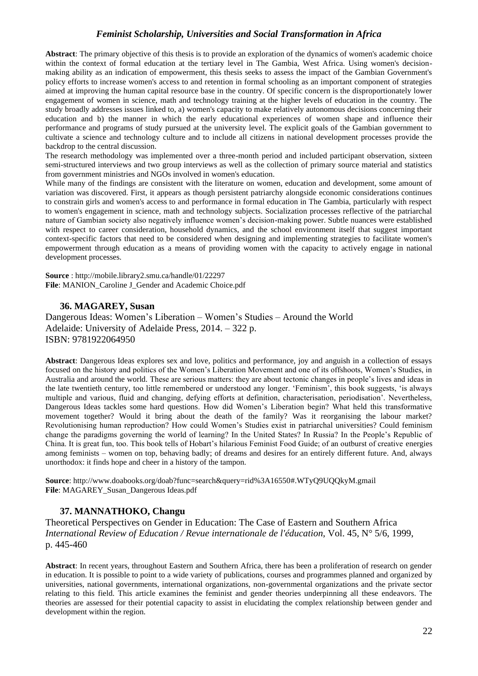**Abstract**: The primary objective of this thesis is to provide an exploration of the dynamics of women's academic choice within the context of formal education at the tertiary level in The Gambia, West Africa. Using women's decisionmaking ability as an indication of empowerment, this thesis seeks to assess the impact of the Gambian Government's policy efforts to increase women's access to and retention in formal schooling as an important component of strategies aimed at improving the human capital resource base in the country. Of specific concern is the disproportionately lower engagement of women in science, math and technology training at the higher levels of education in the country. The study broadly addresses issues linked to, a) women's capacity to make relatively autonomous decisions concerning their education and b) the manner in which the early educational experiences of women shape and influence their performance and programs of study pursued at the university level. The explicit goals of the Gambian government to cultivate a science and technology culture and to include all citizens in national development processes provide the backdrop to the central discussion.

The research methodology was implemented over a three-month period and included participant observation, sixteen semi-structured interviews and two group interviews as well as the collection of primary source material and statistics from government ministries and NGOs involved in women's education.

While many of the findings are consistent with the literature on women, education and development, some amount of variation was discovered. First, it appears as though persistent patriarchy alongside economic considerations continues to constrain girls and women's access to and performance in formal education in The Gambia, particularly with respect to women's engagement in science, math and technology subjects. Socialization processes reflective of the patriarchal nature of Gambian society also negatively influence women's decision-making power. Subtle nuances were established with respect to career consideration, household dynamics, and the school environment itself that suggest important context-specific factors that need to be considered when designing and implementing strategies to facilitate women's empowerment through education as a means of providing women with the capacity to actively engage in national development processes.

**Source** :<http://mobile.library2.smu.ca/handle/01/22297> **File**: MANION\_Caroline J\_Gender and Academic Choice.pdf

#### **36. MAGAREY, Susan**

Dangerous Ideas: Women's Liberation – Women's Studies – Around the World Adelaide: University of Adelaide Press, 2014. – 322 p. ISBN: 9781922064950

**Abstract**: Dangerous Ideas explores sex and love, politics and performance, joy and anguish in a collection of essays focused on the history and politics of the Women's Liberation Movement and one of its offshoots, Women's Studies, in Australia and around the world. These are serious matters: they are about tectonic changes in people's lives and ideas in the late twentieth century, too little remembered or understood any longer. 'Feminism', this book suggests, 'is always multiple and various, fluid and changing, defying efforts at definition, characterisation, periodisation'. Nevertheless, Dangerous Ideas tackles some hard questions. How did Women's Liberation begin? What held this transformative movement together? Would it bring about the death of the family? Was it reorganising the labour market? Revolutionising human reproduction? How could Women's Studies exist in patriarchal universities? Could feminism change the paradigms governing the world of learning? In the United States? In Russia? In the People's Republic of China. It is great fun, too. This book tells of Hobart's hilarious Feminist Food Guide; of an outburst of creative energies among feminists – women on top, behaving badly; of dreams and desires for an entirely different future. And, always unorthodox: it finds hope and cheer in a history of the tampon.

**Source**: http://www.doabooks.org/doab?func=search&query=rid%3A16550#.WTyQ9UQQkyM.gmail **File**: MAGAREY\_Susan\_Dangerous Ideas.pdf

#### **37. MANNATHOKO, Changu**

Theoretical Perspectives on Gender in Education: The Case of Eastern and Southern Africa *International Review of Education / Revue internationale de l'éducation*, Vol. 45, N° 5/6, 1999, p. 445-460

**Abstract**: In recent years, throughout Eastern and Southern Africa, there has been a proliferation of research on gender in education. It is possible to point to a wide variety of publications, courses and programmes planned and organized by universities, national governments, international organizations, non-governmental organizations and the private sector relating to this field. This article examines the feminist and gender theories underpinning all these endeavors. The theories are assessed for their potential capacity to assist in elucidating the complex relationship between gender and development within the region.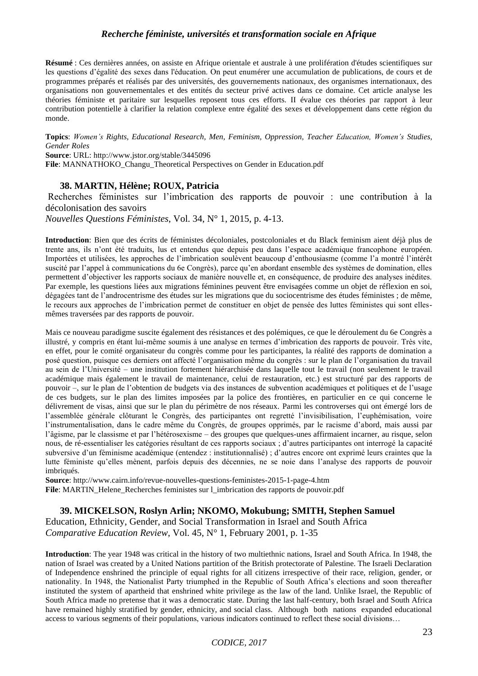**Résumé** : Ces dernières années, on assiste en Afrique orientale et australe à une prolifération d'études scientifiques sur les questions d'égalité des sexes dans l'éducation. On peut enumérer une accumulation de publications, de cours et de programmes préparés et réalisés par des universités, des gouvernements nationaux, des organismes internationaux, des organisations non gouvernementales et des entités du secteur privé actives dans ce domaine. Cet article analyse les théories féministe et paritaire sur lesquelles reposent tous ces efforts. II évalue ces théories par rapport à leur contribution potentielle à clarifier la relation complexe entre égalité des sexes et développement dans cette région du monde.

**Topics**: *Women's Rights, Educational Research, Men, Feminism, Oppression, Teacher Education, Women's Studies, Gender Roles*

**Source**: URL: http://www.jstor.org/stable/3445096

**File**: MANNATHOKO\_Changu\_Theoretical Perspectives on Gender in Education.pdf

#### **38. MARTIN, Hélène; ROUX, Patricia**

Recherches féministes sur l'imbrication des rapports de pouvoir : une contribution à la décolonisation des savoirs

*Nouvelles Questions Féministes*, Vol. 34, N° 1, 2015, p. 4-13.

**Introduction**: Bien que des écrits de féministes décoloniales, postcoloniales et du Black feminism aient déjà plus de trente ans, ils n'ont été traduits, lus et entendus que depuis peu dans l'espace académique francophone européen. Importées et utilisées, les approches de l'imbrication soulèvent beaucoup d'enthousiasme (comme l'a montré l'intérêt suscité par l'appel à communications du 6e Congrès), parce qu'en abordant ensemble des systèmes de domination, elles permettent d'objectiver les rapports sociaux de manière nouvelle et, en conséquence, de produire des analyses inédites. Par exemple, les questions liées aux migrations féminines peuvent être envisagées comme un objet de réflexion en soi, dégagées tant de l'androcentrisme des études sur les migrations que du sociocentrisme des études féministes ; de même, le recours aux approches de l'imbrication permet de constituer en objet de pensée des luttes féministes qui sont ellesmêmes traversées par des rapports de pouvoir.

Mais ce nouveau paradigme suscite également des résistances et des polémiques, ce que le déroulement du 6e Congrès a illustré, y compris en étant lui-même soumis à une analyse en termes d'imbrication des rapports de pouvoir. Très vite, en effet, pour le comité organisateur du congrès comme pour les participantes, la réalité des rapports de domination a posé question, puisque ces derniers ont affecté l'organisation même du congrès : sur le plan de l'organisation du travail au sein de l'Université – une institution fortement hiérarchisée dans laquelle tout le travail (non seulement le travail académique mais également le travail de maintenance, celui de restauration, etc.) est structuré par des rapports de pouvoir –, sur le plan de l'obtention de budgets via des instances de subvention académiques et politiques et de l'usage de ces budgets, sur le plan des limites imposées par la police des frontières, en particulier en ce qui concerne le délivrement de visas, ainsi que sur le plan du périmètre de nos réseaux. Parmi les controverses qui ont émergé lors de l'assemblée générale clôturant le Congrès, des participantes ont regretté l'invisibilisation, l'euphémisation, voire l'instrumentalisation, dans le cadre même du Congrès, de groupes opprimés, par le racisme d'abord, mais aussi par l'âgisme, par le classisme et par l'hétérosexisme – des groupes que quelques-unes affirmaient incarner, au risque, selon nous, de ré-essentialiser les catégories résultant de ces rapports sociaux ; d'autres participantes ont interrogé la capacité subversive d'un féminisme académique (entendez : institutionnalisé) ; d'autres encore ont exprimé leurs craintes que la lutte féministe qu'elles mènent, parfois depuis des décennies, ne se noie dans l'analyse des rapports de pouvoir imbriqués.

**Source**: http://www.cairn.info/revue-nouvelles-questions-feministes-2015-1-page-4.htm **File**: MARTIN\_Helene\_Recherches feministes sur l\_imbrication des rapports de pouvoir.pdf

#### **39. MICKELSON, Roslyn Arlin; NKOMO, Mokubung; SMITH, Stephen Samuel**

Education, Ethnicity, Gender, and Social Transformation in Israel and South Africa *Comparative Education Review*, Vol. 45, N° 1, February 2001, p. 1-35

**Introduction**: The year 1948 was critical in the history of two multiethnic nations, Israel and South Africa. In 1948, the nation of Israel was created by a United Nations partition of the British protectorate of Palestine. The Israeli Declaration of Independence enshrined the principle of equal rights for all citizens irrespective of their race, religion, gender, or nationality. In 1948, the Nationalist Party triumphed in the Republic of South Africa's elections and soon thereafter instituted the system of apartheid that enshrined white privilege as the law of the land. Unlike Israel, the Republic of South Africa made no pretense that it was a democratic state. During the last half-century, both Israel and South Africa have remained highly stratified by gender, ethnicity, and social class. Although both nations expanded educational access to various segments of their populations, various indicators continued to reflect these social divisions…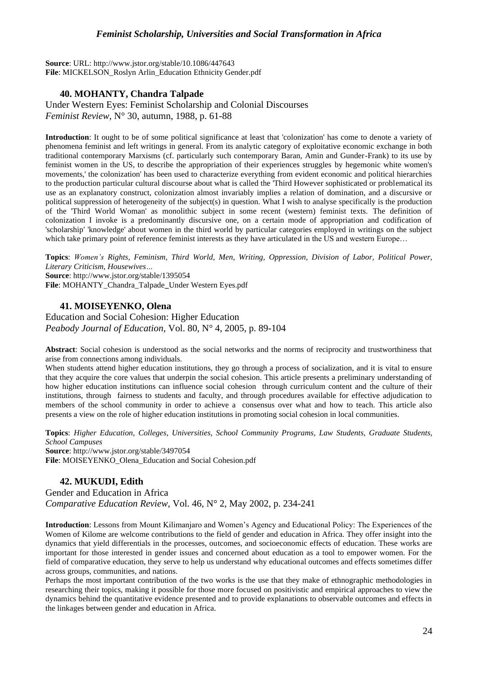**Source**: URL: http://www.jstor.org/stable/10.1086/447643 **File**: MICKELSON\_Roslyn Arlin\_Education Ethnicity Gender.pdf

#### **40. MOHANTY, Chandra Talpade**

Under Western Eyes: Feminist Scholarship and Colonial Discourses *Feminist Review*, N° 30, autumn, 1988, p. 61-88

**Introduction**: It ought to be of some political significance at least that 'colonization' has come to denote a variety of phenomena feminist and left writings in general. From its analytic category of exploitative economic exchange in both traditional contemporary Marxisms (cf. particularly such contemporary Baran, Amin and Gunder-Frank) to its use by feminist women in the US, to describe the appropriation of their experiences struggles by hegemonic white women's movements,' the colonization' has been used to characterize everything from evident economic and political hierarchies to the production particular cultural discourse about what is called the 'Third However sophisticated or problematical its use as an explanatory construct, colonization almost invariably implies a relation of domination, and a discursive or political suppression of heterogeneity of the subject(s) in question. What I wish to analyse specifically is the production of the 'Third World Woman' as monolithic subject in some recent (western) feminist texts. The definition of colonization I invoke is a predominantly discursive one, on a certain mode of appropriation and codification of 'scholarship' 'knowledge' about women in the third world by particular categories employed in writings on the subject which take primary point of reference feminist interests as they have articulated in the US and western Europe...

**Topics**: *Women's Rights, Feminism, Third World, Men, Writing, Oppression, Division of Labor, Political Power, Literary Criticism, Housewives…* **Source**: http://www.jstor.org/stable/1395054 **File**: MOHANTY\_Chandra\_Talpade**\_**Under Western Eyes.pdf

#### **41. MOISEYENKO, Olena**

Education and Social Cohesion: Higher Education *Peabody Journal of Education*, Vol. 80, N° 4, 2005, p. 89-104

**Abstract**: Social cohesion is understood as the social networks and the norms of reciprocity and trustworthiness that arise from connections among individuals.

When students attend higher education institutions, they go through a process of socialization, and it is vital to ensure that they acquire the core values that underpin the social cohesion. This article presents a preliminary understanding of how higher education institutions can influence social cohesion through curriculum content and the culture of their institutions, through fairness to students and faculty, and through procedures available for effective adjudication to members of the school community in order to achieve a consensus over what and how to teach. This article also presents a view on the role of higher education institutions in promoting social cohesion in local communities.

**Topics**: *Higher Education, Colleges, Universities, School Community Programs, Law Students, Graduate Students, School Campuses* **Source**: http://www.jstor.org/stable/3497054 **File**: MOISEYENKO\_Olena\_Education and Social Cohesion.pdf

#### **42. MUKUDI, Edith**

Gender and Education in Africa *Comparative Education Review*, Vol. 46, N° 2, May 2002, p. 234-241

**Introduction**: Lessons from Mount Kilimanjaro and Women's Agency and Educational Policy: The Experiences of the Women of Kilome are welcome contributions to the field of gender and education in Africa. They offer insight into the dynamics that yield differentials in the processes, outcomes, and socioeconomic effects of education. These works are important for those interested in gender issues and concerned about education as a tool to empower women. For the field of comparative education, they serve to help us understand why educational outcomes and effects sometimes differ across groups, communities, and nations.

Perhaps the most important contribution of the two works is the use that they make of ethnographic methodologies in researching their topics, making it possible for those more focused on positivistic and empirical approaches to view the dynamics behind the quantitative evidence presented and to provide explanations to observable outcomes and effects in the linkages between gender and education in Africa.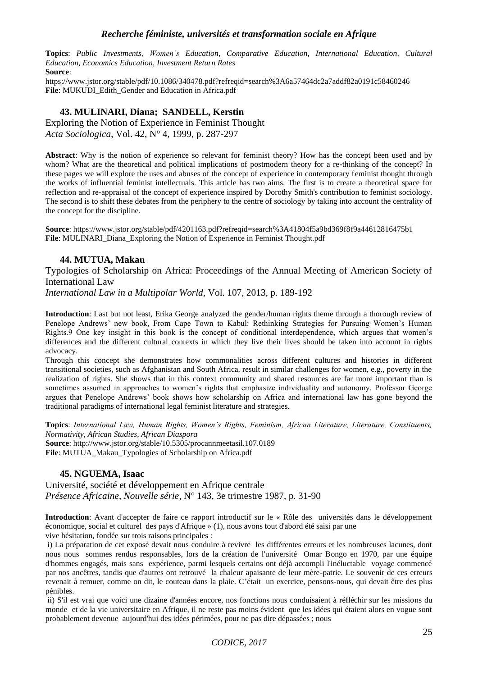**Topics**: *Public Investments, Women's Education, Comparative Education, International Education, Cultural Education, Economics Education, Investment Return Rates* **Source**:

https://www.jstor.org/stable/pdf/10.1086/340478.pdf?refreqid=search%3A6a57464dc2a7addf82a0191c58460246 **File**: MUKUDI\_Edith\_Gender and Education in Africa.pdf

#### **43. MULINARI, Diana; SANDELL, Kerstin**

Exploring the Notion of Experience in Feminist Thought *Acta Sociologica*, Vol. 42, N° 4, 1999, p. 287-297

**Abstract**: Why is the notion of experience so relevant for feminist theory? How has the concept been used and by whom? What are the theoretical and political implications of postmodern theory for a re-thinking of the concept? In these pages we will explore the uses and abuses of the concept of experience in contemporary feminist thought through the works of influential feminist intellectuals. This article has two aims. The first is to create a theoretical space for reflection and re-appraisal of the concept of experience inspired by Dorothy Smith's contribution to feminist sociology. The second is to shift these debates from the periphery to the centre of sociology by taking into account the centrality of the concept for the discipline.

**Source**: https://www.jstor.org/stable/pdf/4201163.pdf?refreqid=search%3A41804f5a9bd369f8f9a44612816475b1 **File**: MULINARI\_Diana\_Exploring the Notion of Experience in Feminist Thought.pdf

#### **44. MUTUA, Makau**

Typologies of Scholarship on Africa: Proceedings of the Annual Meeting of American Society of International Law

*International Law in a Multipolar World*, Vol. 107, 2013, p. 189-192

**Introduction**: Last but not least, Erika George analyzed the gender/human rights theme through a thorough review of Penelope Andrews' new book, From Cape Town to Kabul: Rethinking Strategies for Pursuing Women's Human Rights.9 One key insight in this book is the concept of conditional interdependence, which argues that women's differences and the different cultural contexts in which they live their lives should be taken into account in rights advocacy.

Through this concept she demonstrates how commonalities across different cultures and histories in different transitional societies, such as Afghanistan and South Africa, result in similar challenges for women, e.g., poverty in the realization of rights. She shows that in this context community and shared resources are far more important than is sometimes assumed in approaches to women's rights that emphasize individuality and autonomy. Professor George argues that Penelope Andrews' book shows how scholarship on Africa and international law has gone beyond the traditional paradigms of international legal feminist literature and strategies.

**Topics**: *International Law, Human Rights, Women's Rights, Feminism, African Literature, Literature, Constituents, Normativity, African Studies, African Diaspora* **Source**: http://www.jstor.org/stable/10.5305/procannmeetasil.107.0189 **File**: MUTUA\_Makau\_Typologies of Scholarship on Africa.pdf

### **45. NGUEMA, Isaac**

Université, société et développement en Afrique centrale *Présence Africaine, Nouvelle série*, N° 143, 3e trimestre 1987, p. 31-90

**Introduction**: Avant d'accepter de faire ce rapport introductif sur le « Rôle des universités dans le développement économique, social et culturel des pays d'Afrique » (1), nous avons tout d'abord été saisi par une vive hésitation, fondée sur trois raisons principales :

i) La préparation de cet exposé devait nous conduire à revivre les différentes erreurs et les nombreuses lacunes, dont nous nous sommes rendus responsables, lors de la création de l'université Omar Bongo en 1970, par une équipe d'hommes engagés, mais sans expérience, parmi lesquels certains ont déjà accompli l'inéluctable voyage commencé par nos ancêtres, tandis que d'autres ont retrouvé la chaleur apaisante de leur mère-patrie. Le souvenir de ces erreurs revenait à remuer, comme on dit, le couteau dans la plaie. C'était un exercice, pensons-nous, qui devait être des plus pénibles.

ii) S'il est vrai que voici une dizaine d'années encore, nos fonctions nous conduisaient à réfléchir sur les missions du monde et de la vie universitaire en Afrique, il ne reste pas moins évident que les idées qui étaient alors en vogue sont probablement devenue aujourd'hui des idées périmées, pour ne pas dire dépassées ; nous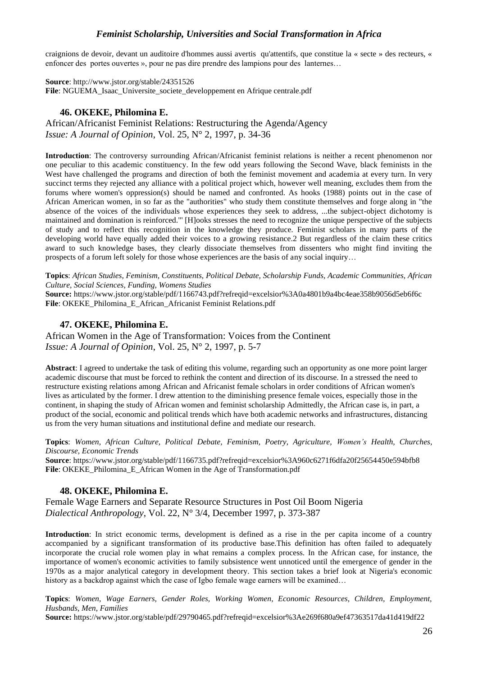craignions de devoir, devant un auditoire d'hommes aussi avertis qu'attentifs, que constitue la « secte » des recteurs, « enfoncer des portes ouvertes », pour ne pas dire prendre des lampions pour des lanternes…

**Source**: http://www.jstor.org/stable/24351526 **File**: NGUEMA\_Isaac\_Universite\_societe\_developpement en Afrique centrale.pdf

#### **46. OKEKE, Philomina E.**

African/Africanist Feminist Relations: Restructuring the Agenda/Agency *Issue: A Journal of Opinion*, Vol. 25, N° 2, 1997, p. 34-36

**Introduction**: The controversy surrounding African/Africanist feminist relations is neither a recent phenomenon nor one peculiar to this academic constituency. In the few odd years following the Second Wave, black feminists in the West have challenged the programs and direction of both the feminist movement and academia at every turn. In very succinct terms they rejected any alliance with a political project which, however well meaning, excludes them from the forums where women's oppression(s) should be named and confronted. As hooks (1988) points out in the case of African American women, in so far as the "authorities" who study them constitute themselves and forge along in "the absence of the voices of the individuals whose experiences they seek to address, ...the subject-object dichotomy is maintained and domination is reinforced."' [H]ooks stresses the need to recognize the unique perspective of the subjects of study and to reflect this recognition in the knowledge they produce. Feminist scholars in many parts of the developing world have equally added their voices to a growing resistance.2 But regardless of the claim these critics award to such knowledge bases, they clearly dissociate themselves from dissenters who might find inviting the prospects of a forum left solely for those whose experiences are the basis of any social inquiry…

**Topics**: *African Studies, Feminism, Constituents, Political Debate, Scholarship Funds, Academic Communities, African Culture, Social Sciences, Funding, Womens Studies*

**Source:** https://www.jstor.org/stable/pdf/1166743.pdf?refreqid=excelsior%3A0a4801b9a4bc4eae358b9056d5eb6f6c File: OKEKE\_Philomina\_E\_African\_Africanist Feminist Relations.pdf

#### **47. OKEKE, Philomina E.**

African Women in the Age of Transformation: Voices from the Continent *Issue: A Journal of Opinion*, Vol. 25, N° 2, 1997, p. 5-7

**Abstract**: I agreed to undertake the task of editing this volume, regarding such an opportunity as one more point larger academic discourse that must be forced to rethink the content and direction of its discourse. In a stressed the need to restructure existing relations among African and Africanist female scholars in order conditions of African women's lives as articulated by the former. I drew attention to the diminishing presence female voices, especially those in the continent, in shaping the study of African women and feminist scholarship Admittedly, the African case is, in part, a product of the social, economic and political trends which have both academic networks and infrastructures, distancing us from the very human situations and institutional define and mediate our research.

**Topics**: *Women, African Culture, Political Debate, Feminism, Poetry, Agriculture, Women's Health, Churches, Discourse, Economic Trends* **Source**: https://www.jstor.org/stable/pdf/1166735.pdf?refreqid=excelsior%3A960c6271f6dfa20f25654450e594bfb8

**File**: OKEKE\_Philomina\_E\_African Women in the Age of Transformation.pdf

#### **48. OKEKE, Philomina E.**

Female Wage Earners and Separate Resource Structures in Post Oil Boom Nigeria *Dialectical Anthropology*, Vol. 22, N° 3/4, December 1997, p. 373-387

**Introduction**: In strict economic terms, development is defined as a rise in the per capita income of a country accompanied by a significant transformation of its productive base.This definition has often failed to adequately incorporate the crucial role women play in what remains a complex process. In the African case, for instance, the importance of women's economic activities to family subsistence went unnoticed until the emergence of gender in the 1970s as a major analytical category in development theory. This section takes a brief look at Nigeria's economic history as a backdrop against which the case of Igbo female wage earners will be examined...

**Topics**: *Women, Wage Earners, Gender Roles, Working Women, Economic Resources, Children, Employment, Husbands, Men, Families*

**Source:** https://www.jstor.org/stable/pdf/29790465.pdf?refreqid=excelsior%3Ae269f680a9ef47363517da41d419df22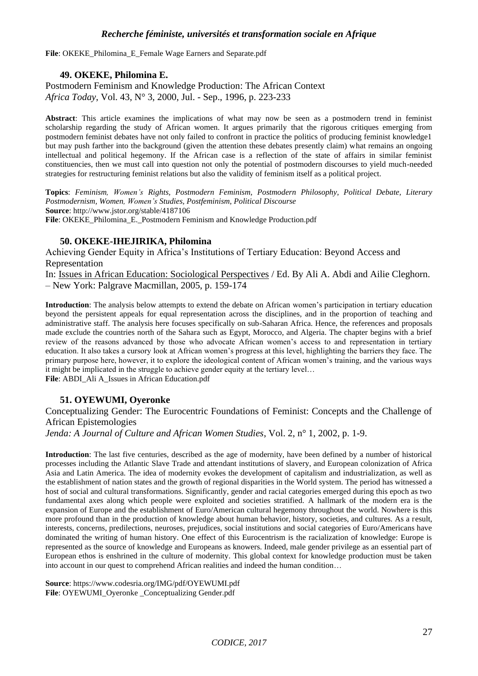File: OKEKE\_Philomina\_E\_Female Wage Earners and Separate.pdf

#### **49. OKEKE, Philomina E.**

Postmodern Feminism and Knowledge Production: The African Context *Africa Today*, Vol. 43, N° 3, 2000, Jul. - Sep., 1996, p. 223-233

**Abstract**: This article examines the implications of what may now be seen as a postmodern trend in feminist scholarship regarding the study of African women. It argues primarily that the rigorous critiques emerging from postmodern feminist debates have not only failed to confront in practice the politics of producing feminist knowledge1 but may push farther into the background (given the attention these debates presently claim) what remains an ongoing intellectual and political hegemony. If the African case is a reflection of the state of affairs in similar feminist constituencies, then we must call into question not only the potential of postmodern discourses to yield much-needed strategies for restructuring feminist relations but also the validity of feminism itself as a political project.

**Topics**: *Feminism, Women's Rights, Postmodern Feminism, Postmodern Philosophy, Political Debate, Literary Postmodernism, Women, Women's Studies, Postfeminism, Political Discourse* **Source**: http://www.jstor.org/stable/4187106 **File**: OKEKE\_Philomina\_E.\_Postmodern Feminism and Knowledge Production.pdf

#### **50. OKEKE-IHEJIRIKA, Philomina**

Achieving Gender Equity in Africa's Institutions of Tertiary Education: Beyond Access and Representation

In: Issues in African Education: Sociological Perspectives / Ed. By Ali A. Abdi and Ailie Cleghorn. – New York: Palgrave Macmillan, 2005, p. 159-174

**Introduction**: The analysis below attempts to extend the debate on African women's participation in tertiary education beyond the persistent appeals for equal representation across the disciplines, and in the proportion of teaching and administrative staff. The analysis here focuses specifically on sub-Saharan Africa. Hence, the references and proposals made exclude the countries north of the Sahara such as Egypt, Morocco, and Algeria. The chapter begins with a brief review of the reasons advanced by those who advocate African women's access to and representation in tertiary education. It also takes a cursory look at African women's progress at this level, highlighting the barriers they face. The primary purpose here, however, it to explore the ideological content of African women's training, and the various ways it might be implicated in the struggle to achieve gender equity at the tertiary level… File: ABDI\_Ali A\_Issues in African Education.pdf

#### **51. OYEWUMI, Oyeronke**

Conceptualizing Gender: The Eurocentric Foundations of Feminist: Concepts and the Challenge of African Epistemologies

*Jenda: A Journal of Culture and African Women Studies*, Vol. 2, n° 1, 2002, p. 1-9.

**Introduction**: The last five centuries, described as the age of modernity, have been defined by a number of historical processes including the Atlantic Slave Trade and attendant institutions of slavery, and European colonization of Africa Asia and Latin America. The idea of modernity evokes the development of capitalism and industrialization, as well as the establishment of nation states and the growth of regional disparities in the World system. The period has witnessed a host of social and cultural transformations. Significantly, gender and racial categories emerged during this epoch as two fundamental axes along which people were exploited and societies stratified. A hallmark of the modern era is the expansion of Europe and the establishment of Euro/American cultural hegemony throughout the world. Nowhere is this more profound than in the production of knowledge about human behavior, history, societies, and cultures. As a result, interests, concerns, predilections, neuroses, prejudices, social institutions and social categories of Euro/Americans have dominated the writing of human history. One effect of this Eurocentrism is the racialization of knowledge: Europe is represented as the source of knowledge and Europeans as knowers. Indeed, male gender privilege as an essential part of European ethos is enshrined in the culture of modernity. This global context for knowledge production must be taken into account in our quest to comprehend African realities and indeed the human condition…

**Source**: https://www.codesria.org/IMG/pdf/OYEWUMI.pdf File: OYEWUMI\_Oyeronke Conceptualizing Gender.pdf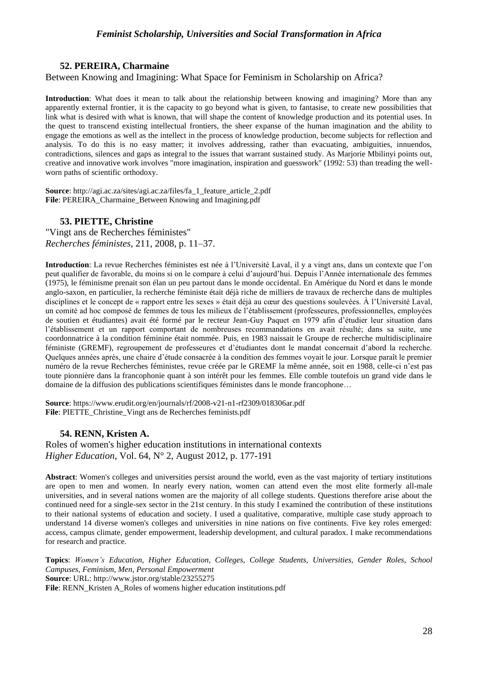#### **52. PEREIRA, Charmaine**

#### Between Knowing and Imagining: What Space for Feminism in Scholarship on Africa?

**Introduction**: What does it mean to talk about the relationship between knowing and imagining? More than any apparently external frontier, it is the capacity to go beyond what is given, to fantasise, to create new possibilities that link what is desired with what is known, that will shape the content of knowledge production and its potential uses. In the quest to transcend existing intellectual frontiers, the sheer expanse of the human imagination and the ability to engage the emotions as well as the intellect in the process of knowledge production, become subjects for reflection and analysis. To do this is no easy matter; it involves addressing, rather than evacuating, ambiguities, innuendos, contradictions, silences and gaps as integral to the issues that warrant sustained study. As Marjorie Mbilinyi points out, creative and innovative work involves "more imagination, inspiration and guesswork" (1992: 53) than treading the wellworn paths of scientific orthodoxy.

**Source**: http://agi.ac.za/sites/agi.ac.za/files/fa\_1\_feature\_article\_2.pdf **File**: PEREIRA\_Charmaine\_Between Knowing and Imagining.pdf

#### **53. PIETTE, Christine**

"Vingt ans de Recherches féministes" *Recherches féministes*, 211, 2008, p. 11–37.

**Introduction**: La revue Recherches féministes est née à l'Université Laval, il y a vingt ans, dans un contexte que l'on peut qualifier de favorable, du moins si on le compare à celui d'aujourd'hui. Depuis l'Année internationale des femmes (1975), le féminisme prenait son élan un peu partout dans le monde occidental. En Amérique du Nord et dans le monde anglo-saxon, en particulier, la recherche féministe était déjà riche de milliers de travaux de recherche dans de multiples disciplines et le concept de « rapport entre les sexes » était déjà au cœur des questions soulevées. À l'Université Laval, un comité ad hoc composé de femmes de tous les milieux de l'établissement (professeures, professionnelles, employées de soutien et étudiantes) avait été formé par le recteur Jean-Guy Paquet en 1979 afin d'étudier leur situation dans l'établissement et un rapport comportant de nombreuses recommandations en avait résulté; dans sa suite, une coordonnatrice à la condition féminine était nommée. Puis, en 1983 naissait le Groupe de recherche multidisciplinaire féministe (GREMF), regroupement de professeures et d'étudiantes dont le mandat concernait d'abord la recherche. Quelques années après, une chaire d'étude consacrée à la condition des femmes voyait le jour. Lorsque paraît le premier numéro de la revue Recherches féministes, revue créée par le GREMF la même année, soit en 1988, celle-ci n'est pas toute pionnière dans la francophonie quant à son intérêt pour les femmes. Elle comble toutefois un grand vide dans le domaine de la diffusion des publications scientifiques féministes dans le monde francophone…

**Source**: https://www.erudit.org/en/journals/rf/2008-v21-n1-rf2309/018306ar.pdf **File**: PIETTE\_Christine\_Vingt ans de Recherches feminists.pdf

#### **54. RENN, Kristen A.**

Roles of women's higher education institutions in international contexts *Higher Education*, Vol. 64, N° 2, August 2012, p. 177-191

**Abstract**: Women's colleges and universities persist around the world, even as the vast majority of tertiary institutions are open to men and women. In nearly every nation, women can attend even the most elite formerly all-male universities, and in several nations women are the majority of all college students. Questions therefore arise about the continued need for a single-sex sector in the 21st century. In this study I examined the contribution of these institutions to their national systems of education and society. I used a qualitative, comparative, multiple case study approach to understand 14 diverse women's colleges and universities in nine nations on five continents. Five key roles emerged: access, campus climate, gender empowerment, leadership development, and cultural paradox. I make recommendations for research and practice.

**Topics**: *Women's Education, Higher Education, Colleges, College Students, Universities, Gender Roles, School Campuses, Feminism, Men, Personal Empowerment* **Source**: URL: http://www.jstor.org/stable/23255275 File: RENN\_Kristen A\_Roles of womens higher education institutions.pdf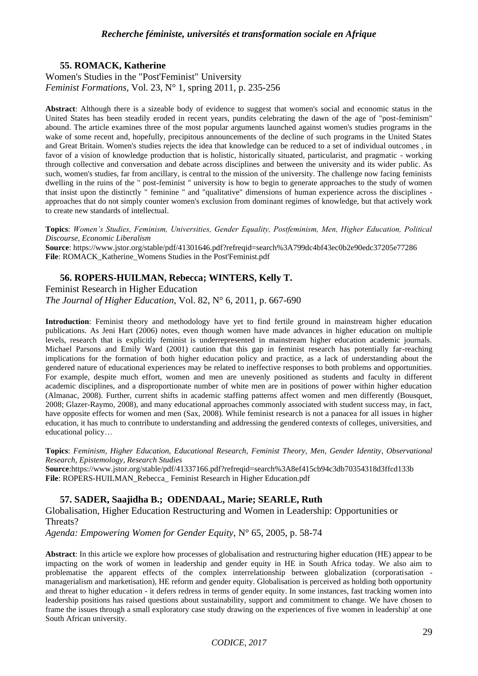#### **55. ROMACK, Katherine**

Women's Studies in the "Post'Feminist" University *Feminist Formations*, Vol. 23, N° 1, spring 2011, p. 235-256

**Abstract**: Although there is a sizeable body of evidence to suggest that women's social and economic status in the United States has been steadily eroded in recent years, pundits celebrating the dawn of the age of "post-feminism" abound. The article examines three of the most popular arguments launched against women's studies programs in the wake of some recent and, hopefully, precipitous announcements of the decline of such programs in the United States and Great Britain. Women's studies rejects the idea that knowledge can be reduced to a set of individual outcomes , in favor of a vision of knowledge production that is holistic, historically situated, particularist, and pragmatic - working through collective and conversation and debate across disciplines and between the university and its wider public. As such, women's studies, far from ancillary, is central to the mission of the university. The challenge now facing feminists dwelling in the ruins of the " post-feminist " university is how to begin to generate approaches to the study of women that insist upon the distinctly " feminine " and "qualitative" dimensions of human experience across the disciplines approaches that do not simply counter women's exclusion from dominant regimes of knowledge, but that actively work to create new standards of intellectual.

**Topics**: *Women's Studies, Feminism, Universities, Gender Equality, Postfeminism, Men, Higher Education, Political Discourse, Economic Liberalism* **Source**: https://www.jstor.org/stable/pdf/41301646.pdf?refreqid=search%3A799dc4bf43ec0b2e90edc37205e77286 **File**: ROMACK\_Katherine\_Womens Studies in the Post'Feminist.pdf

#### **56. ROPERS-HUILMAN, Rebecca; WINTERS, Kelly T.**

Feminist Research in Higher Education

*The Journal of Higher Education*, Vol. 82, N° 6, 2011, p. 667-690

**Introduction**: Feminist theory and methodology have yet to find fertile ground in mainstream higher education publications. As Jeni Hart (2006) notes, even though women have made advances in higher education on multiple levels, research that is explicitly feminist is underrepresented in mainstream higher education academic journals. Michael Parsons and Emily Ward (2001) caution that this gap in feminist research has potentially far-reaching implications for the formation of both higher education policy and practice, as a lack of understanding about the gendered nature of educational experiences may be related to ineffective responses to both problems and opportunities. For example, despite much effort, women and men are unevenly positioned as students and faculty in different academic disciplines, and a disproportionate number of white men are in positions of power within higher education (Almanac, 2008). Further, current shifts in academic staffing patterns affect women and men differently (Bousquet, 2008; Glazer-Raymo, 2008), and many educational approaches commonly associated with student success may, in fact, have opposite effects for women and men (Sax, 2008). While feminist research is not a panacea for all issues in higher education, it has much to contribute to understanding and addressing the gendered contexts of colleges, universities, and educational policy…

**Topics**: *Feminism, Higher Education, Educational Research, Feminist Theory, Men, Gender Identity, Observational Research, Epistemology, Research Studies*

**Source**:https://www.jstor.org/stable/pdf/41337166.pdf?refreqid=search%3A8ef415cb94c3db70354318d3ffcd133b **File**: ROPERS-HUILMAN\_Rebecca\_ Feminist Research in Higher Education.pdf

#### **57. SADER, Saajidha B.; ODENDAAL, Marie; SEARLE, Ruth**

Globalisation, Higher Education Restructuring and Women in Leadership: Opportunities or Threats?

*Agenda: Empowering Women for Gender Equity*, N° 65, 2005, p. 58-74

**Abstract**: In this article we explore how processes of globalisation and restructuring higher education (HE) appear to be impacting on the work of women in leadership and gender equity in HE in South Africa today. We also aim to problematise the apparent effects of the complex interrelationship between globalization (corporatisation managerialism and marketisation), HE reform and gender equity. Globalisation is perceived as holding both opportunity and threat to higher education - it defers redress in terms of gender equity. In some instances, fast tracking women into leadership positions has raised questions about sustainability, support and commitment to change. We have chosen to frame the issues through a small exploratory case study drawing on the experiences of five women in leadership' at one South African university.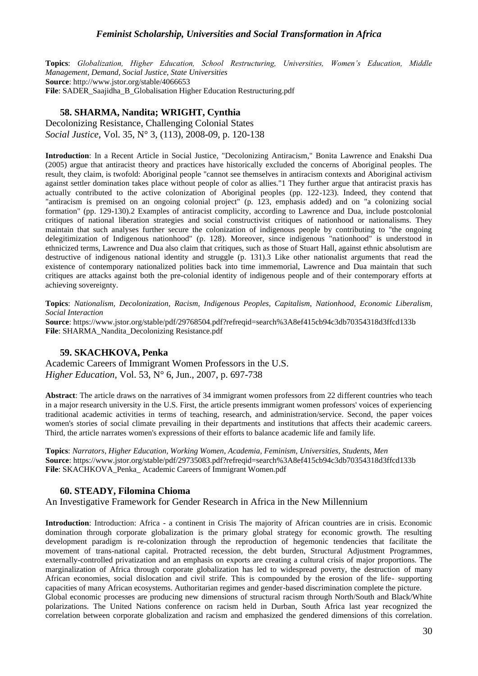**Topics**: *Globalization, Higher Education, School Restructuring, Universities, Women's Education, Middle Management, Demand, Social Justice, State Universities* **Source**: http://www.jstor.org/stable/4066653 **File**: SADER\_Saajidha\_B\_Globalisation Higher Education Restructuring.pdf

#### **58. SHARMA, Nandita; WRIGHT, Cynthia**

Decolonizing Resistance, Challenging Colonial States *Social Justice*, Vol. 35, N° 3, (113), 2008-09, p. 120-138

**Introduction**: In a Recent Article in Social Justice, "Decolonizing Antiracism," Bonita Lawrence and Enakshi Dua (2005) argue that antiracist theory and practices have historically excluded the concerns of Aboriginal peoples. The result, they claim, is twofold: Aboriginal people "cannot see themselves in antiracism contexts and Aboriginal activism against settler domination takes place without people of color as allies."1 They further argue that antiracist praxis has actually contributed to the active colonization of Aboriginal peoples (pp. 122-123). Indeed, they contend that "antiracism is premised on an ongoing colonial project" (p. 123, emphasis added) and on "a colonizing social formation" (pp. 129-130).2 Examples of antiracist complicity, according to Lawrence and Dua, include postcolonial critiques of national liberation strategies and social constructivist critiques of nationhood or nationalisms. They maintain that such analyses further secure the colonization of indigenous people by contributing to "the ongoing delegitimization of Indigenous nationhood" (p. 128). Moreover, since indigenous "nationhood" is understood in ethnicized terms, Lawrence and Dua also claim that critiques, such as those of Stuart Hall, against ethnic absolutism are destructive of indigenous national identity and struggle (p. 131).3 Like other nationalist arguments that read the existence of contemporary nationalized polities back into time immemorial, Lawrence and Dua maintain that such critiques are attacks against both the pre-colonial identity of indigenous people and of their contemporary efforts at achieving sovereignty.

**Topics**: *Nationalism, Decolonization, Racism, Indigenous Peoples, Capitalism, Nationhood, Economic Liberalism, Social Interaction*

**Source**: https://www.jstor.org/stable/pdf/29768504.pdf?refreqid=search%3A8ef415cb94c3db70354318d3ffcd133b **File**: SHARMA\_Nandita\_Decolonizing Resistance.pdf

#### **59. SKACHKOVA, Penka**

Academic Careers of Immigrant Women Professors in the U.S. *Higher Education*, Vol. 53, N° 6, Jun., 2007, p. 697-738

**Abstract**: The article draws on the narratives of 34 immigrant women professors from 22 different countries who teach in a major research university in the U.S. First, the article presents immigrant women professors' voices of experiencing traditional academic activities in terms of teaching, research, and administration/service. Second, the paper voices women's stories of social climate prevailing in their departments and institutions that affects their academic careers. Third, the article narrates women's expressions of their efforts to balance academic life and family life.

**Topics**: *Narrators, Higher Education, Working Women, Academia, Feminism, Universities, Students, Men* **Source**: https://www.jstor.org/stable/pdf/29735083.pdf?refreqid=search%3A8ef415cb94c3db70354318d3ffcd133b **File**: SKACHKOVA\_Penka\_ Academic Careers of Immigrant Women.pdf

#### **60. STEADY, Filomina Chioma**

An Investigative Framework for Gender Research in Africa in the New Millennium

**Introduction**: Introduction: Africa - a continent in Crisis The majority of African countries are in crisis. Economic domination through corporate globalization is the primary global strategy for economic growth. The resulting development paradigm is re-colonization through the reproduction of hegemonic tendencies that facilitate the movement of trans-national capital. Protracted recession, the debt burden, Structural Adjustment Programmes, externally-controlled privatization and an emphasis on exports are creating a cultural crisis of major proportions. The marginalization of Africa through corporate globalization has led to widespread poverty, the destruction of many African economies, social dislocation and civil strife. This is compounded by the erosion of the life- supporting capacities of many African ecosystems. Authoritarian regimes and gender-based discrimination complete the picture. Global economic processes are producing new dimensions of structural racism through North/South and Black/White polarizations. The United Nations conference on racism held in Durban, South Africa last year recognized the correlation between corporate globalization and racism and emphasized the gendered dimensions of this correlation.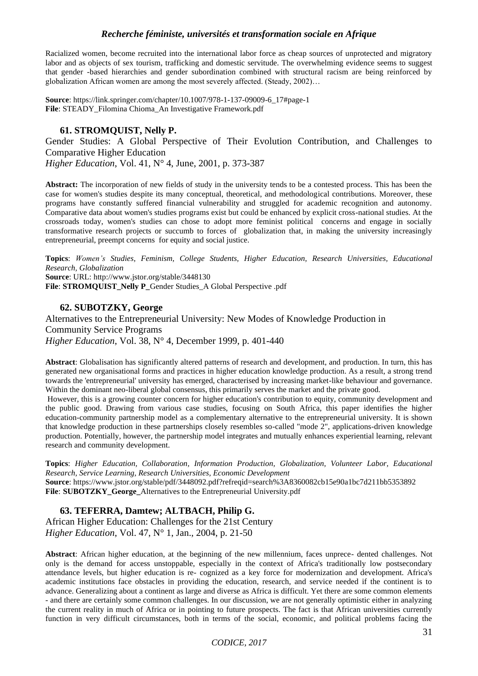Racialized women, become recruited into the international labor force as cheap sources of unprotected and migratory labor and as objects of sex tourism, trafficking and domestic servitude. The overwhelming evidence seems to suggest that gender -based hierarchies and gender subordination combined with structural racism are being reinforced by globalization African women are among the most severely affected. (Steady, 2002)…

**Source**: https://link.springer.com/chapter/10.1007/978-1-137-09009-6\_17#page-1 **File**: STEADY\_Filomina Chioma\_An Investigative Framework.pdf

#### **61. STROMQUIST, Nelly P.**

Gender Studies: A Global Perspective of Their Evolution Contribution, and Challenges to Comparative Higher Education

*Higher Education*, Vol. 41, N° 4, June, 2001, p. 373-387

**Abstract:** The incorporation of new fields of study in the university tends to be a contested process. This has been the case for women's studies despite its many conceptual, theoretical, and methodological contributions. Moreover, these programs have constantly suffered financial vulnerability and struggled for academic recognition and autonomy. Comparative data about women's studies programs exist but could be enhanced by explicit cross-national studies. At the crossroads today, women's studies can chose to adopt more feminist political concerns and engage in socially transformative research projects or succumb to forces of globalization that, in making the university increasingly entrepreneurial, preempt concerns for equity and social justice.

**Topics**: *Women's Studies, Feminism, College Students, Higher Education, Research Universities, Educational Research, Globalization*

**Source**: URL: http://www.jstor.org/stable/3448130 **File**: **STROMQUIST\_Nelly P\_**Gender Studies\_A Global Perspective .pdf

#### **62. SUBOTZKY, George**

Alternatives to the Entrepreneurial University: New Modes of Knowledge Production in Community Service Programs *Higher Education*, Vol. 38, N° 4, December 1999, p. 401-440

**Abstract**: Globalisation has significantly altered patterns of research and development, and production. In turn, this has generated new organisational forms and practices in higher education knowledge production. As a result, a strong trend towards the 'entrepreneurial' university has emerged, characterised by increasing market-like behaviour and governance. Within the dominant neo-liberal global consensus, this primarily serves the market and the private good.

However, this is a growing counter concern for higher education's contribution to equity, community development and the public good. Drawing from various case studies, focusing on South Africa, this paper identifies the higher education-community partnership model as a complementary alternative to the entrepreneurial university. It is shown that knowledge production in these partnerships closely resembles so-called "mode 2", applications-driven knowledge production. Potentially, however, the partnership model integrates and mutually enhances experiential learning, relevant research and community development.

**Topics**: *Higher Education, Collaboration, Information Production, Globalization, Volunteer Labor, Educational Research, Service Learning, Research Universities, Economic Development* **Source**: https://www.jstor.org/stable/pdf/3448092.pdf?refreqid=search%3A8360082cb15e90a1bc7d211bb5353892 **File**: **SUBOTZKY\_George\_**Alternatives to the Entrepreneurial University.pdf

#### **63. TEFERRA, Damtew; ALTBACH, Philip G.**

African Higher Education: Challenges for the 21st Century *Higher Education*, Vol. 47, N° 1, Jan., 2004, p. 21-50

**Abstract**: African higher education, at the beginning of the new millennium, faces unprece- dented challenges. Not only is the demand for access unstoppable, especially in the context of Africa's traditionally low postsecondary attendance levels, but higher education is re- cognized as a key force for modernization and development. Africa's academic institutions face obstacles in providing the education, research, and service needed if the continent is to advance. Generalizing about a continent as large and diverse as Africa is difficult. Yet there are some common elements - and there are certainly some common challenges. In our discussion, we are not generally optimistic either in analyzing the current reality in much of Africa or in pointing to future prospects. The fact is that African universities currently function in very difficult circumstances, both in terms of the social, economic, and political problems facing the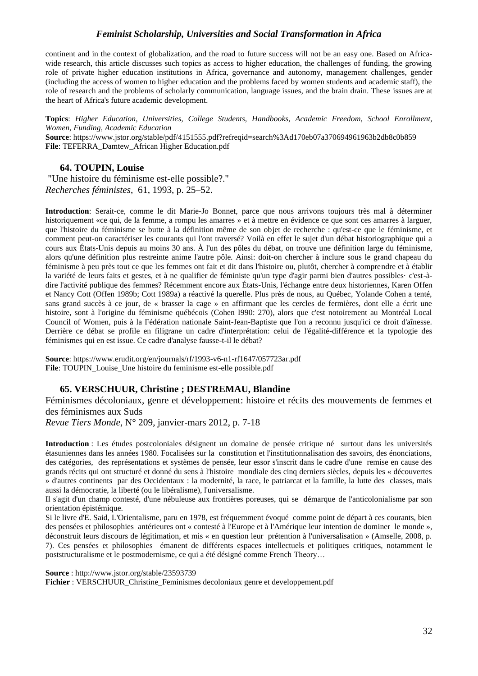continent and in the context of globalization, and the road to future success will not be an easy one. Based on Africawide research, this article discusses such topics as access to higher education, the challenges of funding, the growing role of private higher education institutions in Africa, governance and autonomy, management challenges, gender (including the access of women to higher education and the problems faced by women students and academic staff), the role of research and the problems of scholarly communication, language issues, and the brain drain. These issues are at the heart of Africa's future academic development.

**Topics**: *Higher Education, Universities, College Students, Handbooks, Academic Freedom, School Enrollment, Women, Funding, Academic Education* **Source**: https://www.jstor.org/stable/pdf/4151555.pdf?refreqid=search%3Ad170eb07a370694961963b2db8c0b859 **File**: TEFERRA\_Damtew\_African Higher Education.pdf

#### **64. TOUPIN, Louise**

"Une histoire du féminisme est-elle possible?." *Recherches féministes*, 61, 1993, p. 25–52.

**Introduction**: Serait-ce, comme le dit Marie-Jo Bonnet, parce que nous arrivons toujours très mal à déterminer historiquement «ce qui, de la femme, a rompu les amarres » et à mettre en évidence ce que sont ces amarres à larguer, que l'histoire du féminisme se butte à la définition même de son objet de recherche : qu'est-ce que le féminisme, et comment peut-on caractériser les courants qui l'ont traversé? Voilà en effet le sujet d'un débat historiographique qui a cours aux États-Unis depuis au moins 30 ans. À l'un des pôles du débat, on trouve une définition large du féminisme, alors qu'une définition plus restreinte anime l'autre pôle. Ainsi: doit-on chercher à inclure sous le grand chapeau du féminisme à peu près tout ce que les femmes ont fait et dit dans l'histoire ou, plutôt, chercher à comprendre et à établir la variété de leurs faits et gestes, et à ne qualifier de féministe qu'un type d'agir parmi bien d'autres possibles· c'est-àdire l'activité publique des femmes? Récemment encore aux États-Unis, l'échange entre deux historiennes, Karen Offen et Nancy Cott (Offen 1989b; Cott 1989a) a réactivé la querelle. Plus près de nous, au Québec, Yolande Cohen a tenté, sans grand succès à ce jour, de « brasser la cage » en affirmant que les cercles de fermières, dont elle a écrit une histoire, sont à l'origine du féminisme québécois (Cohen I990: 270), alors que c'est notoirement au Montréal Local Council of Women, puis à la Fédération nationale Saint-Jean-Baptiste que l'on a reconnu jusqu'ici ce droit d'aînesse. Derrière ce débat se profile en filigrane un cadre d'interprétation: celui de l'égalité-différence et la typologie des féminismes qui en est issue. Ce cadre d'analyse fausse-t-il le débat?

**Source**: https://www.erudit.org/en/journals/rf/1993-v6-n1-rf1647/057723ar.pdf File: TOUPIN Louise Une histoire du feminisme est-elle possible.pdf

#### **65. VERSCHUUR, Christine ; DESTREMAU, Blandine**

Féminismes décoloniaux, genre et développement: histoire et récits des mouvements de femmes et des féminismes aux Suds

*Revue Tiers Monde*, N° 209, janvier-mars 2012, p. 7-18

**Introduction** : Les études postcoloniales désignent un domaine de pensée critique né surtout dans les universités étasuniennes dans les années 1980. Focalisées sur la constitution et l'institutionnalisation des savoirs, des énonciations, des catégories, des représentations et systèmes de pensée, leur essor s'inscrit dans le cadre d'une remise en cause des grands récits qui ont structuré et donné du sens à l'histoire mondiale des cinq derniers siècles, depuis les « découvertes » d'autres continents par des Occidentaux : la modernité, la race, le patriarcat et la famille, la lutte des classes, mais aussi la démocratie, la liberté (ou le libéralisme), l'universalisme.

Il s'agit d'un champ contesté, d'une nébuleuse aux frontières poreuses, qui se démarque de l'anticolonialisme par son orientation épistémique.

Si le livre d'E. Said, L'Orientalisme, paru en 1978, est fréquemment évoqué comme point de départ à ces courants, bien des pensées et philosophies antérieures ont « contesté à l'Europe et à l'Amérique leur intention de dominer le monde », déconstruit leurs discours de légitimation, et mis « en question leur prétention à l'universalisation » (Amselle, 2008, p. 7). Ces pensées et philosophies émanent de différents espaces intellectuels et politiques critiques, notamment le poststructuralisme et le postmodernisme, ce qui a été désigné comme French Theory…

**Source** : http://www.jstor.org/stable/23593739

**Fichier** : VERSCHUUR\_Christine\_Feminismes decoloniaux genre et developpement.pdf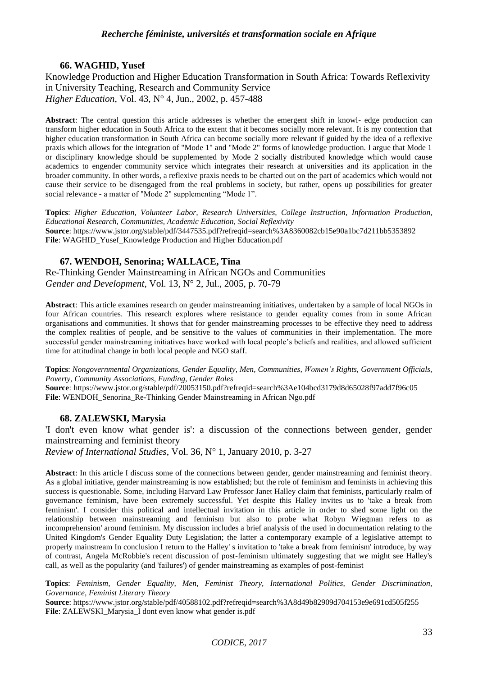#### **66. WAGHID, Yusef**

Knowledge Production and Higher Education Transformation in South Africa: Towards Reflexivity in University Teaching, Research and Community Service *Higher Education*, Vol. 43, N° 4, Jun., 2002, p. 457-488

**Abstract**: The central question this article addresses is whether the emergent shift in knowl- edge production can transform higher education in South Africa to the extent that it becomes socially more relevant. It is my contention that higher education transformation in South Africa can become socially more relevant if guided by the idea of a reflexive praxis which allows for the integration of "Mode 1" and "Mode 2" forms of knowledge production. I argue that Mode 1 or disciplinary knowledge should be supplemented by Mode 2 socially distributed knowledge which would cause academics to engender community service which integrates their research at universities and its application in the broader community. In other words, a reflexive praxis needs to be charted out on the part of academics which would not cause their service to be disengaged from the real problems in society, but rather, opens up possibilities for greater social relevance - a matter of "Mode 2" supplementing "Mode 1".

**Topics**: *Higher Education, Volunteer Labor, Research Universities, College Instruction, Information Production, Educational Research, Communities, Academic Education, Social Reflexivity* **Source**: https://www.jstor.org/stable/pdf/3447535.pdf?refreqid=search%3A8360082cb15e90a1bc7d211bb5353892 File: WAGHID\_Yusef\_Knowledge Production and Higher Education.pdf

#### **67. WENDOH, Senorina; WALLACE, Tina**

Re-Thinking Gender Mainstreaming in African NGOs and Communities *Gender and Development*, Vol. 13, N° 2, Jul., 2005, p. 70-79

**Abstract**: This article examines research on gender mainstreaming initiatives, undertaken by a sample of local NGOs in four African countries. This research explores where resistance to gender equality comes from in some African organisations and communities. It shows that for gender mainstreaming processes to be effective they need to address the complex realities of people, and be sensitive to the values of communities in their implementation. The more successful gender mainstreaming initiatives have worked with local people's beliefs and realities, and allowed sufficient time for attitudinal change in both local people and NGO staff.

**Topics**: *Nongovernmental Organizations, Gender Equality, Men, Communities, Women's Rights, Government Officials, Poverty, Community Associations, Funding, Gender Roles*

**Source**: https://www.jstor.org/stable/pdf/20053150.pdf?refreqid=search%3Ae104bcd3179d8d65028f97add7f96c05 **File**: WENDOH\_Senorina\_Re-Thinking Gender Mainstreaming in African Ngo.pdf

#### **68. ZALEWSKI, Marysia**

'I don't even know what gender is': a discussion of the connections between gender, gender mainstreaming and feminist theory

*Review of International Studies*, Vol. 36, N° 1, January 2010, p. 3-27

**Abstract**: In this article I discuss some of the connections between gender, gender mainstreaming and feminist theory. As a global initiative, gender mainstreaming is now established; but the role of feminism and feminists in achieving this success is questionable. Some, including Harvard Law Professor Janet Halley claim that feminists, particularly realm of governance feminism, have been extremely successful. Yet despite this Halley invites us to 'take a break from feminism'. I consider this political and intellectual invitation in this article in order to shed some light on the relationship between mainstreaming and feminism but also to probe what Robyn Wiegman refers to as incomprehension' around feminism. My discussion includes a brief analysis of the used in documentation relating to the United Kingdom's Gender Equality Duty Legislation; the latter a contemporary example of a legislative attempt to properly mainstream In conclusion I return to the Halley' s invitation to 'take a break from feminism' introduce, by way of contrast, Angela McRobbie's recent discussion of post-feminism ultimately suggesting that we might see Halley's call, as well as the popularity (and 'failures') of gender mainstreaming as examples of post-feminist

**Topics**: *Feminism, Gender Equality, Men, Feminist Theory, International Politics, Gender Discrimination, Governance, Feminist Literary Theory*

**Source**: https://www.jstor.org/stable/pdf/40588102.pdf?refreqid=search%3A8d49b82909d704153e9e691cd505f255 **File**: ZALEWSKI\_Marysia\_I dont even know what gender is.pdf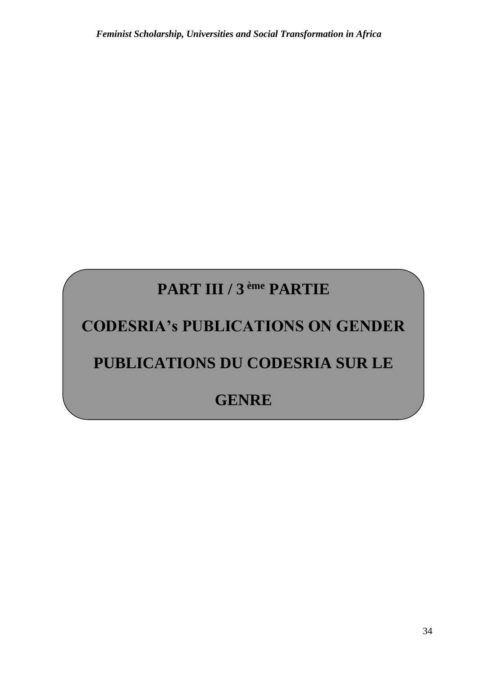## **PART III / 3 ème PARTIE**

## **CODESRIA's PUBLICATIONS ON GENDER**

## **PUBLICATIONS DU CODESRIA SUR LE**

## **GENRE**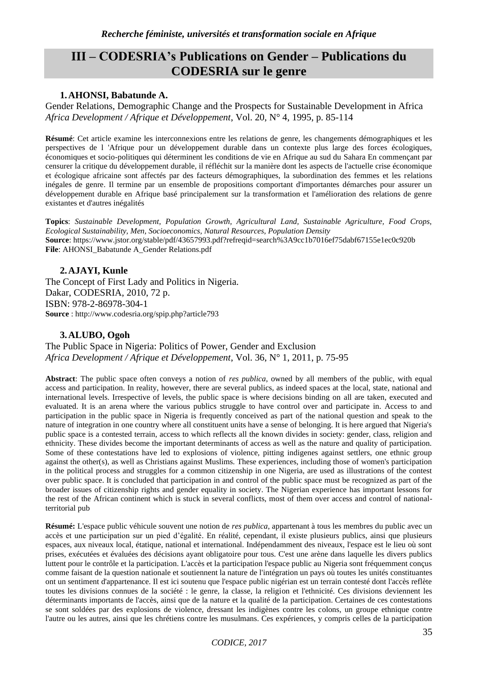## <span id="page-34-0"></span>**III – CODESRIA's Publications on Gender – Publications du CODESRIA sur le genre**

### **1.AHONSI, Babatunde A.**

Gender Relations, Demographic Change and the Prospects for Sustainable Development in Africa *Africa Development / Afrique et Développement*, Vol. 20, N° 4, 1995, p. 85-114

**Résumé**: Cet article examine les interconnexions entre les relations de genre, les changements démographiques et les perspectives de l 'Afrique pour un développement durable dans un contexte plus large des forces écologiques, économiques et socio-politiques qui déterminent les conditions de vie en Afrique au sud du Sahara En commençant par censurer la critique du développement durable, il réfléchit sur la manière dont les aspects de l'actuelle crise économique et écologique africaine sont affectés par des facteurs démographiques, la subordination des femmes et les relations inégales de genre. Il termine par un ensemble de propositions comportant d'importantes démarches pour assurer un développement durable en Afrique basé principalement sur la transformation et l'amélioration des relations de genre existantes et d'autres inégalités

**Topics**: *Sustainable Development, Population Growth, Agricultural Land, Sustainable Agriculture, Food Crops, Ecological Sustainability, Men, Socioeconomics, Natural Resources, Population Density* **Source**: https://www.jstor.org/stable/pdf/43657993.pdf?refreqid=search%3A9cc1b7016ef75dabf67155e1ec0c920b **File**: AHONSI\_Babatunde A\_Gender Relations.pdf

#### **2.AJAYI, Kunle**

The Concept of First Lady and Politics in Nigeria. Dakar, CODESRIA, 2010, 72 p. ISBN: 978-2-86978-304-1 **Source** : http://www.codesria.org/spip.php?article793

#### **3.ALUBO, Ogoh**

The Public Space in Nigeria: Politics of Power, Gender and Exclusion *Africa Development / Afrique et Développement*, Vol. 36, N° 1, 2011, p. 75-95

**Abstract**: The public space often conveys a notion of *res publica*, owned by all members of the public, with equal access and participation. In reality, however, there are several publics, as indeed spaces at the local, state, national and international levels. Irrespective of levels, the public space is where decisions binding on all are taken, executed and evaluated. It is an arena where the various publics struggle to have control over and participate in. Access to and participation in the public space in Nigeria is frequently conceived as part of the national question and speak to the nature of integration in one country where all constituent units have a sense of belonging. It is here argued that Nigeria's public space is a contested terrain, access to which reflects all the known divides in society: gender, class, religion and ethnicity. These divides become the important determinants of access as well as the nature and quality of participation. Some of these contestations have led to explosions of violence, pitting indigenes against settlers, one ethnic group against the other(s), as well as Christians against Muslims. These experiences, including those of women's participation in the political process and struggles for a common citizenship in one Nigeria, are used as illustrations of the contest over public space. It is concluded that participation in and control of the public space must be recognized as part of the broader issues of citizenship rights and gender equality in society. The Nigerian experience has important lessons for the rest of the African continent which is stuck in several conflicts, most of them over access and control of nationalterritorial pub

**Résumé:** L'espace public véhicule souvent une notion de *res publica*, appartenant à tous les membres du public avec un accès et une participation sur un pied d'égalité. En réalité, cependant, il existe plusieurs publics, ainsi que plusieurs espaces, aux niveaux local, étatique, national et international. Indépendamment des niveaux, l'espace est le lieu où sont prises, exécutées et évaluées des décisions ayant obligatoire pour tous. C'est une arène dans laquelle les divers publics luttent pour le contrôle et la participation. L'accès et la participation l'espace public au Nigeria sont fréquemment conçus comme faisant de la question nationale et soutiennent la nature de l'intégration un pays où toutes les unités constituantes ont un sentiment d'appartenance. Il est ici soutenu que l'espace public nigérian est un terrain contesté dont l'accès reflète toutes les divisions connues de la société : le genre, la classe, la religion et l'ethnicité. Ces divisions deviennent les déterminants importants de l'accès, ainsi que de la nature et la qualité de la participation. Certaines de ces contestations se sont soldées par des explosions de violence, dressant les indigènes contre les colons, un groupe ethnique contre l'autre ou les autres, ainsi que les chrétiens contre les musulmans. Ces expériences, y compris celles de la participation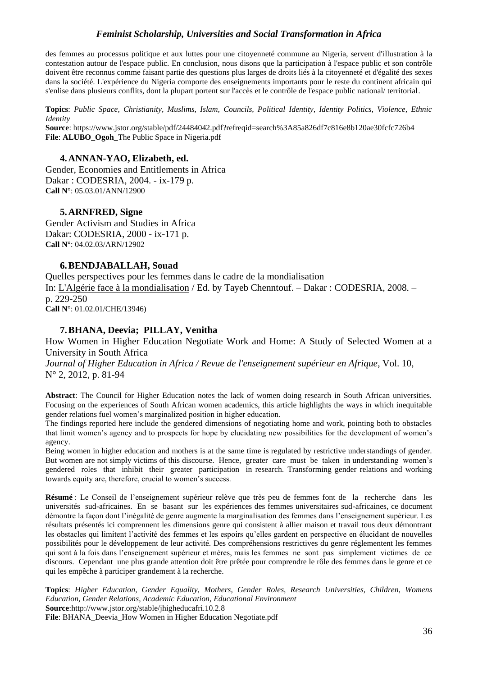des femmes au processus politique et aux luttes pour une citoyenneté commune au Nigeria, servent d'illustration à la contestation autour de l'espace public. En conclusion, nous disons que la participation à l'espace public et son contrôle doivent être reconnus comme faisant partie des questions plus larges de droits liés à la citoyenneté et d'égalité des sexes dans la société. L'expérience du Nigeria comporte des enseignements importants pour le reste du continent africain qui s'enlise dans plusieurs conflits, dont la plupart portent sur l'accès et le contrôle de l'espace public national/ territorial.

**Topics**: *Public Space, Christianity, Muslims, Islam, Councils, Political Identity, Identity Politics, Violence, Ethnic Identity*

**Source**: https://www.jstor.org/stable/pdf/24484042.pdf?refreqid=search%3A85a826df7c816e8b120ae30fcfc726b4 **File**: **ALUBO\_Ogoh\_**The Public Space in Nigeria.pdf

#### **4.ANNAN-YAO, Elizabeth, ed.**

Gender, Economies and Entitlements in Africa Dakar : CODESRIA, 2004. - ix-179 p. **Call N°**: 05.03.01/ANN/12900

#### **5.ARNFRED, Signe**

Gender Activism and Studies in Africa Dakar: CODESRIA, 2000 - ix-171 p. **Call N°**: 04.02.03/ARN/12902

#### **6.BENDJABALLAH, Souad**

Quelles perspectives pour les femmes dans le cadre de la mondialisation In: L'Algérie face à la mondialisation / Ed. by Tayeb Chenntouf. – Dakar : CODESRIA, 2008. – p. 229-250 **Call N°**: 01.02.01/CHE/13946)

#### **7.BHANA, Deevia; PILLAY, Venitha**

How Women in Higher Education Negotiate Work and Home: A Study of Selected Women at a University in South Africa

*Journal of Higher Education in Africa / Revue de l'enseignement supérieur en Afrique*, Vol. 10, N° 2, 2012, p. 81-94

**Abstract**: The Council for Higher Education notes the lack of women doing research in South African universities. Focusing on the experiences of South African women academics, this article highlights the ways in which inequitable gender relations fuel women's marginalized position in higher education.

The findings reported here include the gendered dimensions of negotiating home and work, pointing both to obstacles that limit women's agency and to prospects for hope by elucidating new possibilities for the development of women's agency.

Being women in higher education and mothers is at the same time is regulated by restrictive understandings of gender. But women are not simply victims of this discourse. Hence, greater care must be taken in understanding women's gendered roles that inhibit their greater participation in research. Transforming gender relations and working towards equity are, therefore, crucial to women's success.

**Résumé** : Le Conseil de l'enseignement supérieur relève que très peu de femmes font de la recherche dans les universités sud-africaines. En se basant sur les expériences des femmes universitaires sud-africaines, ce document démontre la façon dont l'inégalité de genre augmente la marginalisation des femmes dans l'enseignement supérieur. Les résultats présentés ici comprennent les dimensions genre qui consistent à allier maison et travail tous deux démontrant les obstacles qui limitent l'activité des femmes et les espoirs qu'elles gardent en perspective en élucidant de nouvelles possibilités pour le développement de leur activité. Des compréhensions restrictives du genre réglementent les femmes qui sont à la fois dans l'enseignement supérieur et mères, mais les femmes ne sont pas simplement victimes de ce discours. Cependant une plus grande attention doit être prêtée pour comprendre le rôle des femmes dans le genre et ce qui les empêche à participer grandement à la recherche.

**Topics**: *Higher Education, Gender Equality, Mothers, Gender Roles, Research Universities, Children, Womens Education, Gender Relations, Academic Education, Educational Environment* **Source**:http://www.jstor.org/stable/jhigheducafri.10.2.8

**File**: BHANA\_Deevia\_How Women in Higher Education Negotiate.pdf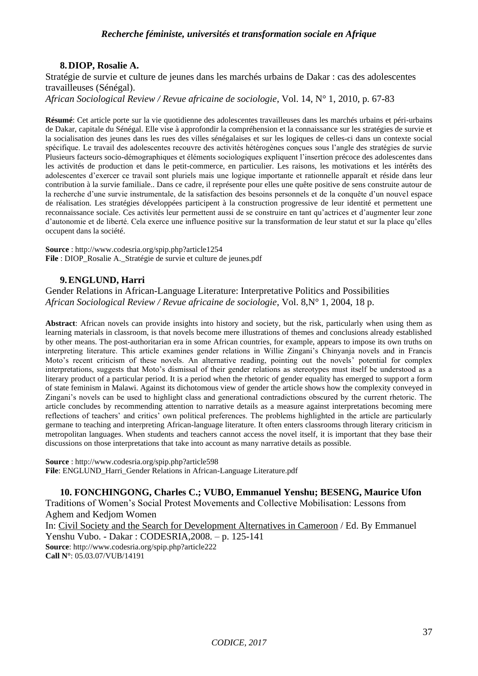#### **8.DIOP, Rosalie A.**

Stratégie de survie et culture de jeunes dans les marchés urbains de Dakar : cas des adolescentes travailleuses (Sénégal).

*African Sociological Review / Revue africaine de sociologie*, Vol. 14, N° 1, 2010, p. 67-83

**Résumé**: Cet article porte sur la vie quotidienne des adolescentes travailleuses dans les marchés urbains et péri-urbains de Dakar, capitale du Sénégal. Elle vise à approfondir la compréhension et la connaissance sur les stratégies de survie et la socialisation des jeunes dans les rues des villes sénégalaises et sur les logiques de celles-ci dans un contexte social spécifique. Le travail des adolescentes recouvre des activités hétérogènes conçues sous l'angle des stratégies de survie Plusieurs facteurs socio-démographiques et éléments sociologiques expliquent l'insertion précoce des adolescentes dans les activités de production et dans le petit-commerce, en particulier. Les raisons, les motivations et les intérêts des adolescentes d'exercer ce travail sont pluriels mais une logique importante et rationnelle apparaît et réside dans leur contribution à la survie familiale.. Dans ce cadre, il représente pour elles une quête positive de sens construite autour de la recherche d'une survie instrumentale, de la satisfaction des besoins personnels et de la conquête d'un nouvel espace de réalisation. Les stratégies développées participent à la construction progressive de leur identité et permettent une reconnaissance sociale. Ces activités leur permettent aussi de se construire en tant qu'actrices et d'augmenter leur zone d'autonomie et de liberté. Cela exerce une influence positive sur la transformation de leur statut et sur la place qu'elles occupent dans la société.

**Source** : http://www.codesria.org/spip.php?article1254 **File** : DIOP\_Rosalie A.\_Stratégie de survie et culture de jeunes.pdf

#### **9.ENGLUND, Harri**

Gender Relations in African-Language Literature: Interpretative Politics and Possibilities *African Sociological Review / Revue africaine de sociologie*, Vol. 8,N° 1, 2004, 18 p.

**Abstract**: African novels can provide insights into history and society, but the risk, particularly when using them as learning materials in classroom, is that novels become mere illustrations of themes and conclusions already established by other means. The post-authoritarian era in some African countries, for example, appears to impose its own truths on interpreting literature. This article examines gender relations in Willie Zingani's Chinyanja novels and in Francis Moto's recent criticism of these novels. An alternative reading, pointing out the novels' potential for complex interpretations, suggests that Moto's dismissal of their gender relations as stereotypes must itself be understood as a literary product of a particular period. It is a period when the rhetoric of gender equality has emerged to support a form of state feminism in Malawi. Against its dichotomous view of gender the article shows how the complexity conveyed in Zingani's novels can be used to highlight class and generational contradictions obscured by the current rhetoric. The article concludes by recommending attention to narrative details as a measure against interpretations becoming mere reflections of teachers' and critics' own political preferences. The problems highlighted in the article are particularly germane to teaching and interpreting African-language literature. It often enters classrooms through literary criticism in metropolitan languages. When students and teachers cannot access the novel itself, it is important that they base their discussions on those interpretations that take into account as many narrative details as possible.

**Source** : http://www.codesria.org/spip.php?article598 File: ENGLUND Harri Gender Relations in African-Language Literature.pdf

**10. FONCHINGONG, Charles C.; VUBO, Emmanuel Yenshu; BESENG, Maurice Ufon** Traditions of Women's Social Protest Movements and Collective Mobilisation: Lessons from Aghem and Kedjom Women In: Civil Society and the Search for Development Alternatives in Cameroon / Ed. By Emmanuel Yenshu Vubo. - Dakar : CODESRIA,2008. – p. 125-141 **Source**: http://www.codesria.org/spip.php?article222 **Call N°**: 05.03.07/VUB/14191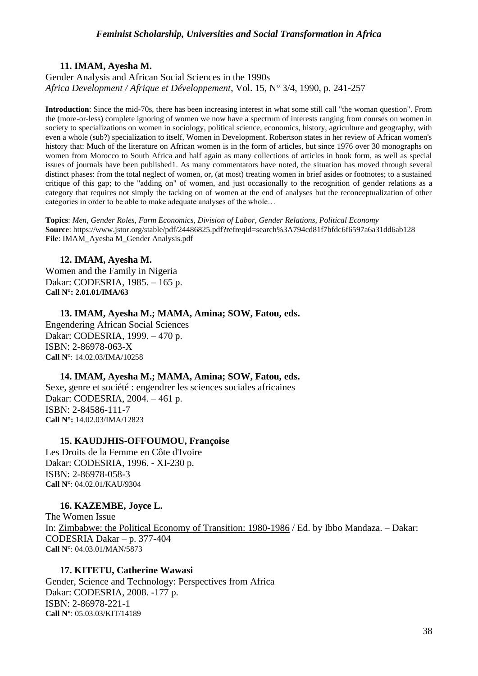#### **11. IMAM, Ayesha M.**

Gender Analysis and African Social Sciences in the 1990s *Africa Development / Afrique et Développement*, Vol. 15, N° 3/4, 1990, p. 241-257

**Introduction**: Since the mid-70s, there has been increasing interest in what some still call "the woman question". From the (more-or-less) complete ignoring of women we now have a spectrum of interests ranging from courses on women in society to specializations on women in sociology, political science, economics, history, agriculture and geography, with even a whole (sub?) specialization to itself, Women in Development. Robertson states in her review of African women's history that: Much of the literature on African women is in the form of articles, but since 1976 over 30 monographs on women from Morocco to South Africa and half again as many collections of articles in book form, as well as special issues of journals have been published1. As many commentators have noted, the situation has moved through several distinct phases: from the total neglect of women, or, (at most) treating women in brief asides or footnotes; to a sustained critique of this gap; to the "adding on" of women, and just occasionally to the recognition of gender relations as a category that requires not simply the tacking on of women at the end of analyses but the reconceptualization of other categories in order to be able to make adequate analyses of the whole…

**Topics**: *Men, Gender Roles, Farm Economics, Division of Labor, Gender Relations, Political Economy* **Source**: https://www.jstor.org/stable/pdf/24486825.pdf?refreqid=search%3A794cd81f7bfdc6f6597a6a31dd6ab128 **File**: IMAM\_Ayesha M\_Gender Analysis.pdf

#### **12. IMAM, Ayesha M.**

Women and the Family in Nigeria Dakar: CODESRIA, 1985. – 165 p. **Call N°: 2.01.01/IMA/63**

**13. IMAM, Ayesha M.; MAMA, Amina; SOW, Fatou, eds.**  Engendering African Social Sciences

Dakar: CODESRIA, 1999. – 470 p. ISBN: 2-86978-063-X **Call N°**: 14.02.03/IMA/10258

**14. IMAM, Ayesha M.; MAMA, Amina; SOW, Fatou, eds.**  Sexe, genre et société : engendrer les sciences sociales africaines Dakar: CODESRIA, 2004. – 461 p. ISBN: 2-84586-111-7 **Call N°:** 14.02.03/IMA/12823

#### **15. KAUDJHIS-OFFOUMOU, Françoise**

Les Droits de la Femme en Côte d'Ivoire Dakar: CODESRIA, 1996. - XI-230 p. ISBN: 2-86978-058-3 **Call N°**: 04.02.01/KAU/9304

#### **16. KAZEMBE, Joyce L.**

The Women Issue In: Zimbabwe: the Political Economy of Transition: 1980-1986 / Ed. by Ibbo Mandaza. – Dakar: CODESRIA Dakar – p. 377-404 **Call N°**: 04.03.01/MAN/5873

#### **17. KITETU, Catherine Wawasi**

Gender, Science and Technology: Perspectives from Africa Dakar: CODESRIA, 2008. -177 p. ISBN: 2-86978-221-1 **Call N°**: 05.03.03/KIT/14189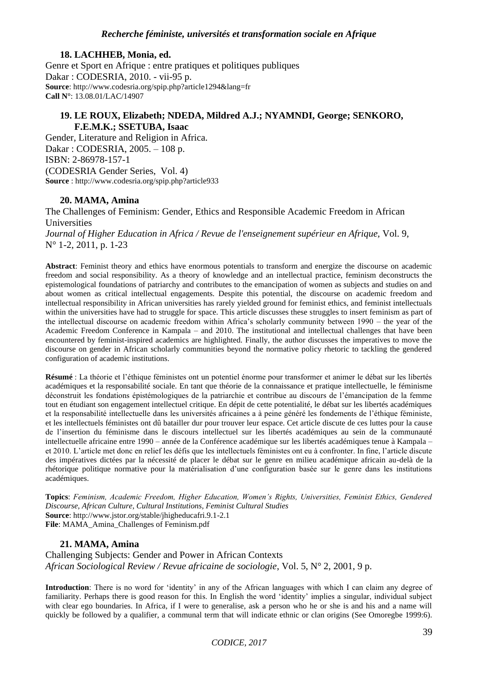#### **18. LACHHEB, Monia, ed.**

Genre et Sport en Afrique : entre pratiques et politiques publiques Dakar : CODESRIA, 2010. - vii-95 p. **Source**: http://www.codesria.org/spip.php?article1294&lang=fr **Call N°**: 13.08.01/LAC/14907

#### **19. LE ROUX, Elizabeth; NDEDA, Mildred A.J.; NYAMNDI, George; SENKORO, F.E.M.K.; SSETUBA, Isaac**

Gender, Literature and Religion in Africa. Dakar : CODESRIA, 2005. – 108 p. ISBN: 2-86978-157-1 (CODESRIA Gender Series, Vol. 4) **Source** : http://www.codesria.org/spip.php?article933

#### **20. MAMA, Amina**

The Challenges of Feminism: Gender, Ethics and Responsible Academic Freedom in African Universities *Journal of Higher Education in Africa / Revue de l'enseignement supérieur en Afrique, Vol. 9,* N° 1-2, 2011, p. 1-23

**Abstract**: Feminist theory and ethics have enormous potentials to transform and energize the discourse on academic freedom and social responsibility. As a theory of knowledge and an intellectual practice, feminism deconstructs the epistemological foundations of patriarchy and contributes to the emancipation of women as subjects and studies on and about women as critical intellectual engagements. Despite this potential, the discourse on academic freedom and intellectual responsibility in African universities has rarely yielded ground for feminist ethics, and feminist intellectuals within the universities have had to struggle for space. This article discusses these struggles to insert feminism as part of the intellectual discourse on academic freedom within Africa's scholarly community between 1990 – the year of the Academic Freedom Conference in Kampala – and 2010. The institutional and intellectual challenges that have been encountered by feminist-inspired academics are highlighted. Finally, the author discusses the imperatives to move the discourse on gender in African scholarly communities beyond the normative policy rhetoric to tackling the gendered configuration of academic institutions.

**Résumé** : La théorie et l'éthique féministes ont un potentiel énorme pour transformer et animer le débat sur les libertés académiques et la responsabilité sociale. En tant que théorie de la connaissance et pratique intellectuelle, le féminisme déconstruit les fondations épistémologiques de la patriarchie et contribue au discours de l'émancipation de la femme tout en étudiant son engagement intellectuel critique. En dépit de cette potentialité, le débat sur les libertés académiques et la responsabilité intellectuelle dans les universités africaines a à peine généré les fondements de l'éthique féministe, et les intellectuels féministes ont dû batailler dur pour trouver leur espace. Cet article discute de ces luttes pour la cause de l'insertion du féminisme dans le discours intellectuel sur les libertés académiques au sein de la communauté intellectuelle africaine entre 1990 – année de la Conférence académique sur les libertés académiques tenue à Kampala – et 2010. L'article met donc en relief les défis que les intellectuels féministes ont eu à confronter. In fine, l'article discute des impératives dictées par la nécessité de placer le débat sur le genre en milieu académique africain au-delà de la rhétorique politique normative pour la matérialisation d'une configuration basée sur le genre dans les institutions académiques.

**Topics**: *Feminism, Academic Freedom, Higher Education, Women's Rights, Universities, Feminist Ethics, Gendered Discourse, African Culture, Cultural Institutions, Feminist Cultural Studies* **Source**:<http://www.jstor.org/stable/jhigheducafri.9.1-2.1> **File**: MAMA\_Amina\_Challenges of Feminism.pdf

#### **21. MAMA, Amina**

Challenging Subjects: Gender and Power in African Contexts *African Sociological Review / Revue africaine de sociologie*, Vol. 5, N° 2, 2001, 9 p.

**Introduction**: There is no word for 'identity' in any of the African languages with which I can claim any degree of familiarity. Perhaps there is good reason for this. In English the word 'identity' implies a singular, individual subject with clear ego boundaries. In Africa, if I were to generalise, ask a person who he or she is and his and a name will quickly be followed by a qualifier, a communal term that will indicate ethnic or clan origins (See Omoregbe 1999:6).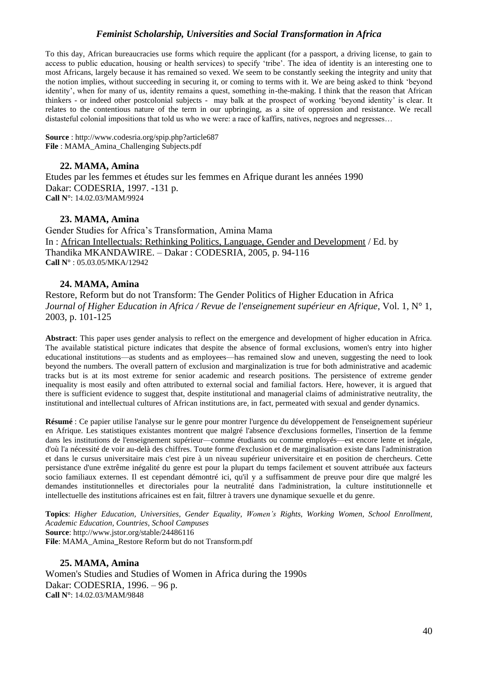To this day, African bureaucracies use forms which require the applicant (for a passport, a driving license, to gain to access to public education, housing or health services) to specify 'tribe'. The idea of identity is an interesting one to most Africans, largely because it has remained so vexed. We seem to be constantly seeking the integrity and unity that the notion implies, without succeeding in securing it, or coming to terms with it. We are being asked to think 'beyond identity', when for many of us, identity remains a quest, something in-the-making. I think that the reason that African thinkers - or indeed other postcolonial subjects - may balk at the prospect of working 'beyond identity' is clear. It relates to the contentious nature of the term in our upbringing, as a site of oppression and resistance. We recall distasteful colonial impositions that told us who we were: a race of kaffirs, natives, negroes and negresses...

**Source** :<http://www.codesria.org/spip.php?article687> **File** : MAMA\_Amina\_Challenging Subjects.pdf

#### **22. MAMA, Amina**

Etudes par les femmes et études sur les femmes en Afrique durant les années 1990 Dakar: CODESRIA, 1997. -131 p. **Call N°**: 14.02.03/MAM/9924

#### **23. MAMA, Amina**

Gender Studies for Africa's Transformation, Amina Mama In : African Intellectuals: Rethinking Politics, Language, Gender and Development / Ed. by Thandika MKANDAWIRE. – Dakar : CODESRIA, 2005, p. 94-116 **Call N°** : 05.03.05/MKA/12942

#### **24. MAMA, Amina**

Restore, Reform but do not Transform: The Gender Politics of Higher Education in Africa *Journal of Higher Education in Africa / Revue de l'enseignement supérieur en Afrique*, Vol. 1, N° 1, 2003, p. 101-125

**Abstract**: This paper uses gender analysis to reflect on the emergence and development of higher education in Africa. The available statistical picture indicates that despite the absence of formal exclusions, women's entry into higher educational institutions—as students and as employees—has remained slow and uneven, suggesting the need to look beyond the numbers. The overall pattern of exclusion and marginalization is true for both administrative and academic tracks but is at its most extreme for senior academic and research positions. The persistence of extreme gender inequality is most easily and often attributed to external social and familial factors. Here, however, it is argued that there is sufficient evidence to suggest that, despite institutional and managerial claims of administrative neutrality, the institutional and intellectual cultures of African institutions are, in fact, permeated with sexual and gender dynamics.

**Résumé** : Ce papier utilise l'analyse sur le genre pour montrer l'urgence du développement de l'enseignement supérieur en Afrique. Les statistiques existantes montrent que malgré l'absence d'exclusions formelles, l'insertion de la femme dans les institutions de l'enseignement supérieur—comme étudiants ou comme employés—est encore lente et inégale, d'où l'a nécessité de voir au-delà des chiffres. Toute forme d'exclusion et de marginalisation existe dans l'administration et dans le cursus universitaire mais c'est pire à un niveau supérieur universitaire et en position de chercheurs. Cette persistance d'une extrême inégalité du genre est pour la plupart du temps facilement et souvent attribuée aux facteurs socio familiaux externes. Il est cependant démontré ici, qu'il y a suffisamment de preuve pour dire que malgré les demandes institutionnelles et directoriales pour la neutralité dans l'administration, la culture institutionnelle et intellectuelle des institutions africaines est en fait, filtrer à travers une dynamique sexuelle et du genre.

**Topics**: *Higher Education, Universities, Gender Equality, Women's Rights, Working Women, School Enrollment, Academic Education, Countries, School Campuses* **Source**: http://www.jstor.org/stable/24486116 **File**: MAMA\_Amina**\_**Restore Reform but do not Transform.pdf

#### **25. MAMA, Amina**

Women's Studies and Studies of Women in Africa during the 1990s Dakar: CODESRIA, 1996. – 96 p. **Call N°**: 14.02.03/MAM/9848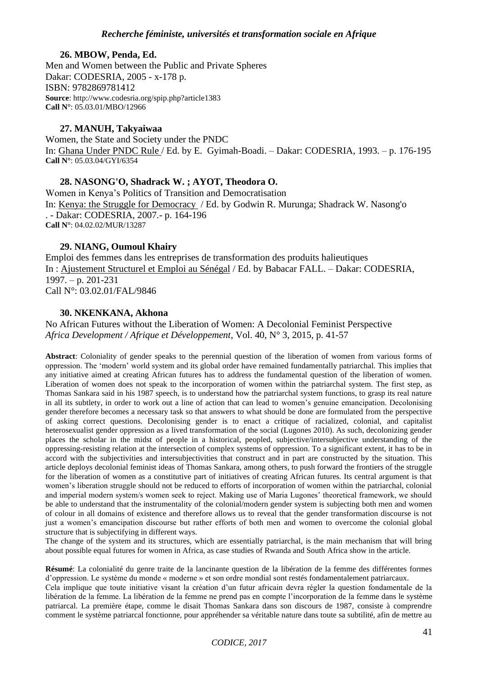#### **26. MBOW, Penda, Ed.**

Men and Women between the Public and Private Spheres Dakar: CODESRIA, 2005 - x-178 p. ISBN: 9782869781412 **Source**: http://www.codesria.org/spip.php?article1383 **Call N°**: 05.03.01/MBO/12966

#### **27. MANUH, Takyaiwaa**

Women, the State and Society under the PNDC In: Ghana Under PNDC Rule / Ed. by E. Gyimah-Boadi. – Dakar: CODESRIA, 1993. – p. 176-195 **Call N°**: 05.03.04/GYI/6354

#### **28. NASONG'O, Shadrack W. ; AYOT, Theodora O.**

Women in Kenya's Politics of Transition and Democratisation In: Kenya: the Struggle for Democracy / Ed. by Godwin R. Murunga; Shadrack W. Nasong'o . - Dakar: CODESRIA, 2007.- p. 164-196 **Call N°**: 04.02.02/MUR/13287

### **29. NIANG, Oumoul Khairy**

Emploi des femmes dans les entreprises de transformation des produits halieutiques In : Ajustement Structurel et Emploi au Sénégal / Ed. by Babacar FALL. – Dakar: CODESRIA, 1997. – p. 201-231 Call N°: 03.02.01/FAL/9846

#### **30. NKENKANA, Akhona**

No African Futures without the Liberation of Women: A Decolonial Feminist Perspective *Africa Development / Afrique et Développement*, Vol. 40, N° 3, 2015, p. 41-57

**Abstract**: Coloniality of gender speaks to the perennial question of the liberation of women from various forms of oppression. The 'modern' world system and its global order have remained fundamentally patriarchal. This implies that any initiative aimed at creating African futures has to address the fundamental question of the liberation of women. Liberation of women does not speak to the incorporation of women within the patriarchal system. The first step, as Thomas Sankara said in his 1987 speech, is to understand how the patriarchal system functions, to grasp its real nature in all its subtlety, in order to work out a line of action that can lead to women's genuine emancipation. Decolonising gender therefore becomes a necessary task so that answers to what should be done are formulated from the perspective of asking correct questions. Decolonising gender is to enact a critique of racialized, colonial, and capitalist heterosexualist gender oppression as a lived transformation of the social (Lugones 2010). As such, decolonizing gender places the scholar in the midst of people in a historical, peopled, subjective/intersubjective understanding of the oppressing-resisting relation at the intersection of complex systems of oppression. To a significant extent, it has to be in accord with the subjectivities and intersubjectivities that construct and in part are constructed by the situation. This article deploys decolonial feminist ideas of Thomas Sankara, among others, to push forward the frontiers of the struggle for the liberation of women as a constitutive part of initiatives of creating African futures. Its central argument is that women's liberation struggle should not be reduced to efforts of incorporation of women within the patriarchal, colonial and imperial modern system/s women seek to reject. Making use of Maria Lugones' theoretical framework, we should be able to understand that the instrumentality of the colonial/modern gender system is subjecting both men and women of colour in all domains of existence and therefore allows us to reveal that the gender transformation discourse is not just a women's emancipation discourse but rather efforts of both men and women to overcome the colonial global structure that is subjectifying in different ways.

The change of the system and its structures, which are essentially patriarchal, is the main mechanism that will bring about possible equal futures for women in Africa, as case studies of Rwanda and South Africa show in the article.

**Résumé**: La colonialité du genre traite de la lancinante question de la libération de la femme des différentes formes d'oppression. Le système du monde « moderne » et son ordre mondial sont restés fondamentalement patriarcaux.

Cela implique que toute initiative visant la création d'un futur africain devra régler la question fondamentale de la libération de la femme. La libération de la femme ne prend pas en compte l'incorporation de la femme dans le système patriarcal. La première étape, comme le disait Thomas Sankara dans son discours de 1987, consiste à comprendre comment le système patriarcal fonctionne, pour appréhender sa véritable nature dans toute sa subtilité, afin de mettre au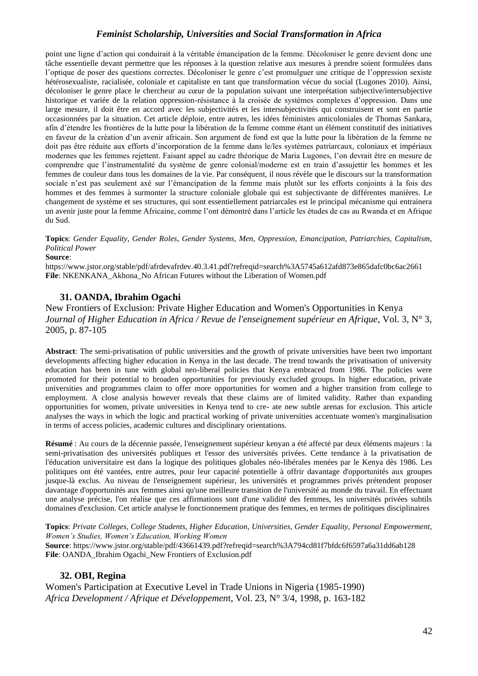point une ligne d'action qui conduirait à la véritable émancipation de la femme. Décoloniser le genre devient donc une tâche essentielle devant permettre que les réponses à la question relative aux mesures à prendre soient formulées dans l'optique de poser des questions correctes. Décoloniser le genre c'est promulguer une critique de l'oppression sexiste hétérosexualiste, racialisée, coloniale et capitaliste en tant que transformation vécue du social (Lugones 2010). Ainsi, décoloniser le genre place le chercheur au cœur de la population suivant une interprétation subjective/intersubjective historique et variée de la relation oppression-résistance à la croisée de systèmes complexes d'oppression. Dans une large mesure, il doit être en accord avec les subjectivités et les intersubjectivités qui construisent et sont en partie occasionnées par la situation. Cet article déploie, entre autres, les idées féministes anticoloniales de Thomas Sankara, afin d'étendre les frontières de la lutte pour la libération de la femme comme étant un élément constitutif des initiatives en faveur de la création d'un avenir africain. Son argument de fond est que la lutte pour la libération de la femme ne doit pas être réduite aux efforts d'incorporation de la femme dans le/les systèmes patriarcaux, coloniaux et impériaux modernes que les femmes rejettent. Faisant appel au cadre théorique de Maria Lugones, l'on devrait être en mesure de comprendre que l'instrumentalité du système de genre colonial/moderne est en train d'assujettir les hommes et les femmes de couleur dans tous les domaines de la vie. Par conséquent, il nous révèle que le discours sur la transformation sociale n'est pas seulement axé sur l'émancipation de la femme mais plutôt sur les efforts conjoints à la fois des hommes et des femmes à surmonter la structure coloniale globale qui est subjectivante de différentes manières. Le changement de système et ses structures, qui sont essentiellement patriarcales est le principal mécanisme qui entrainera un avenir juste pour la femme Africaine, comme l'ont démontré dans l'article les études de cas au Rwanda et en Afrique du Sud.

**Topics**: *Gender Equality, Gender Roles, Gender Systems, Men, Oppression, Emancipation, Patriarchies, Capitalism, Political Power*

**Source**:

https://www.jstor.org/stable/pdf/afrdevafrdev.40.3.41.pdf?refreqid=search%3A5745a612afd873e865dafc0bc6ac2661 **File**: NKENKANA\_Akhona\_No African Futures without the Liberation of Women.pdf

#### **31. OANDA, Ibrahim Ogachi**

New Frontiers of Exclusion: Private Higher Education and Women's Opportunities in Kenya *Journal of Higher Education in Africa / Revue de l'enseignement supérieur en Afrique*, Vol. 3, N° 3, 2005, p. 87-105

**Abstract**: The semi-privatisation of public universities and the growth of private universities have been two important developments affecting higher education in Kenya in the last decade. The trend towards the privatisation of university education has been in tune with global neo-liberal policies that Kenya embraced from 1986. The policies were promoted for their potential to broaden opportunities for previously excluded groups. In higher education, private universities and programmes claim to offer more opportunities for women and a higher transition from college to employment. A close analysis however reveals that these claims are of limited validity. Rather than expanding opportunities for women, private universities in Kenya tend to cre- ate new subtle arenas for exclusion. This article analyses the ways in which the logic and practical working of private universities accentuate women's marginalisation in terms of access policies, academic cultures and disciplinary orientations.

**Résumé** : Au cours de la décennie passée, l'enseignement supérieur kenyan a été affecté par deux éléments majeurs : la semi-privatisation des universités publiques et l'essor des universités privées. Cette tendance à la privatisation de l'éducation universitaire est dans la logique des politiques globales néo-libérales menées par le Kenya dès 1986. Les politiques ont été vantées, entre autres, pour leur capacité potentielle à offrir davantage d'opportunités aux groupes jusque-là exclus. Au niveau de l'enseignement supérieur, les universités et programmes privés prétendent proposer davantage d'opportunités aux femmes ainsi qu'une meilleure transition de l'université au monde du travail. En effectuant une analyse précise, l'on réalise que ces affirmations sont d'une validité des femmes, les universités privées subtils domaines d'exclusion. Cet article analyse le fonctionnement pratique des femmes, en termes de politiques disciplinaires

**Topics**: *Private Colleges, College Students, Higher Education, Universities, Gender Equality, Personal Empowerment, Women's Studies, Women's Education, Working Women* **Source**: https://www.jstor.org/stable/pdf/43661439.pdf?refreqid=search%3A794cd81f7bfdc6f6597a6a31dd6ab128 **File**: OANDA\_Ibrahim Ogachi\_New Frontiers of Exclusion.pdf

#### **32. OBI, Regina**

Women's Participation at Executive Level in Trade Unions in Nigeria (1985-1990) *Africa Development / Afrique et Développemen*t, Vol. 23, N° 3/4, 1998, p. 163-182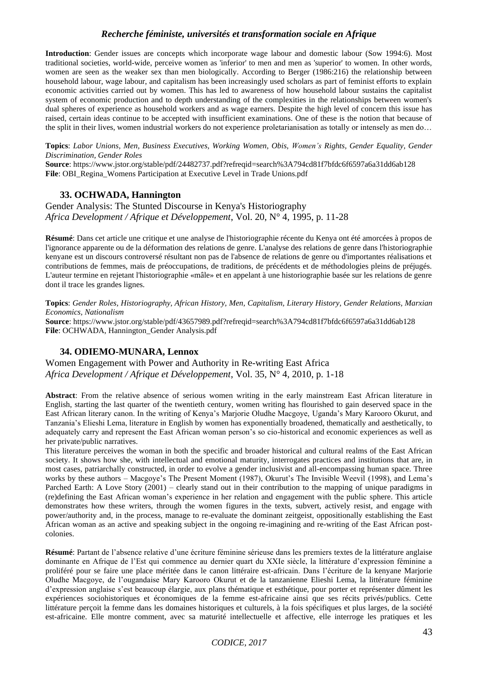**Introduction**: Gender issues are concepts which incorporate wage labour and domestic labour (Sow 1994:6). Most traditional societies, world-wide, perceive women as 'inferior' to men and men as 'superior' to women. In other words, women are seen as the weaker sex than men biologically. According to Berger (1986:216) the relationship between household labour, wage labour, and capitalism has been increasingly used scholars as part of feminist efforts to explain economic activities carried out by women. This has led to awareness of how household labour sustains the capitalist system of economic production and to depth understanding of the complexities in the relationships between women's dual spheres of experience as household workers and as wage earners. Despite the high level of concern this issue has raised, certain ideas continue to be accepted with insufficient examinations. One of these is the notion that because of the split in their lives, women industrial workers do not experience proletarianisation as totally or intensely as men do…

**Topics**: *Labor Unions, Men, Business Executives, Working Women, Obis, Women's Rights, Gender Equality, Gender Discrimination, Gender Roles*

**Source**: https://www.jstor.org/stable/pdf/24482737.pdf?refreqid=search%3A794cd81f7bfdc6f6597a6a31dd6ab128 File: OBI\_Regina\_Womens Participation at Executive Level in Trade Unions.pdf

#### **33. OCHWADA, Hannington**

Gender Analysis: The Stunted Discourse in Kenya's Historiography *Africa Development / Afrique et Développement*, Vol. 20, N° 4, 1995, p. 11-28

**Résumé**: Dans cet article une critique et une analyse de l'historiographie récente du Kenya ont été amorcées à propos de l'ignorance apparente ou de la déformation des relations de genre. L'analyse des relations de genre dans l'historiographie kenyane est un discours controversé résultant non pas de l'absence de relations de genre ou d'importantes réalisations et contributions de femmes, mais de préoccupations, de traditions, de précédents et de méthodologies pleins de préjugés. L'auteur termine en rejetant l'historiographie «mâle» et en appelant à une historiographie basée sur les relations de genre dont il trace les grandes lignes.

**Topics**: *Gender Roles, Historiography, African History, Men, Capitalism, Literary History, Gender Relations, Marxian Economics, Nationalism* **Source**: https://www.jstor.org/stable/pdf/43657989.pdf?refreqid=search%3A794cd81f7bfdc6f6597a6a31dd6ab128 **File**: OCHWADA, Hannington\_Gender Analysis.pdf

#### **34. ODIEMO-MUNARA, Lennox**

Women Engagement with Power and Authority in Re-writing East Africa *Africa Development / Afrique et Développement*, Vol. 35, N° 4, 2010, p. 1-18

**Abstract**: From the relative absence of serious women writing in the early mainstream East African literature in English, starting the last quarter of the twentieth century, women writing has flourished to gain deserved space in the East African literary canon. In the writing of Kenya's Marjorie Oludhe Macgoye, Uganda's Mary Karooro Okurut, and Tanzania's Elieshi Lema, literature in English by women has exponentially broadened, thematically and aesthetically, to adequately carry and represent the East African woman person's so cio-historical and economic experiences as well as her private/public narratives.

This literature perceives the woman in both the specific and broader historical and cultural realms of the East African society. It shows how she, with intellectual and emotional maturity, interrogates practices and institutions that are, in most cases, patriarchally constructed, in order to evolve a gender inclusivist and all-encompassing human space. Three works by these authors – Macgoye's The Present Moment (1987), Okurut's The Invisible Weevil (1998), and Lema's Parched Earth: A Love Story (2001) – clearly stand out in their contribution to the mapping of unique paradigms in (re)defining the East African woman's experience in her relation and engagement with the public sphere. This article demonstrates how these writers, through the women figures in the texts, subvert, actively resist, and engage with power/authority and, in the process, manage to re-evaluate the dominant zeitgeist, oppositionally establishing the East African woman as an active and speaking subject in the ongoing re-imagining and re-writing of the East African postcolonies.

**Résumé**: Partant de l'absence relative d'une écriture féminine sérieuse dans les premiers textes de la littérature anglaise dominante en Afrique de l'Est qui commence au dernier quart du XXIe siècle, la littérature d'expression féminine a proliféré pour se faire une place méritée dans le canon littéraire est-africain. Dans l'écriture de la kenyane Marjorie Oludhe Macgoye, de l'ougandaise Mary Karooro Okurut et de la tanzanienne Elieshi Lema, la littérature féminine d'expression anglaise s'est beaucoup élargie, aux plans thématique et esthétique, pour porter et représenter dûment les expériences sociohistoriques et économiques de la femme est-africaine ainsi que ses récits privés/publics. Cette littérature perçoit la femme dans les domaines historiques et culturels, à la fois spécifiques et plus larges, de la société est-africaine. Elle montre comment, avec sa maturité intellectuelle et affective, elle interroge les pratiques et les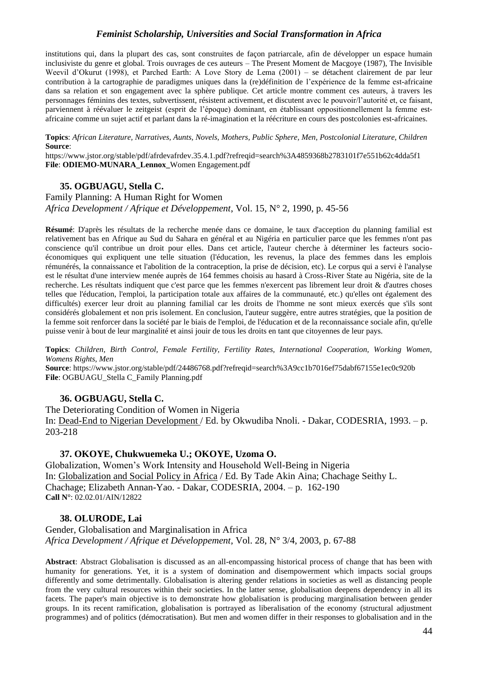institutions qui, dans la plupart des cas, sont construites de façon patriarcale, afin de développer un espace humain inclusiviste du genre et global. Trois ouvrages de ces auteurs – The Present Moment de Macgoye (1987), The Invisible Weevil d'Okurut (1998), et Parched Earth: A Love Story de Lema (2001) – se détachent clairement de par leur contribution à la cartographie de paradigmes uniques dans la (re)définition de l'expérience de la femme est-africaine dans sa relation et son engagement avec la sphère publique. Cet article montre comment ces auteurs, à travers les personnages féminins des textes, subvertissent, résistent activement, et discutent avec le pouvoir/l'autorité et, ce faisant, parviennent à réévaluer le zeitgeist (esprit de l'époque) dominant, en établissant oppositionnellement la femme estafricaine comme un sujet actif et parlant dans la ré-imagination et la réécriture en cours des postcolonies est-africaines.

**Topics**: *African Literature, Narratives, Aunts, Novels, Mothers, Public Sphere, Men, Postcolonial Literature, Children* **Source**:

https://www.jstor.org/stable/pdf/afrdevafrdev.35.4.1.pdf?refreqid=search%3A4859368b2783101f7e551b62c4dda5f1 **File**: **ODIEMO-MUNARA\_Lennox\_**Women Engagement.pdf

#### **35. OGBUAGU, Stella C.**

## Family Planning: A Human Right for Women

*Africa Development / Afrique et Développement*, Vol. 15, N° 2, 1990, p. 45-56

**Résumé**: D'après les résultats de la recherche menée dans ce domaine, le taux d'acception du planning familial est relativement bas en Afrique au Sud du Sahara en général et au Nigéria en particulier parce que les femmes n'ont pas conscience qu'il contribue un droit pour elles. Dans cet article, l'auteur cherche à déterminer les facteurs socioéconomiques qui expliquent une telle situation (l'éducation, les revenus, la place des femmes dans les emplois rémunérés, la connaissance et l'abolition de la contraception, la prise de décision, etc). Le corpus qui a servi è l'analyse est le résultat d'une interview menée auprès de 164 femmes choisis au hasard à Cross-River State au Nigéria, site de la recherche. Les résultats indiquent que c'est parce que les femmes n'exercent pas librement leur droit & d'autres choses telles que l'éducation, l'emploi, la participation totale aux affaires de la communauté, etc.) qu'elles ont également des difficultés) exercer leur droit au planning familial car les droits de l'homme ne sont mieux exercés que s'ils sont considérés globalement et non pris isolement. En conclusion, l'auteur suggère, entre autres stratégies, que la position de la femme soit renforcer dans la société par le biais de l'emploi, de l'éducation et de la reconnaissance sociale afin, qu'elle puisse venir à bout de leur marginalité et ainsi jouir de tous les droits en tant que citoyennes de leur pays.

**Topics**: *Children, Birth Control, Female Fertility, Fertility Rates, International Cooperation, Working Women, Womens Rights, Men*

**Source**: https://www.jstor.org/stable/pdf/24486768.pdf?refreqid=search%3A9cc1b7016ef75dabf67155e1ec0c920b **File**: OGBUAGU\_Stella C\_Family Planning.pdf

#### **36. OGBUAGU, Stella C.**

The Deteriorating Condition of Women in Nigeria In: Dead-End to Nigerian Development / Ed. by Okwudiba Nnoli. - Dakar, CODESRIA, 1993. – p. 203-218

#### **37. OKOYE, Chukwuemeka U.; OKOYE, Uzoma O.**

Globalization, Women's Work Intensity and Household Well-Being in Nigeria In: Globalization and Social Policy in Africa / Ed. By Tade Akin Aina; Chachage Seithy L. Chachage; Elizabeth Annan-Yao. - Dakar, CODESRIA, 2004. – p. 162-190 **Call N°**: 02.02.01/AIN/12822

#### **38. OLURODE, Lai**

Gender, Globalisation and Marginalisation in Africa *Africa Development / Afrique et Développement*, Vol. 28, N° 3/4, 2003, p. 67-88

**Abstract**: Abstract Globalisation is discussed as an all-encompassing historical process of change that has been with humanity for generations. Yet, it is a system of domination and disempowerment which impacts social groups differently and some detrimentally. Globalisation is altering gender relations in societies as well as distancing people from the very cultural resources within their societies. In the latter sense, globalisation deepens dependency in all its facets. The paper's main objective is to demonstrate how globalisation is producing marginalisation between gender groups. In its recent ramification, globalisation is portrayed as liberalisation of the economy (structural adjustment programmes) and of politics (démocratisation). But men and women differ in their responses to globalisation and in the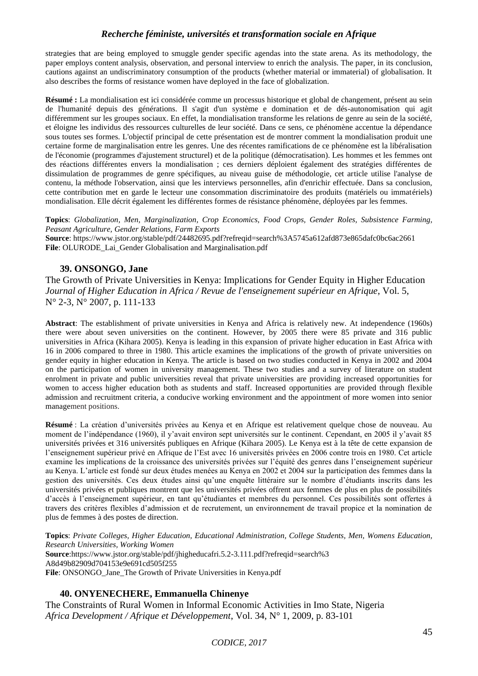strategies that are being employed to smuggle gender specific agendas into the state arena. As its methodology, the paper employs content analysis, observation, and personal interview to enrich the analysis. The paper, in its conclusion, cautions against an undiscriminatory consumption of the products (whether material or immaterial) of globalisation. It also describes the forms of resistance women have deployed in the face of globalization.

**Résumé :** La mondialisation est ici considérée comme un processus historique et global de changement, présent au sein de l'humanité depuis des générations. Il s'agit d'un système e domination et de dés-autonomisation qui agit différemment sur les groupes sociaux. En effet, la mondialisation transforme les relations de genre au sein de la société, et éloigne les individus des ressources culturelles de leur société. Dans ce sens, ce phénomène accentue la dépendance sous toutes ses formes. L'objectif principal de cette présentation est de montrer comment la mondialisation produit une certaine forme de marginalisation entre les genres. Une des récentes ramifications de ce phénomène est la libéralisation de l'économie (programmes d'ajustement structurel) et de la politique (démocratisation). Les hommes et les femmes ont des réactions différentes envers la mondialisation ; ces derniers déploient également des stratégies différentes de dissimulation de programmes de genre spécifiques, au niveau guise de méthodologie, cet article utilise l'analyse de contenu, la méthode l'observation, ainsi que les interviews personnelles, afin d'enrichir effectuée. Dans sa conclusion, cette contribution met en garde le lecteur une consommation discriminatoire des produits (matériels ou immatériels) mondialisation. Elle décrit également les différentes formes de résistance phénomène, déployées par les femmes.

**Topics**: *Globalization, Men, Marginalization, Crop Economics, Food Crops, Gender Roles, Subsistence Farming, Peasant Agriculture, Gender Relations, Farm Exports*

**Source**: https://www.jstor.org/stable/pdf/24482695.pdf?refreqid=search%3A5745a612afd873e865dafc0bc6ac2661 **File**: OLURODE\_Lai\_Gender Globalisation and Marginalisation.pdf

#### **39. ONSONGO, Jane**

The Growth of Private Universities in Kenya: Implications for Gender Equity in Higher Education *Journal of Higher Education in Africa / Revue de l'enseignement supérieur en Afrique*, Vol. 5, N° 2-3, N° 2007, p. 111-133

**Abstract**: The establishment of private universities in Kenya and Africa is relatively new. At independence (1960s) there were about seven universities on the continent. However, by 2005 there were 85 private and 316 public universities in Africa (Kihara 2005). Kenya is leading in this expansion of private higher education in East Africa with 16 in 2006 compared to three in 1980. This article examines the implications of the growth of private universities on gender equity in higher education in Kenya. The article is based on two studies conducted in Kenya in 2002 and 2004 on the participation of women in university management. These two studies and a survey of literature on student enrolment in private and public universities reveal that private universities are providing increased opportunities for women to access higher education both as students and staff. Increased opportunities are provided through flexible admission and recruitment criteria, a conducive working environment and the appointment of more women into senior management positions.

**Résumé** : La création d'universités privées au Kenya et en Afrique est relativement quelque chose de nouveau. Au moment de l'indépendance (1960), il y'avait environ sept universités sur le continent. Cependant, en 2005 il y'avait 85 universités privées et 316 universités publiques en Afrique (Kihara 2005). Le Kenya est à la tête de cette expansion de l'enseignement supérieur privé en Afrique de l'Est avec 16 universités privées en 2006 contre trois en 1980. Cet article examine les implications de la croissance des universités privées sur l'équité des genres dans l'enseignement supérieur au Kenya. L'article est fondé sur deux études menées au Kenya en 2002 et 2004 sur la participation des femmes dans la gestion des universités. Ces deux études ainsi qu'une enquête littéraire sur le nombre d'étudiants inscrits dans les universités privées et publiques montrent que les universités privées offrent aux femmes de plus en plus de possibilités d'accès à l'enseignement supérieur, en tant qu'étudiantes et membres du personnel. Ces possibilités sont offertes à travers des critères flexibles d'admission et de recrutement, un environnement de travail propice et la nomination de plus de femmes à des postes de direction.

**Topics**: *Private Colleges, Higher Education, Educational Administration, College Students, Men, Womens Education, Research Universities, Working Women* **Source**:https://www.jstor.org/stable/pdf/jhigheducafri.5.2-3.111.pdf?refreqid=search%3 A8d49b82909d704153e9e691cd505f255 **File**: ONSONGO\_Jane\_The Growth of Private Universities in Kenya.pdf

#### **40. ONYENECHERE, Emmanuella Chinenye**

The Constraints of Rural Women in Informal Economic Activities in Imo State, Nigeria *Africa Development / Afrique et Développement*, Vol. 34, N° 1, 2009, p. 83-101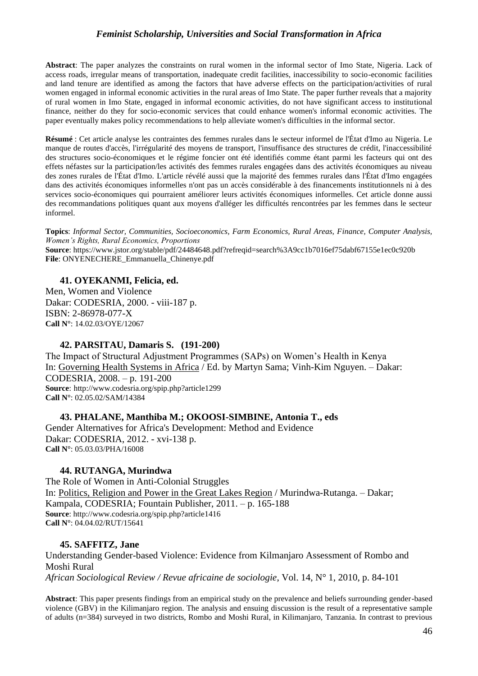**Abstract**: The paper analyzes the constraints on rural women in the informal sector of Imo State, Nigeria. Lack of access roads, irregular means of transportation, inadequate credit facilities, inaccessibility to socio-economic facilities and land tenure are identified as among the factors that have adverse effects on the participation/activities of rural women engaged in informal economic activities in the rural areas of Imo State. The paper further reveals that a majority of rural women in Imo State, engaged in informal economic activities, do not have significant access to institutional finance, neither do they for socio-economic services that could enhance women's informal economic activities. The paper eventually makes policy recommendations to help alleviate women's difficulties in the informal sector.

**Résumé** : Cet article analyse les contraintes des femmes rurales dans le secteur informel de l'État d'Imo au Nigeria. Le manque de routes d'accès, l'irrégularité des moyens de transport, l'insuffisance des structures de crédit, l'inaccessibilité des structures socio-économiques et le régime foncier ont été identifiés comme étant parmi les facteurs qui ont des effets néfastes sur la participation/les activités des femmes rurales engagées dans des activités économiques au niveau des zones rurales de l'État d'Imo. L'article révélé aussi que la majorité des femmes rurales dans l'État d'Imo engagées dans des activités économiques informelles n'ont pas un accès considérable à des financements institutionnels ni à des services socio-économiques qui pourraient améliorer leurs activités économiques informelles. Cet article donne aussi des recommandations politiques quant aux moyens d'alléger les difficultés rencontrées par les femmes dans le secteur informel.

**Topics**: *Informal Sector, Communities, Socioeconomics, Farm Economics, Rural Areas, Finance, Computer Analysis, Women's Rights, Rural Economics, Proportions*

**Source**: https://www.jstor.org/stable/pdf/24484648.pdf?refreqid=search%3A9cc1b7016ef75dabf67155e1ec0c920b **File**: ONYENECHERE\_Emmanuella\_Chinenye.pdf

#### **41. OYEKANMI, Felicia, ed.**

Men, Women and Violence Dakar: CODESRIA, 2000. - viii-187 p. ISBN: 2-86978-077-X **Call N°**: 14.02.03/OYE/12067

#### **42. PARSITAU, Damaris S. (191-200)**

The Impact of Structural Adjustment Programmes (SAPs) on Women's Health in Kenya In: Governing Health Systems in Africa / Ed. by Martyn Sama; Vinh-Kim Nguyen. – Dakar: CODESRIA, 2008. – p. 191-200 **Source**: http://www.codesria.org/spip.php?article1299 **Call N°**: 02.05.02/SAM/14384

#### **43. PHALANE, Manthiba M.; OKOOSI-SIMBINE, Antonia T., eds**

Gender Alternatives for Africa's Development: Method and Evidence Dakar: CODESRIA, 2012. - xvi-138 p. **Call N°**: 05.03.03/PHA/16008

#### **44. RUTANGA, Murindwa**

The Role of Women in Anti-Colonial Struggles In: Politics, Religion and Power in the Great Lakes Region / Murindwa-Rutanga. – Dakar; Kampala, CODESRIA; Fountain Publisher, 2011. – p. 165-188 **Source**: http://www.codesria.org/spip.php?article1416 **Call N°**: 04.04.02/RUT/15641

#### **45. SAFFITZ, Jane**

Understanding Gender-based Violence: Evidence from Kilmanjaro Assessment of Rombo and Moshi Rural *African Sociological Review / Revue africaine de sociologie*, Vol. 14, N° 1, 2010, p. 84-101

**Abstract**: This paper presents findings from an empirical study on the prevalence and beliefs surrounding gender-based violence (GBV) in the Kilimanjaro region. The analysis and ensuing discussion is the result of a representative sample of adults (n=384) surveyed in two districts, Rombo and Moshi Rural, in Kilimanjaro, Tanzania. In contrast to previous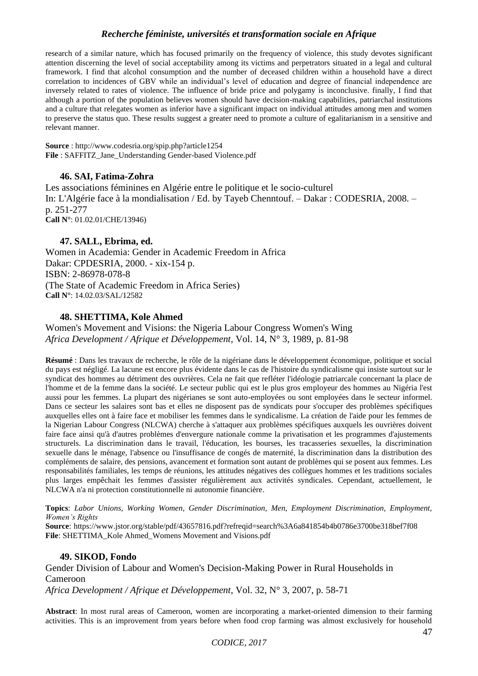research of a similar nature, which has focused primarily on the frequency of violence, this study devotes significant attention discerning the level of social acceptability among its victims and perpetrators situated in a legal and cultural framework. I find that alcohol consumption and the number of deceased children within a household have a direct correlation to incidences of GBV while an individual's level of education and degree of financial independence are inversely related to rates of violence. The influence of bride price and polygamy is inconclusive. finally, I find that although a portion of the population believes women should have decision-making capabilities, patriarchal institutions and a culture that relegates women as inferior have a significant impact on individual attitudes among men and women to preserve the status quo. These results suggest a greater need to promote a culture of egalitarianism in a sensitive and relevant manner.

**Source** : http://www.codesria.org/spip.php?article1254 **File** : SAFFITZ\_Jane\_Understanding Gender-based Violence.pdf

#### **46. SAI, Fatima-Zohra**

Les associations féminines en Algérie entre le politique et le socio-culturel In: L'Algérie face à la mondialisation / Ed. by Tayeb Chenntouf. – Dakar : CODESRIA, 2008. – p. 251-277 **Call N°**: 01.02.01/CHE/13946)

#### **47. SALL, Ebrima, ed.**

Women in Academia: Gender in Academic Freedom in Africa Dakar: CPDESRIA, 2000. - xix-154 p. ISBN: 2-86978-078-8 (The State of Academic Freedom in Africa Series) **Call N°**: 14.02.03/SAL/12582

#### **48. SHETTIMA, Kole Ahmed**

Women's Movement and Visions: the Nigeria Labour Congress Women's Wing *Africa Development / Afrique et Développement*, Vol. 14, N° 3, 1989, p. 81-98

**Résumé** : Dans les travaux de recherche, le rôle de la nigériane dans le développement économique, politique et social du pays est négligé. La lacune est encore plus évidente dans le cas de l'histoire du syndicalisme qui insiste surtout sur le syndicat des hommes au détriment des ouvrières. Cela ne fait que refléter l'idéologie patriarcale concernant la place de l'homme et de la femme dans la société. Le secteur public qui est le plus gros employeur des hommes au Nigéria l'est aussi pour les femmes. La plupart des nigérianes se sont auto-employées ou sont employées dans le secteur informel. Dans ce secteur les salaires sont bas et elles ne disposent pas de syndicats pour s'occuper des problèmes spécifiques auxquelles elles ont à faire face et mobiliser les femmes dans le syndicalisme. La création de l'aide pour les femmes de la Nigerian Labour Congress (NLCWA) cherche à s'attaquer aux problèmes spécifiques auxquels les ouvrières doivent faire face ainsi qu'à d'autres problèmes d'envergure nationale comme la privatisation et les programmes d'ajustements structurels. La discrimination dans le travail, l'éducation, les bourses, les tracasseries sexuelles, la discrimination sexuelle dans le ménage, l'absence ou l'insuffisance de congés de maternité, la discrimination dans la distribution des compléments de salaire, des pensions, avancement et formation sont autant de problèmes qui se posent aux femmes. Les responsabilités familiales, les temps de réunions, les attitudes négatives des collègues hommes et les traditions sociales plus larges empêchait les femmes d'assister régulièrement aux activités syndicales. Cependant, actuellement, le NLCWA n'a ni protection constitutionnelle ni autonomie financière.

**Topics**: *Labor Unions, Working Women, Gender Discrimination, Men, Employment Discrimination, Employment, Women's Rights*

**Source**: https://www.jstor.org/stable/pdf/43657816.pdf?refreqid=search%3A6a841854b4b0786e3700be318bef7f08 **File**: SHETTIMA\_Kole Ahmed\_Womens Movement and Visions.pdf

#### **49. SIKOD, Fondo**

Gender Division of Labour and Women's Decision-Making Power in Rural Households in Cameroon *Africa Development / Afrique et Développement*, Vol. 32, N° 3, 2007, p. 58-71

**Abstract**: In most rural areas of Cameroon, women are incorporating a market-oriented dimension to their farming activities. This is an improvement from years before when food crop farming was almost exclusively for household

*CODICE, 2017*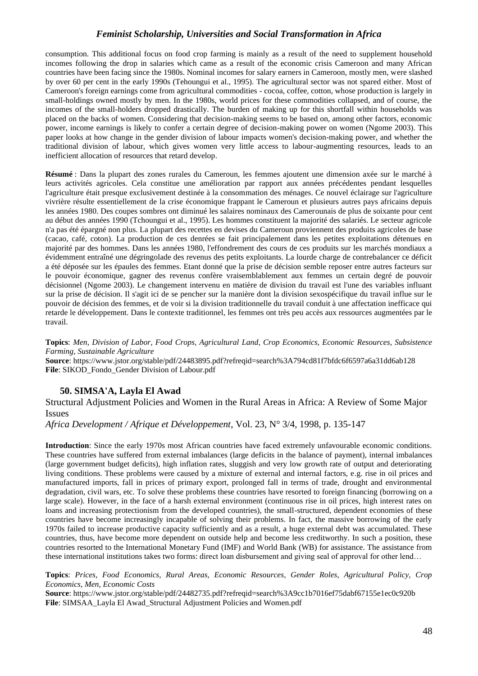consumption. This additional focus on food crop farming is mainly as a result of the need to supplement household incomes following the drop in salaries which came as a result of the economic crisis Cameroon and many African countries have been facing since the 1980s. Nominal incomes for salary earners in Cameroon, mostly men, were slashed by over 60 per cent in the early 1990s (Tehoungui et al., 1995). The agricultural sector was not spared either. Most of Cameroon's foreign earnings come from agricultural commodities - cocoa, coffee, cotton, whose production is largely in small-holdings owned mostly by men. In the 1980s, world prices for these commodities collapsed, and of course, the incomes of the small-holders dropped drastically. The burden of making up for this shortfall within households was placed on the backs of women. Considering that decision-making seems to be based on, among other factors, economic power, income earnings is likely to confer a certain degree of decision-making power on women (Ngome 2003). This paper looks at how change in the gender division of labour impacts women's decision-making power, and whether the traditional division of labour, which gives women very little access to labour-augmenting resources, leads to an inefficient allocation of resources that retard develop.

**Résumé** : Dans la plupart des zones rurales du Cameroun, les femmes ajoutent une dimension axée sur le marché à leurs activités agricoles. Cela constitue une amélioration par rapport aux années précédentes pendant lesquelles l'agriculture était presque exclusivement destinée à la consommation des ménages. Ce nouvel éclairage sur l'agriculture vivrière résulte essentiellement de la crise économique frappant le Cameroun et plusieurs autres pays africains depuis les années 1980. Des coupes sombres ont diminué les salaires nominaux des Camerounais de plus de soixante pour cent au début des années 1990 (Tchoungui et al., 1995). Les hommes constituent la majorité des salariés. Le secteur agricole n'a pas été épargné non plus. La plupart des recettes en devises du Cameroun proviennent des produits agricoles de base (cacao, café, coton). La production de ces denrées se fait principalement dans les petites exploitations détenues en majorité par des hommes. Dans les années 1980, l'effondrement des cours de ces produits sur les marchés mondiaux a évidemment entraîné une dégringolade des revenus des petits exploitants. La lourde charge de contrebalancer ce déficit a été déposée sur les épaules des femmes. Etant donné que la prise de décision semble reposer entre autres facteurs sur le pouvoir économique, gagner des revenus confère vraisemblablement aux femmes un certain degré de pouvoir décisionnel (Ngome 2003). Le changement intervenu en matière de division du travail est l'une des variables influant sur la prise de décision. Il s'agit ici de se pencher sur la manière dont la division sexospécifique du travail influe sur le pouvoir de décision des femmes, et de voir si la division traditionnelle du travail conduit à une affectation inefficace qui retarde le développement. Dans le contexte traditionnel, les femmes ont très peu accès aux ressources augmentées par le travail.

**Topics**: *Men, Division of Labor, Food Crops, Agricultural Land, Crop Economics, Economic Resources, Subsistence Farming, Sustainable Agriculture*

**Source**: https://www.jstor.org/stable/pdf/24483895.pdf?refreqid=search%3A794cd81f7bfdc6f6597a6a31dd6ab128 **File**: SIKOD\_Fondo\_Gender Division of Labour.pdf

#### **50. SIMSA'A, Layla El Awad**

Structural Adjustment Policies and Women in the Rural Areas in Africa: A Review of Some Major Issues

*Africa Development / Afrique et Développement*, Vol. 23, N° 3/4, 1998, p. 135-147

**Introduction**: Since the early 1970s most African countries have faced extremely unfavourable economic conditions. These countries have suffered from external imbalances (large deficits in the balance of payment), internal imbalances (large government budget deficits), high inflation rates, sluggish and very low growth rate of output and deteriorating living conditions. These problems were caused by a mixture of external and internal factors, e.g. rise in oil prices and manufactured imports, fall in prices of primary export, prolonged fall in terms of trade, drought and environmental degradation, civil wars, etc. To solve these problems these countries have resorted to foreign financing (borrowing on a large scale). However, in the face of a harsh external environment (continuous rise in oil prices, high interest rates on loans and increasing protectionism from the developed countries), the small-structured, dependent economies of these countries have become increasingly incapable of solving their problems. In fact, the massive borrowing of the early 1970s failed to increase productive capacity sufficiently and as a result, a huge external debt was accumulated. These countries, thus, have become more dependent on outside help and become less creditworthy. In such a position, these countries resorted to the International Monetary Fund (IMF) and World Bank (WB) for assistance. The assistance from these international institutions takes two forms: direct loan disbursement and giving seal of approval for other lend…

**Topics**: *Prices, Food Economics, Rural Areas, Economic Resources, Gender Roles, Agricultural Policy, Crop Economics, Men, Economic Costs*

**Source**: https://www.jstor.org/stable/pdf/24482735.pdf?refreqid=search%3A9cc1b7016ef75dabf67155e1ec0c920b **File**: SIMSAA\_Layla El Awad\_Structural Adjustment Policies and Women.pdf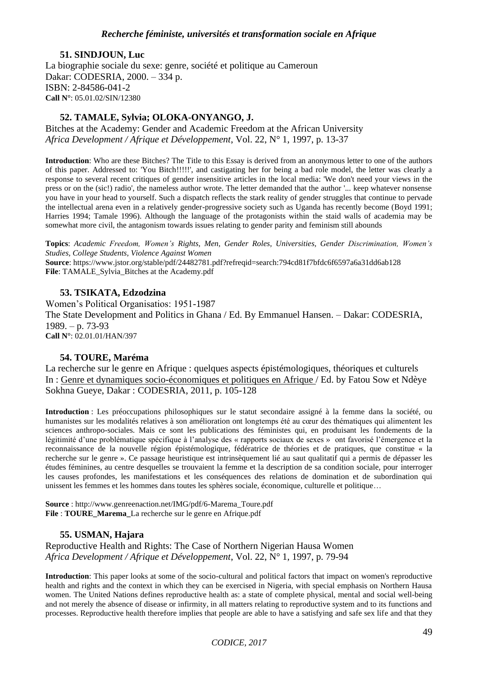**51. SINDJOUN, Luc** La biographie sociale du sexe: genre, société et politique au Cameroun Dakar: CODESRIA, 2000. – 334 p. ISBN: 2-84586-041-2 **Call N°**: 05.01.02/SIN/12380

## **52. TAMALE, Sylvia; OLOKA-ONYANGO, J.**

Bitches at the Academy: Gender and Academic Freedom at the African University *Africa Development / Afrique et Développement*, Vol. 22, N° 1, 1997, p. 13-37

**Introduction**: Who are these Bitches? The Title to this Essay is derived from an anonymous letter to one of the authors of this paper. Addressed to: 'You Bitch!!!!!', and castigating her for being a bad role model, the letter was clearly a response to several recent critiques of gender insensitive articles in the local media: 'We don't need your views in the press or on the (sic!) radio', the nameless author wrote. The letter demanded that the author '... keep whatever nonsense you have in your head to yourself. Such a dispatch reflects the stark reality of gender struggles that continue to pervade the intellectual arena even in a relatively gender-progressive society such as Uganda has recently become (Boyd 1991; Harries 1994; Tamale 1996). Although the language of the protagonists within the staid walls of academia may be somewhat more civil, the antagonism towards issues relating to gender parity and feminism still abounds

**Topics**: *Academic Freedom, Women's Rights, Men, Gender Roles, Universities, Gender Discrimination, Women's Studies, College Students, Violence Against Women*

**Source**: https://www.jstor.org/stable/pdf/24482781.pdf?refreqid=search:794cd81f7bfdc6f6597a6a31dd6ab128 **File**: TAMALE\_Sylvia\_Bitches at the Academy.pdf

### **53. TSIKATA, Edzodzina**

Women's Political Organisatios: 1951-1987 The State Development and Politics in Ghana / Ed. By Emmanuel Hansen. – Dakar: CODESRIA, 1989. – p. 73-93 **Call N°**: 02.01.01/HAN/397

#### **54. TOURE, Maréma**

La recherche sur le genre en Afrique : quelques aspects épistémologiques, théoriques et culturels In : Genre et dynamiques socio-économiques et politiques en Afrique / Ed. by Fatou Sow et Ndèye Sokhna Gueye, Dakar : CODESRIA, 2011, p. 105-128

**Introduction** : Les préoccupations philosophiques sur le statut secondaire assigné à la femme dans la société, ou humanistes sur les modalités relatives à son amélioration ont longtemps été au cœur des thématiques qui alimentent les sciences anthropo-sociales. Mais ce sont les publications des féministes qui, en produisant les fondements de la légitimité d'une problématique spécifique à l'analyse des « rapports sociaux de sexes » ont favorisé l'émergence et la reconnaissance de la nouvelle région épistémologique, fédératrice de théories et de pratiques, que constitue « la recherche sur le genre ». Ce passage heuristique est intrinsèquement lié au saut qualitatif qui a permis de dépasser les études féminines, au centre desquelles se trouvaient la femme et la description de sa condition sociale, pour interroger les causes profondes, les manifestations et les conséquences des relations de domination et de subordination qui unissent les femmes et les hommes dans toutes les sphères sociale, économique, culturelle et politique…

**Source** : http://www.genreenaction.net/IMG/pdf/6-Marema\_Toure.pdf **File** : **TOURE\_Marema\_**La recherche sur le genre en Afrique.pdf

#### **55. USMAN, Hajara**

Reproductive Health and Rights: The Case of Northern Nigerian Hausa Women *Africa Development / Afrique et Développement*, Vol. 22, N° 1, 1997, p. 79-94

**Introduction**: This paper looks at some of the socio-cultural and political factors that impact on women's reproductive health and rights and the context in which they can be exercised in Nigeria, with special emphasis on Northern Hausa women. The United Nations defines reproductive health as: a state of complete physical, mental and social well-being and not merely the absence of disease or infirmity, in all matters relating to reproductive system and to its functions and processes. Reproductive health therefore implies that people are able to have a satisfying and safe sex life and that they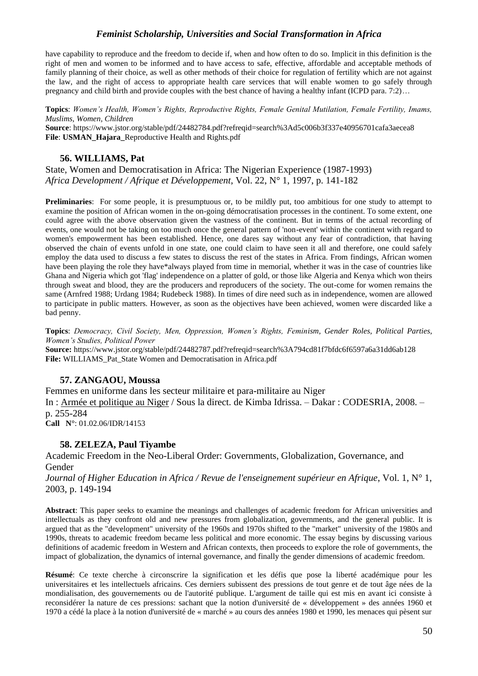have capability to reproduce and the freedom to decide if, when and how often to do so. Implicit in this definition is the right of men and women to be informed and to have access to safe, effective, affordable and acceptable methods of family planning of their choice, as well as other methods of their choice for regulation of fertility which are not against the law, and the right of access to appropriate health care services that will enable women to go safely through pregnancy and child birth and provide couples with the best chance of having a healthy infant (ICPD para. 7:2)…

**Topics**: *Women's Health, Women's Rights, Reproductive Rights, Female Genital Mutilation, Female Fertility, Imams, Muslims, Women, Children*

**Source**: https://www.jstor.org/stable/pdf/24482784.pdf?refreqid=search%3Ad5c006b3f337e40956701cafa3aecea8 **File**: **USMAN\_Hajara\_**Reproductive Health and Rights.pdf

#### **56. WILLIAMS, Pat**

State, Women and Democratisation in Africa: The Nigerian Experience (1987-1993) *Africa Development / Afrique et Développement*, Vol. 22, N° 1, 1997, p. 141-182

**Preliminaries:** For some people, it is presumptuous or, to be mildly put, too ambitious for one study to attempt to examine the position of African women in the on-going démocratisation processes in the continent. To some extent, one could agree with the above observation given the vastness of the continent. But in terms of the actual recording of events, one would not be taking on too much once the general pattern of 'non-event' within the continent with regard to women's empowerment has been established. Hence, one dares say without any fear of contradiction, that having observed the chain of events unfold in one state, one could claim to have seen it all and therefore, one could safely employ the data used to discuss a few states to discuss the rest of the states in Africa. From findings, African women have been playing the role they have\*always played from time in memorial, whether it was in the case of countries like Ghana and Nigeria which got 'flag' independence on a platter of gold, or those like Algeria and Kenya which won theirs through sweat and blood, they are the producers and reproducers of the society. The out-come for women remains the same (Arnfred 1988; Urdang 1984; Rudebeck 1988). In times of dire need such as in independence, women are allowed to participate in public matters. However, as soon as the objectives have been achieved, women were discarded like a bad penny.

**Topics**: *Democracy, Civil Society, Men, Oppression, Women's Rights, Feminism, Gender Roles, Political Parties, Women's Studies, Political Power* **Source:** https://www.jstor.org/stable/pdf/24482787.pdf?refreqid=search%3A794cd81f7bfdc6f6597a6a31dd6ab128 **File:** WILLIAMS\_Pat\_State Women and Democratisation in Africa.pdf

#### **57. ZANGAOU, Moussa**

Femmes en uniforme dans les secteur militaire et para-militaire au Niger In : Armée et politique au Niger / Sous la direct. de Kimba Idrissa. – Dakar : CODESRIA, 2008. – p. 255-284 **Call N°**: 01.02.06/IDR/14153

#### **58. ZELEZA, Paul Tiyambe**

Academic Freedom in the Neo-Liberal Order: Governments, Globalization, Governance, and Gender

*Journal of Higher Education in Africa / Revue de l'enseignement supérieur en Afrique*, Vol. 1, N° 1, 2003, p. 149-194

**Abstract**: This paper seeks to examine the meanings and challenges of academic freedom for African universities and intellectuals as they confront old and new pressures from globalization, governments, and the general public. It is argued that as the "development" university of the 1960s and 1970s shifted to the "market" university of the 1980s and 1990s, threats to academic freedom became less political and more economic. The essay begins by discussing various definitions of academic freedom in Western and African contexts, then proceeds to explore the role of governments, the impact of globalization, the dynamics of internal governance, and finally the gender dimensions of academic freedom.

**Résumé**: Ce texte cherche à circonscrire la signification et les défis que pose la liberté académique pour les universitaires et les intellectuels africains. Ces derniers subissent des pressions de tout genre et de tout âge nées de la mondialisation, des gouvernements ou de l'autorité publique. L'argument de taille qui est mis en avant ici consiste à reconsidérer la nature de ces pressions: sachant que la notion d'université de « développement » des années 1960 et 1970 a cédé la place à la notion d'université de « marché » au cours des années 1980 et 1990, les menaces qui pèsent sur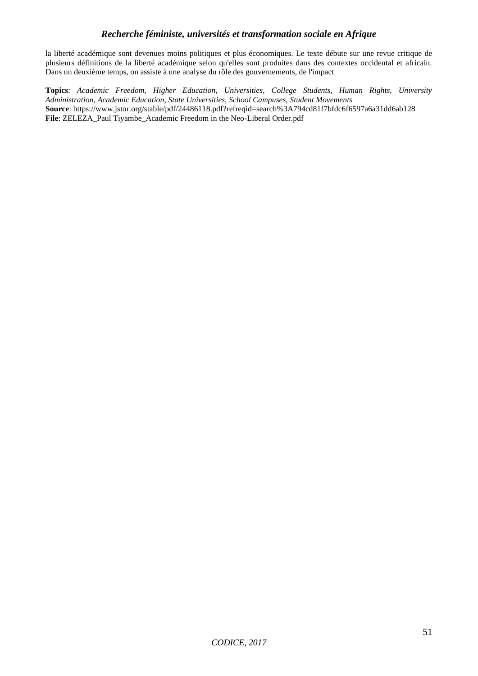la liberté académique sont devenues moins politiques et plus économiques. Le texte débute sur une revue critique de plusieurs définitions de la liberté académique selon qu'elles sont produites dans des contextes occidental et africain. Dans un deuxième temps, on assiste à une analyse du rôle des gouvernements, de l'impact

**Topics**: *Academic Freedom, Higher Education, Universities, College Students, Human Rights, University Administration, Academic Education, State Universities, School Campuses, Student Movements* **Source**: https://www.jstor.org/stable/pdf/24486118.pdf?refreqid=search%3A794cd81f7bfdc6f6597a6a31dd6ab128 **File**: ZELEZA\_Paul Tiyambe\_Academic Freedom in the Neo-Liberal Order.pdf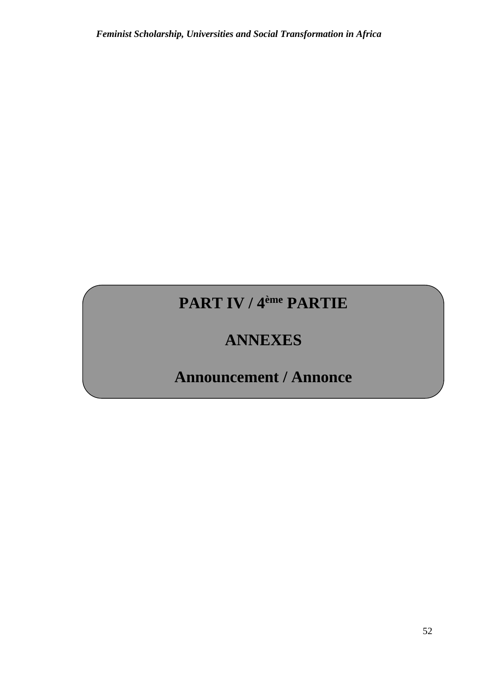# **PART IV / 4ème PARTIE**

## **ANNEXES**

## **Announcement / Annonce**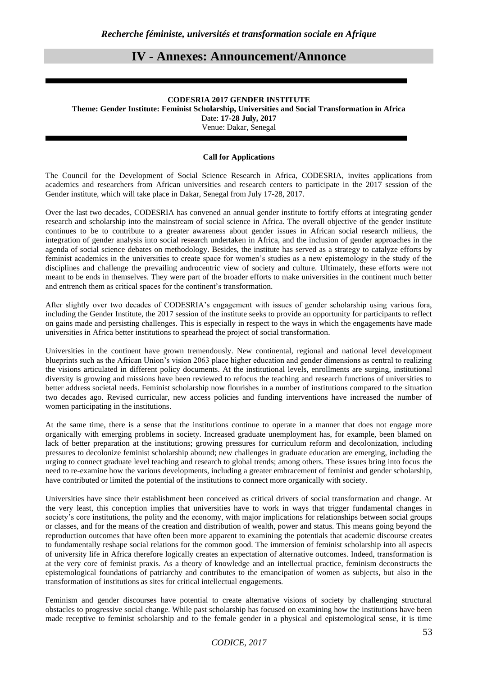### **IV - Annexes: Announcement/Annonce**

#### **CODESRIA 2017 GENDER INSTITUTE**

<span id="page-52-0"></span>**Theme: Gender Institute: Feminist Scholarship, Universities and Social Transformation in Africa** 

Date: **17-28 July, 2017**

Venue: Dakar, Senegal

#### **Call for Applications**

The Council for the Development of Social Science Research in Africa, CODESRIA, invites applications from academics and researchers from African universities and research centers to participate in the 2017 session of the Gender institute, which will take place in Dakar, Senegal from July 17-28, 2017.

Over the last two decades, CODESRIA has convened an annual gender institute to fortify efforts at integrating gender research and scholarship into the mainstream of social science in Africa. The overall objective of the gender institute continues to be to contribute to a greater awareness about gender issues in African social research milieus, the integration of gender analysis into social research undertaken in Africa, and the inclusion of gender approaches in the agenda of social science debates on methodology. Besides, the institute has served as a strategy to catalyze efforts by feminist academics in the universities to create space for women's studies as a new epistemology in the study of the disciplines and challenge the prevailing androcentric view of society and culture. Ultimately, these efforts were not meant to be ends in themselves. They were part of the broader efforts to make universities in the continent much better and entrench them as critical spaces for the continent's transformation.

After slightly over two decades of CODESRIA's engagement with issues of gender scholarship using various fora, including the Gender Institute, the 2017 session of the institute seeks to provide an opportunity for participants to reflect on gains made and persisting challenges. This is especially in respect to the ways in which the engagements have made universities in Africa better institutions to spearhead the project of social transformation.

Universities in the continent have grown tremendously. New continental, regional and national level development blueprints such as the African Union's vision 2063 place higher education and gender dimensions as central to realizing the visions articulated in different policy documents. At the institutional levels, enrollments are surging, institutional diversity is growing and missions have been reviewed to refocus the teaching and research functions of universities to better address societal needs. Feminist scholarship now flourishes in a number of institutions compared to the situation two decades ago. Revised curricular, new access policies and funding interventions have increased the number of women participating in the institutions.

At the same time, there is a sense that the institutions continue to operate in a manner that does not engage more organically with emerging problems in society. Increased graduate unemployment has, for example, been blamed on lack of better preparation at the institutions; growing pressures for curriculum reform and decolonization, including pressures to decolonize feminist scholarship abound; new challenges in graduate education are emerging, including the urging to connect graduate level teaching and research to global trends; among others. These issues bring into focus the need to re-examine how the various developments, including a greater embracement of feminist and gender scholarship, have contributed or limited the potential of the institutions to connect more organically with society.

Universities have since their establishment been conceived as critical drivers of social transformation and change. At the very least, this conception implies that universities have to work in ways that trigger fundamental changes in society's core institutions, the polity and the economy, with major implications for relationships between social groups or classes, and for the means of the creation and distribution of wealth, power and status. This means going beyond the reproduction outcomes that have often been more apparent to examining the potentials that academic discourse creates to fundamentally reshape social relations for the common good. The immersion of feminist scholarship into all aspects of university life in Africa therefore logically creates an expectation of alternative outcomes. Indeed, transformation is at the very core of feminist praxis. As a theory of knowledge and an intellectual practice, feminism deconstructs the epistemological foundations of patriarchy and contributes to the emancipation of women as subjects, but also in the transformation of institutions as sites for critical intellectual engagements.

Feminism and gender discourses have potential to create alternative visions of society by challenging structural obstacles to progressive social change. While past scholarship has focused on examining how the institutions have been made receptive to feminist scholarship and to the female gender in a physical and epistemological sense, it is time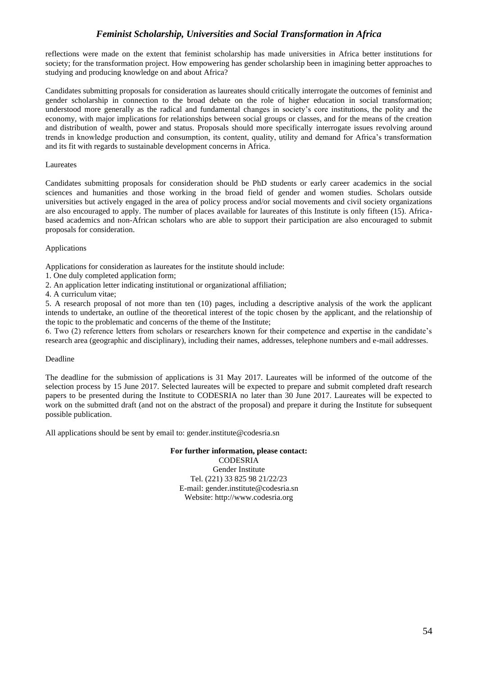reflections were made on the extent that feminist scholarship has made universities in Africa better institutions for society; for the transformation project. How empowering has gender scholarship been in imagining better approaches to studying and producing knowledge on and about Africa?

Candidates submitting proposals for consideration as laureates should critically interrogate the outcomes of feminist and gender scholarship in connection to the broad debate on the role of higher education in social transformation; understood more generally as the radical and fundamental changes in society's core institutions, the polity and the economy, with major implications for relationships between social groups or classes, and for the means of the creation and distribution of wealth, power and status. Proposals should more specifically interrogate issues revolving around trends in knowledge production and consumption, its content, quality, utility and demand for Africa's transformation and its fit with regards to sustainable development concerns in Africa.

#### Laureates

Candidates submitting proposals for consideration should be PhD students or early career academics in the social sciences and humanities and those working in the broad field of gender and women studies. Scholars outside universities but actively engaged in the area of policy process and/or social movements and civil society organizations are also encouraged to apply. The number of places available for laureates of this Institute is only fifteen (15). Africabased academics and non-African scholars who are able to support their participation are also encouraged to submit proposals for consideration.

#### Applications

Applications for consideration as laureates for the institute should include:

- 1. One duly completed application form;
- 2. An application letter indicating institutional or organizational affiliation;

4. A curriculum vitae;

5. A research proposal of not more than ten (10) pages, including a descriptive analysis of the work the applicant intends to undertake, an outline of the theoretical interest of the topic chosen by the applicant, and the relationship of the topic to the problematic and concerns of the theme of the Institute;

6. Two (2) reference letters from scholars or researchers known for their competence and expertise in the candidate's research area (geographic and disciplinary), including their names, addresses, telephone numbers and e-mail addresses.

#### Deadline

The deadline for the submission of applications is 31 May 2017. Laureates will be informed of the outcome of the selection process by 15 June 2017. Selected laureates will be expected to prepare and submit completed draft research papers to be presented during the Institute to CODESRIA no later than 30 June 2017. Laureates will be expected to work on the submitted draft (and not on the abstract of the proposal) and prepare it during the Institute for subsequent possible publication.

All applications should be sent by email to: gender.institute@codesria.sn

**For further information, please contact:** CODESRIA Gender Institute Tel. (221) 33 825 98 21/22/23 E-mail: gender.institute@codesria.sn Website: http://www.codesria.org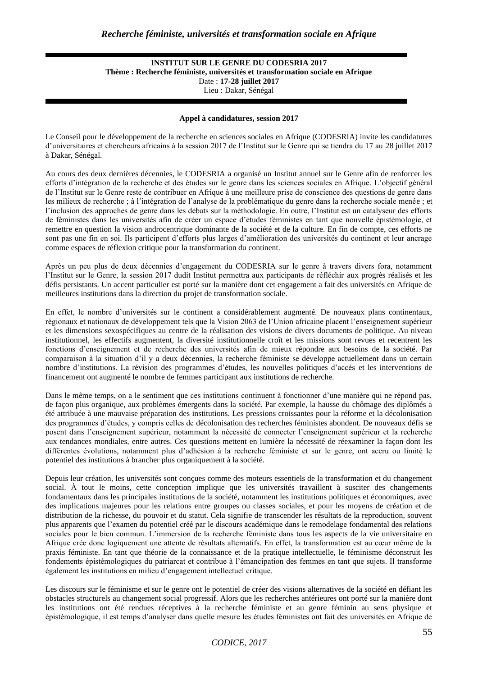**INSTITUT SUR LE GENRE DU CODESRIA 2017 Thème : Recherche féministe, universités et transformation sociale en Afrique** Date : **17-28 juillet 2017** Lieu : Dakar, Sénégal

#### **Appel à candidatures, session 2017**

Le Conseil pour le développement de la recherche en sciences sociales en Afrique (CODESRIA) invite les candidatures d'universitaires et chercheurs africains à la session 2017 de l'Institut sur le Genre qui se tiendra du 17 au 28 juillet 2017 à Dakar, Sénégal.

Au cours des deux dernières décennies, le CODESRIA a organisé un Institut annuel sur le Genre afin de renforcer les efforts d'intégration de la recherche et des études sur le genre dans les sciences sociales en Afrique. L'objectif général de l'Institut sur le Genre reste de contribuer en Afrique à une meilleure prise de conscience des questions de genre dans les milieux de recherche ; à l'intégration de l'analyse de la problématique du genre dans la recherche sociale menée ; et l'inclusion des approches de genre dans les débats sur la méthodologie. En outre, l'Institut est un catalyseur des efforts de féministes dans les universités afin de créer un espace d'études féministes en tant que nouvelle épistémologie, et remettre en question la vision androcentrique dominante de la société et de la culture. En fin de compte, ces efforts ne sont pas une fin en soi. Ils participent d'efforts plus larges d'amélioration des universités du continent et leur ancrage comme espaces de réflexion critique pour la transformation du continent.

Après un peu plus de deux décennies d'engagement du CODESRIA sur le genre à travers divers fora, notamment l'Institut sur le Genre, la session 2017 dudit Institut permettra aux participants de réfléchir aux progrès réalisés et les défis persistants. Un accent particulier est porté sur la manière dont cet engagement a fait des universités en Afrique de meilleures institutions dans la direction du projet de transformation sociale.

En effet, le nombre d'universités sur le continent a considérablement augmenté. De nouveaux plans continentaux, régionaux et nationaux de développement tels que la Vision 2063 de l'Union africaine placent l'enseignement supérieur et les dimensions sexospécifiques au centre de la réalisation des visions de divers documents de politique. Au niveau institutionnel, les effectifs augmentent, la diversité institutionnelle croît et les missions sont revues et recentrent les fonctions d'enseignement et de recherche des universités afin de mieux répondre aux besoins de la société. Par comparaison à la situation d'il y a deux décennies, la recherche féministe se développe actuellement dans un certain nombre d'institutions. La révision des programmes d'études, les nouvelles politiques d'accès et les interventions de financement ont augmenté le nombre de femmes participant aux institutions de recherche.

Dans le même temps, on a le sentiment que ces institutions continuent à fonctionner d'une manière qui ne répond pas, de façon plus organique, aux problèmes émergents dans la société. Par exemple, la hausse du chômage des diplômés a été attribuée à une mauvaise préparation des institutions. Les pressions croissantes pour la réforme et la décolonisation des programmes d'études, y compris celles de décolonisation des recherches féministes abondent. De nouveaux défis se posent dans l'enseignement supérieur, notamment la nécessité de connecter l'enseignement supérieur et la recherche aux tendances mondiales, entre autres. Ces questions mettent en lumière la nécessité de réexaminer la façon dont les différentes évolutions, notamment plus d'adhésion à la recherche féministe et sur le genre, ont accru ou limité le potentiel des institutions à brancher plus organiquement à la société.

Depuis leur création, les universités sont conçues comme des moteurs essentiels de la transformation et du changement social. À tout le moins, cette conception implique que les universités travaillent à susciter des changements fondamentaux dans les principales institutions de la société, notamment les institutions politiques et économiques, avec des implications majeures pour les relations entre groupes ou classes sociales, et pour les moyens de création et de distribution de la richesse, du pouvoir et du statut. Cela signifie de transcender les résultats de la reproduction, souvent plus apparents que l'examen du potentiel créé par le discours académique dans le remodelage fondamental des relations sociales pour le bien commun. L'immersion de la recherche féministe dans tous les aspects de la vie universitaire en Afrique crée donc logiquement une attente de résultats alternatifs. En effet, la transformation est au cœur même de la praxis féministe. En tant que théorie de la connaissance et de la pratique intellectuelle, le féminisme déconstruit les fondements épistémologiques du patriarcat et contribue à l'émancipation des femmes en tant que sujets. Il transforme également les institutions en milieu d'engagement intellectuel critique.

Les discours sur le féminisme et sur le genre ont le potentiel de créer des visions alternatives de la société en défiant les obstacles structurels au changement social progressif. Alors que les recherches antérieures ont porté sur la manière dont les institutions ont été rendues réceptives à la recherche féministe et au genre féminin au sens physique et épistémologique, il est temps d'analyser dans quelle mesure les études féministes ont fait des universités en Afrique de